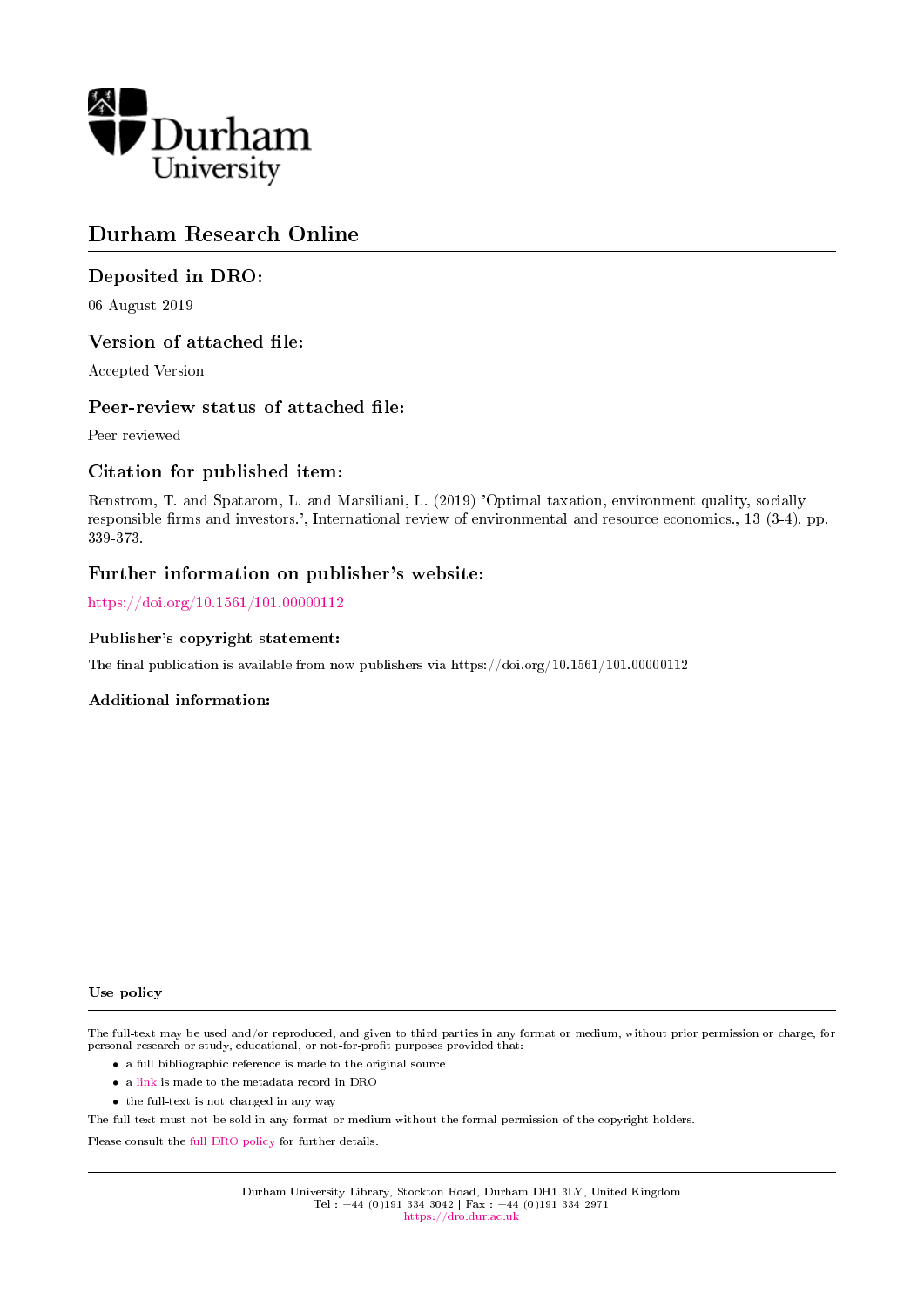

### Durham Research Online

### Deposited in DRO:

06 August 2019

#### Version of attached file:

Accepted Version

#### Peer-review status of attached file:

Peer-reviewed

#### Citation for published item:

Renstrom, T. and Spatarom, L. and Marsiliani, L. (2019) 'Optimal taxation, environment quality, socially responsible firms and investors.', International review of environmental and resource economics., 13 (3-4). pp. 339-373.

#### Further information on publisher's website:

<https://doi.org/10.1561/101.00000112>

#### Publisher's copyright statement:

The final publication is available from now publishers via https://doi.org/10.1561/101.00000112

#### Additional information:

#### Use policy

The full-text may be used and/or reproduced, and given to third parties in any format or medium, without prior permission or charge, for personal research or study, educational, or not-for-profit purposes provided that:

- a full bibliographic reference is made to the original source
- a [link](http://dro.dur.ac.uk/28815/) is made to the metadata record in DRO
- the full-text is not changed in any way

The full-text must not be sold in any format or medium without the formal permission of the copyright holders.

Please consult the [full DRO policy](https://dro.dur.ac.uk/policies/usepolicy.pdf) for further details.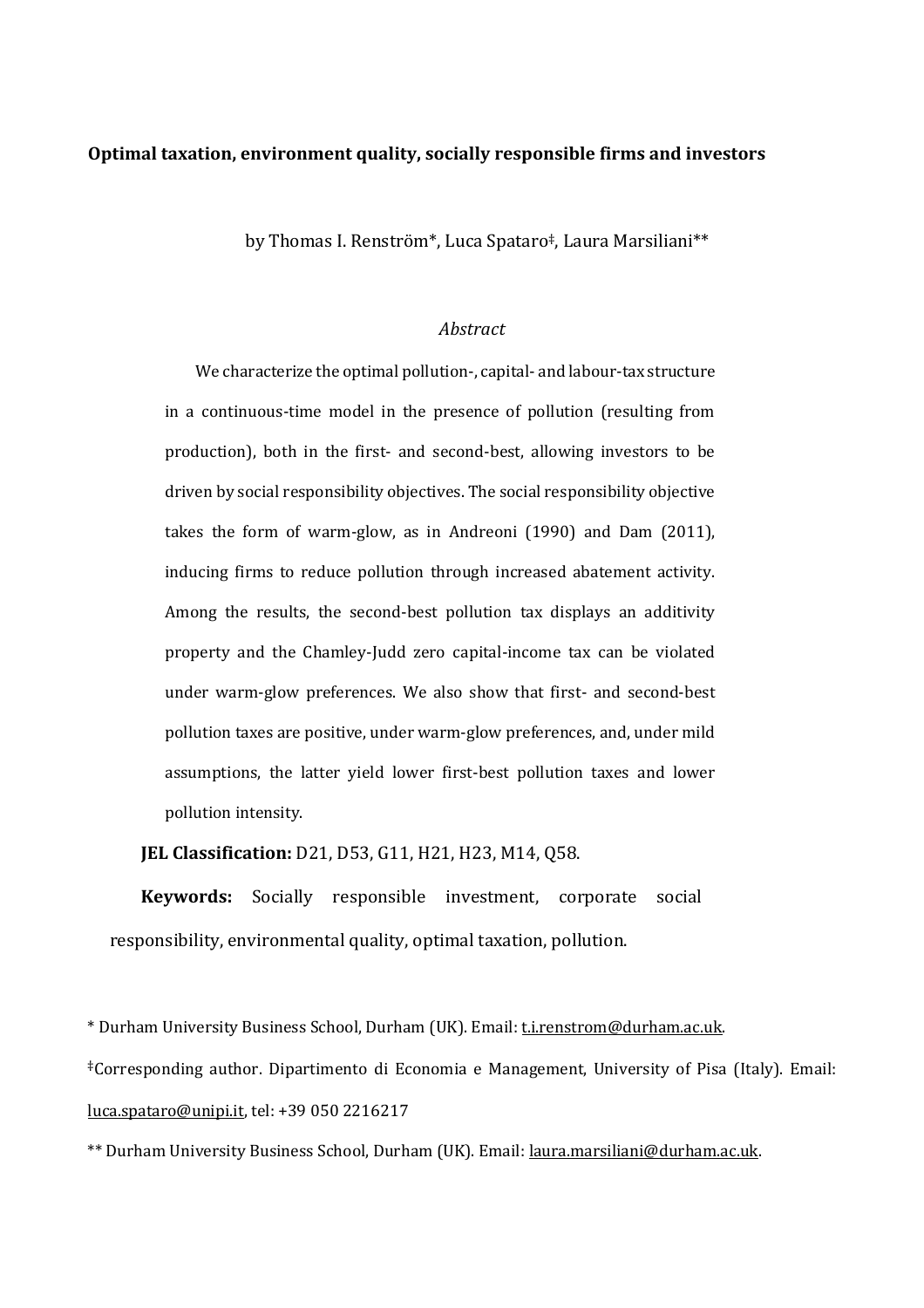#### **Optimal taxation, environment quality, socially responsible firms and investors**

by Thomas I. Renström\*, Luca Spataro‡, Laura Marsiliani\*\*

#### *Abstract*

We characterize the optimal pollution-, capital- and labour-tax structure in a continuous-time model in the presence of pollution (resulting from production), both in the first- and second-best, allowing investors to be driven by social responsibility objectives. The social responsibility objective takes the form of warm-glow, as in Andreoni (1990) and Dam (2011), inducing firms to reduce pollution through increased abatement activity. Among the results, the second-best pollution tax displays an additivity property and the Chamley-Judd zero capital-income tax can be violated under warm-glow preferences. We also show that first- and second-best pollution taxes are positive, under warm-glow preferences, and, under mild assumptions, the latter yield lower first-best pollution taxes and lower pollution intensity.

**JEL Classification:** D21, D53, G11, H21, H23, M14, Q58.

**Keywords:** Socially responsible investment, corporate social responsibility, environmental quality, optimal taxation, pollution.

\* Durham University Business School, Durham (UK). Email: [t.i.renstrom@durham.ac.uk.](mailto:t.i.renstrom@durham.ac.uk) ‡Corresponding author. Dipartimento di Economia e Management, University of Pisa (Italy). Email: [luca.spataro@unipi.it,](mailto:luca.spataro@unipi.it) tel: +39 050 2216217

\*\* Durham University Business School, Durham (UK). Email[: laura.marsiliani@durham.ac.uk.](mailto:laura.marsiliani@durham.ac.uk)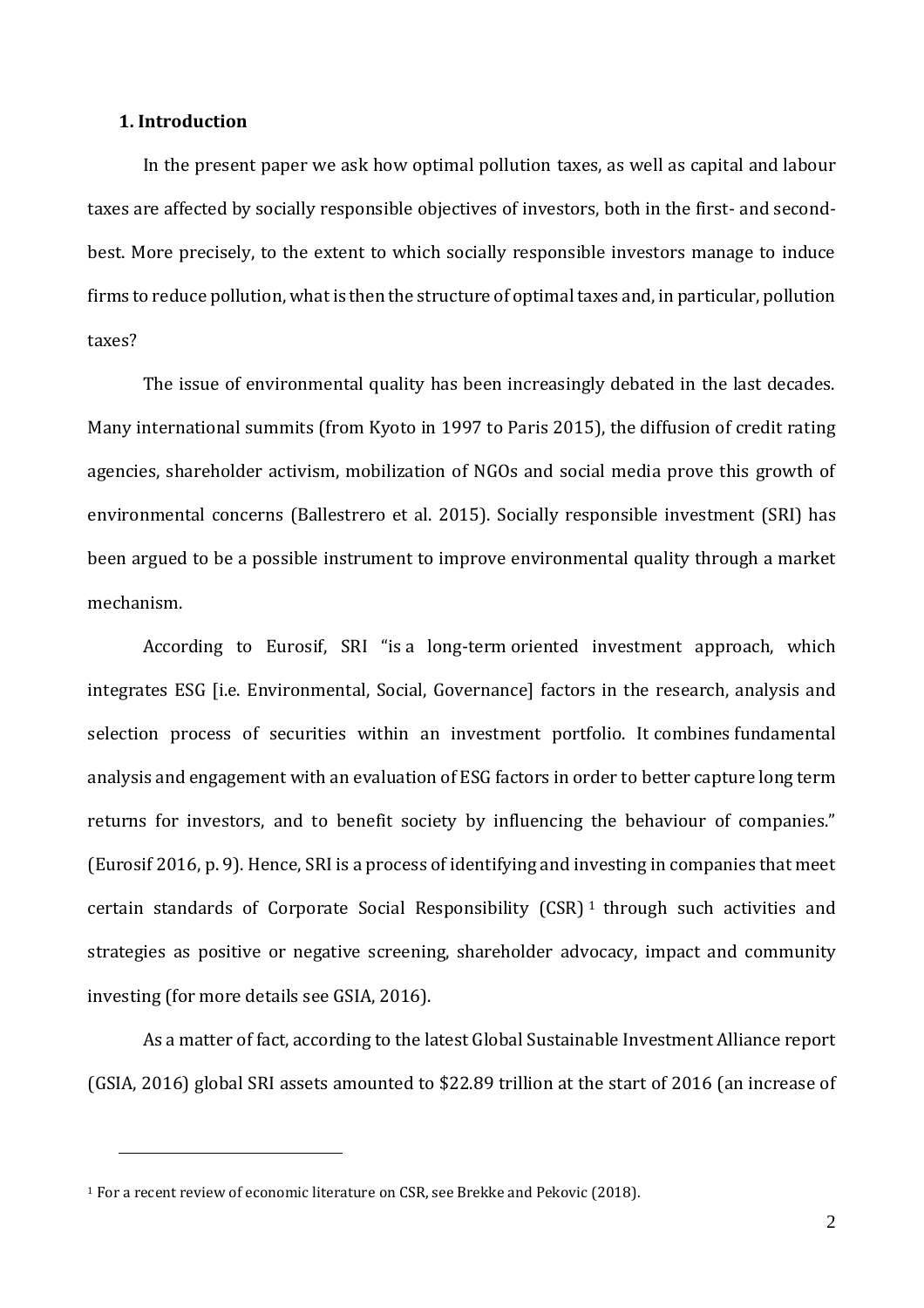#### **1. Introduction**

In the present paper we ask how optimal pollution taxes, as well as capital and labour taxes are affected by socially responsible objectives of investors, both in the first- and secondbest. More precisely, to the extent to which socially responsible investors manage to induce firms to reduce pollution, what is then the structure of optimal taxes and, in particular, pollution taxes?

The issue of environmental quality has been increasingly debated in the last decades. Many international summits (from Kyoto in 1997 to Paris 2015), the diffusion of credit rating agencies, shareholder activism, mobilization of NGOs and social media prove this growth of environmental concerns (Ballestrero et al. 2015). Socially responsible investment (SRI) has been argued to be a possible instrument to improve environmental quality through a market mechanism.

According to Eurosif, SRI "is a long-term oriented investment approach, which integrates ESG [i.e. Environmental, Social, Governance] factors in the research, analysis and selection process of securities within an investment portfolio. It combines fundamental analysis and engagement with an evaluation of ESG factors in order to better capture long term returns for investors, and to benefit society by influencing the behaviour of companies." (Eurosif 2016, p. 9). Hence, SRI is a process of identifying and investing in companies that meet certain standards of Corporate Social Responsibility  $(CSR)^1$  through such activities and strategies as positive or negative screening, shareholder advocacy, impact and community investing (for more details see GSIA, 2016).

As a matter of fact, according to the latest Global Sustainable Investment Alliance report (GSIA, 2016) global SRI assets amounted to \$22.89 trillion at the start of 2016 (an increase of

<u>.</u>

<sup>1</sup> For a recent review of economic literature on CSR, see Brekke and Pekovic (2018).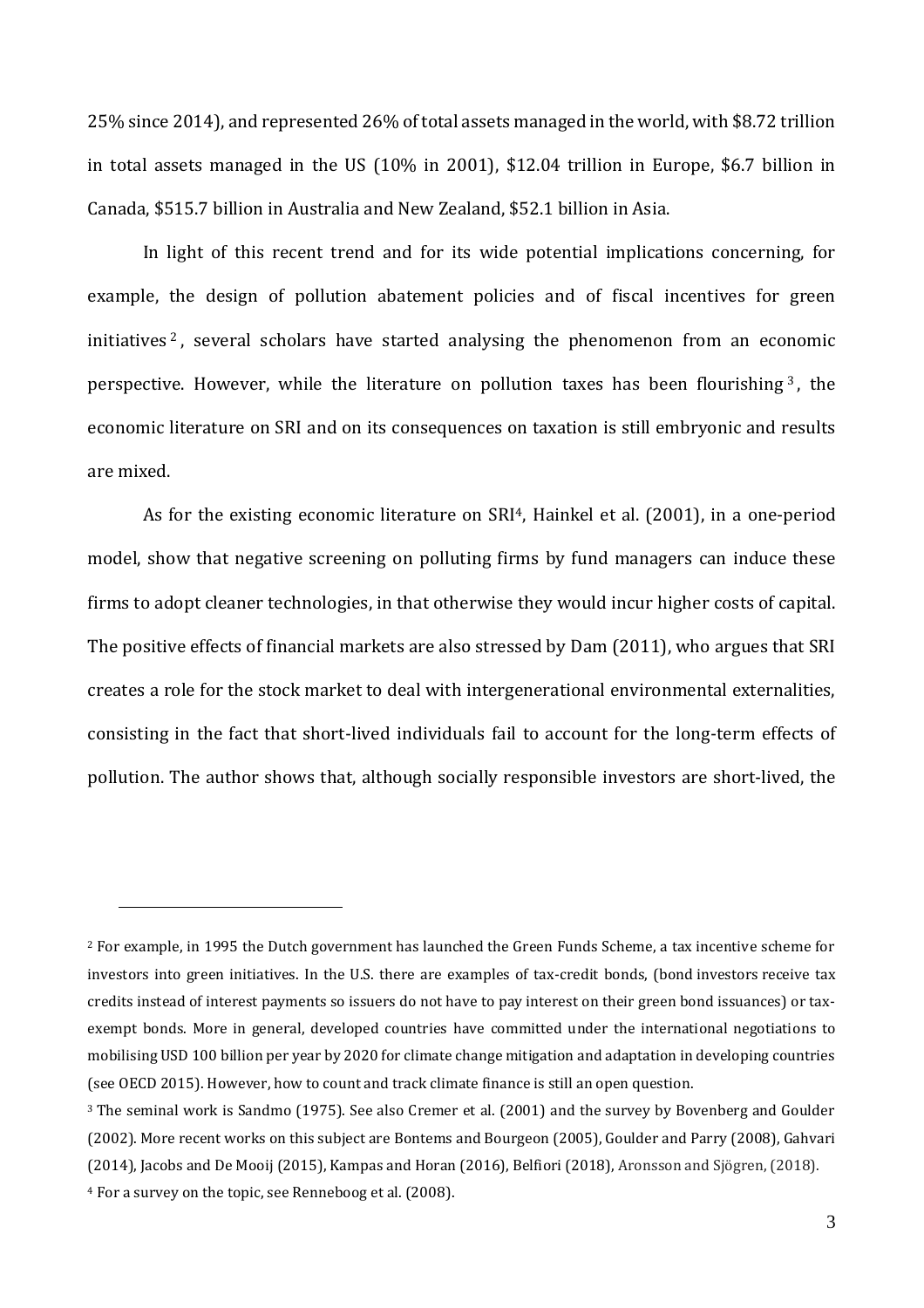25% since 2014), and represented 26% of total assets managed in the world, with \$8.72 trillion in total assets managed in the US (10% in 2001), \$12.04 trillion in Europe, \$6.7 billion in Canada, \$515.7 billion in Australia and New Zealand, \$52.1 billion in Asia.

In light of this recent trend and for its wide potential implications concerning, for example, the design of pollution abatement policies and of fiscal incentives for green initiatives<sup>2</sup>, several scholars have started analysing the phenomenon from an economic perspective. However, while the literature on pollution taxes has been flourishing <sup>3</sup> , the economic literature on SRI and on its consequences on taxation is still embryonic and results are mixed.

As for the existing economic literature on SRI<sup>4</sup>, Hainkel et al. (2001), in a one-period model, show that negative screening on polluting firms by fund managers can induce these firms to adopt cleaner technologies, in that otherwise they would incur higher costs of capital. The positive effects of financial markets are also stressed by Dam (2011), who argues that SRI creates a role for the stock market to deal with intergenerational environmental externalities, consisting in the fact that short-lived individuals fail to account for the long-term effects of pollution. The author shows that, although socially responsible investors are short-lived, the

 $\overline{a}$ 

<sup>2</sup> For example, in 1995 the Dutch government has launched the Green Funds Scheme, a tax incentive scheme for investors into green initiatives. In the U.S. there are examples of tax-credit bonds, (bond investors receive tax credits instead of interest payments so issuers do not have to pay interest on their green bond issuances) or taxexempt bonds. More in general, developed countries have committed under the international negotiations to mobilising USD 100 billion per year by 2020 for climate change mitigation and adaptation in developing countries (see OECD 2015). However, how to count and track climate finance is still an open question.

<sup>3</sup> The seminal work is Sandmo (1975). See also Cremer et al. (2001) and the survey by Bovenberg and Goulder (2002). More recent works on this subject are Bontems and Bourgeon (2005), Goulder and Parry (2008), Gahvari (2014), Jacobs and De Mooij (2015), Kampas and Horan (2016), Belfiori (2018), Aronsson and Sjögren, (2018).

<sup>4</sup> For a survey on the topic, see Renneboog et al. (2008).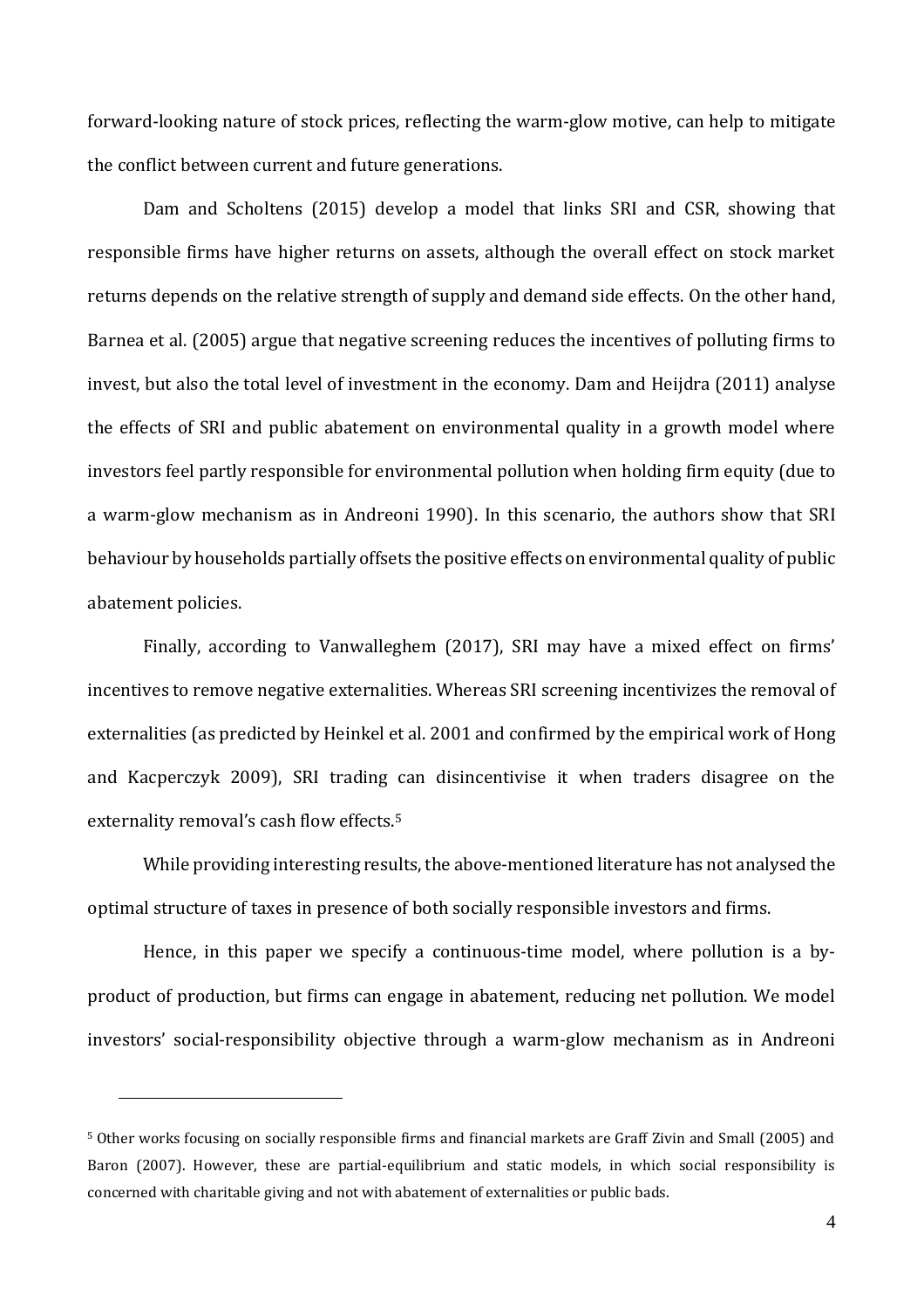forward-looking nature of stock prices, reflecting the warm-glow motive, can help to mitigate the conflict between current and future generations.

Dam and Scholtens (2015) develop a model that links SRI and CSR, showing that responsible firms have higher returns on assets, although the overall effect on stock market returns depends on the relative strength of supply and demand side effects. On the other hand, Barnea et al. (2005) argue that negative screening reduces the incentives of polluting firms to invest, but also the total level of investment in the economy. Dam and Heijdra (2011) analyse the effects of SRI and public abatement on environmental quality in a growth model where investors feel partly responsible for environmental pollution when holding firm equity (due to a warm-glow mechanism as in Andreoni 1990). In this scenario, the authors show that SRI behaviour by households partially offsets the positive effects on environmental quality of public abatement policies.

Finally, according to Vanwalleghem (2017), SRI may have a mixed effect on firms' incentives to remove negative externalities. Whereas SRI screening incentivizes the removal of externalities (as predicted by Heinkel et al. 2001 and confirmed by the empirical work of Hong and Kacperczyk 2009), SRI trading can disincentivise it when traders disagree on the externality removal's cash flow effects.<sup>5</sup>

While providing interesting results, the above-mentioned literature has not analysed the optimal structure of taxes in presence of both socially responsible investors and firms.

Hence, in this paper we specify a continuous-time model, where pollution is a byproduct of production, but firms can engage in abatement, reducing net pollution. We model investors' social-responsibility objective through a warm-glow mechanism as in Andreoni

<u>.</u>

<sup>5</sup> Other works focusing on socially responsible firms and financial markets are Graff Zivin and Small (2005) and Baron (2007). However, these are partial-equilibrium and static models, in which social responsibility is concerned with charitable giving and not with abatement of externalities or public bads.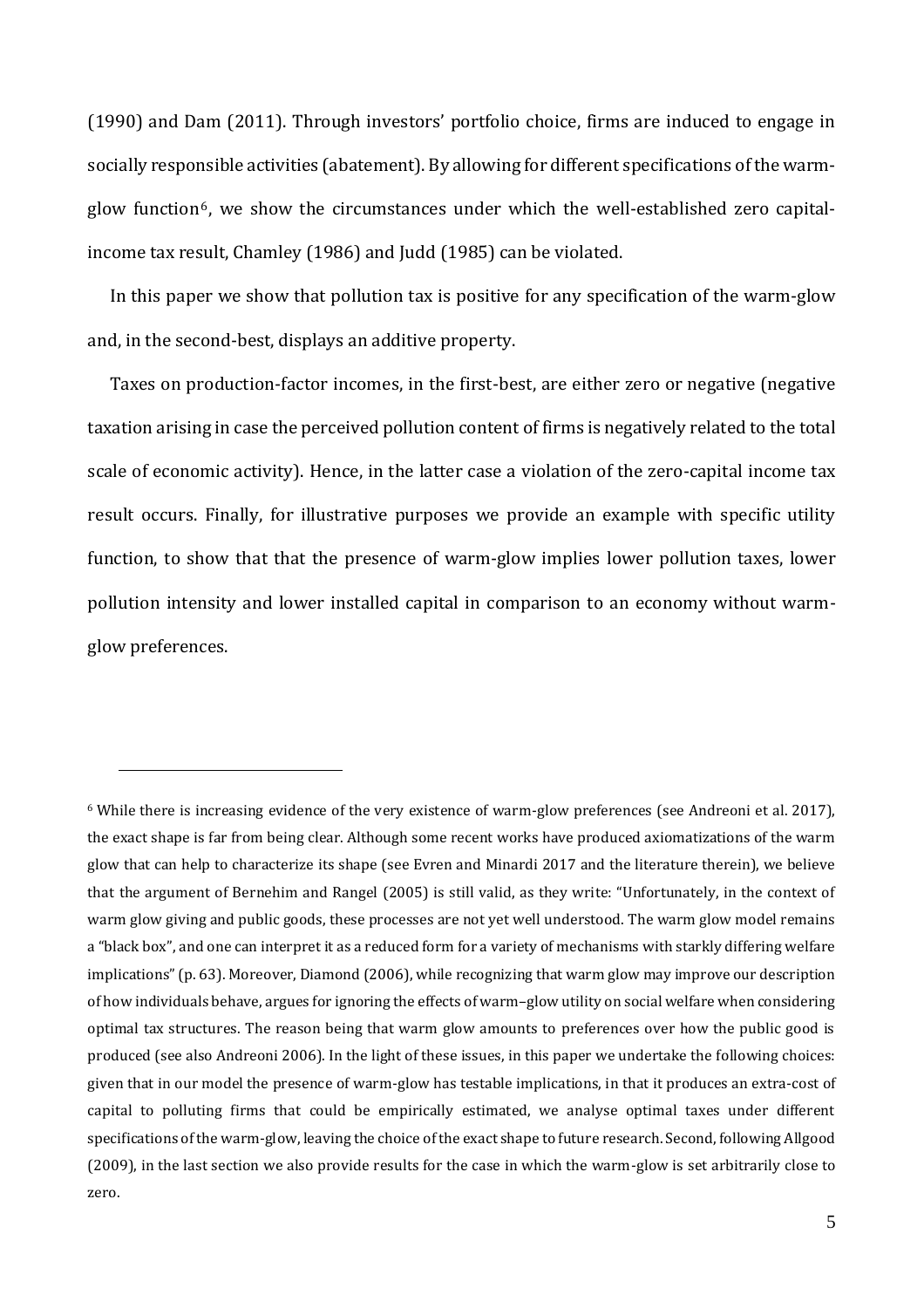(1990) and Dam (2011). Through investors' portfolio choice, firms are induced to engage in socially responsible activities (abatement). By allowing for different specifications of the warmglow function<sup>6</sup>, we show the circumstances under which the well-established zero capitalincome tax result, Chamley (1986) and Judd (1985) can be violated.

In this paper we show that pollution tax is positive for any specification of the warm-glow and, in the second-best, displays an additive property.

Taxes on production-factor incomes, in the first-best, are either zero or negative (negative taxation arising in case the perceived pollution content of firms is negatively related to the total scale of economic activity). Hence, in the latter case a violation of the zero-capital income tax result occurs. Finally, for illustrative purposes we provide an example with specific utility function, to show that that the presence of warm-glow implies lower pollution taxes, lower pollution intensity and lower installed capital in comparison to an economy without warmglow preferences.

<u>.</u>

<sup>6</sup> While there is increasing evidence of the very existence of warm-glow preferences (see Andreoni et al. 2017), the exact shape is far from being clear. Although some recent works have produced axiomatizations of the warm glow that can help to characterize its shape (see Evren and Minardi 2017 and the literature therein), we believe that the argument of Bernehim and Rangel (2005) is still valid, as they write: "Unfortunately, in the context of warm glow giving and public goods, these processes are not yet well understood. The warm glow model remains a "black box", and one can interpret it as a reduced form for a variety of mechanisms with starkly differing welfare implications" (p. 63). Moreover, Diamond (2006), while recognizing that warm glow may improve our description of how individuals behave, argues for ignoring the effects of warm–glow utility on social welfare when considering optimal tax structures. The reason being that warm glow amounts to preferences over how the public good is produced (see also Andreoni 2006). In the light of these issues, in this paper we undertake the following choices: given that in our model the presence of warm-glow has testable implications, in that it produces an extra-cost of capital to polluting firms that could be empirically estimated, we analyse optimal taxes under different specifications of the warm-glow, leaving the choice of the exact shape to future research. Second, following Allgood (2009), in the last section we also provide results for the case in which the warm-glow is set arbitrarily close to zero.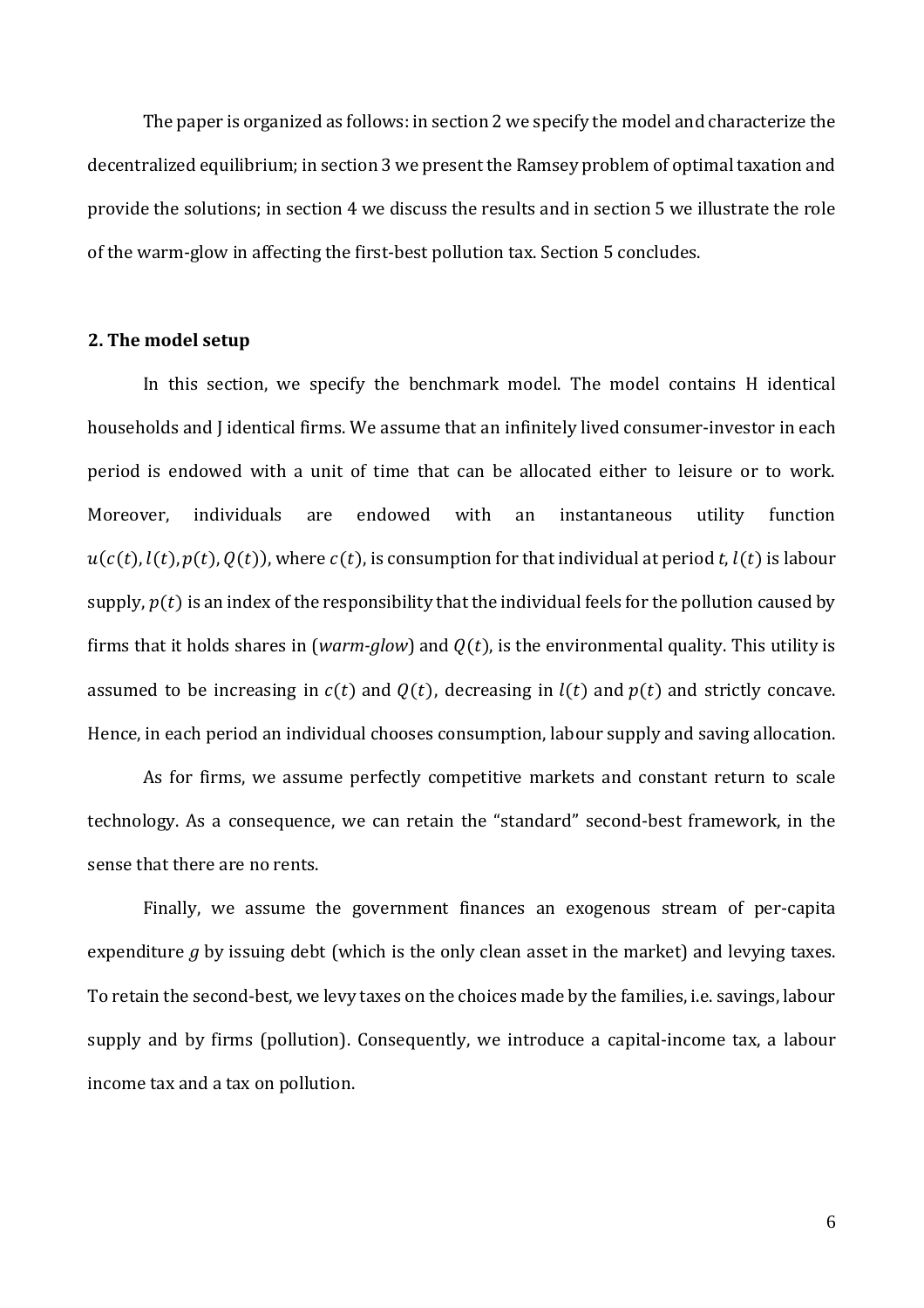The paper is organized as follows: in section 2 we specify the model and characterize the decentralized equilibrium; in section 3 we present the Ramsey problem of optimal taxation and provide the solutions; in section 4 we discuss the results and in section 5 we illustrate the role of the warm-glow in affecting the first-best pollution tax. Section 5 concludes.

#### **2. The model setup**

In this section, we specify the benchmark model. The model contains H identical households and J identical firms. We assume that an infinitely lived consumer-investor in each period is endowed with a unit of time that can be allocated either to leisure or to work. Moreover, individuals are endowed with an instantaneous utility function  $u(c(t), l(t), p(t), Q(t))$ , where  $c(t)$ , is consumption for that individual at period *t*,  $l(t)$  is labour supply,  $p(t)$  is an index of the responsibility that the individual feels for the pollution caused by firms that it holds shares in (*warm-glow*) and  $Q(t)$ , is the environmental quality. This utility is assumed to be increasing in  $c(t)$  and  $Q(t)$ , decreasing in  $l(t)$  and  $p(t)$  and strictly concave. Hence, in each period an individual chooses consumption, labour supply and saving allocation.

As for firms, we assume perfectly competitive markets and constant return to scale technology. As a consequence, we can retain the "standard" second-best framework, in the sense that there are no rents.

Finally, we assume the government finances an exogenous stream of per-capita expenditure *g* by issuing debt (which is the only clean asset in the market) and levying taxes. To retain the second-best, we levy taxes on the choices made by the families, i.e. savings, labour supply and by firms (pollution). Consequently, we introduce a capital-income tax, a labour income tax and a tax on pollution.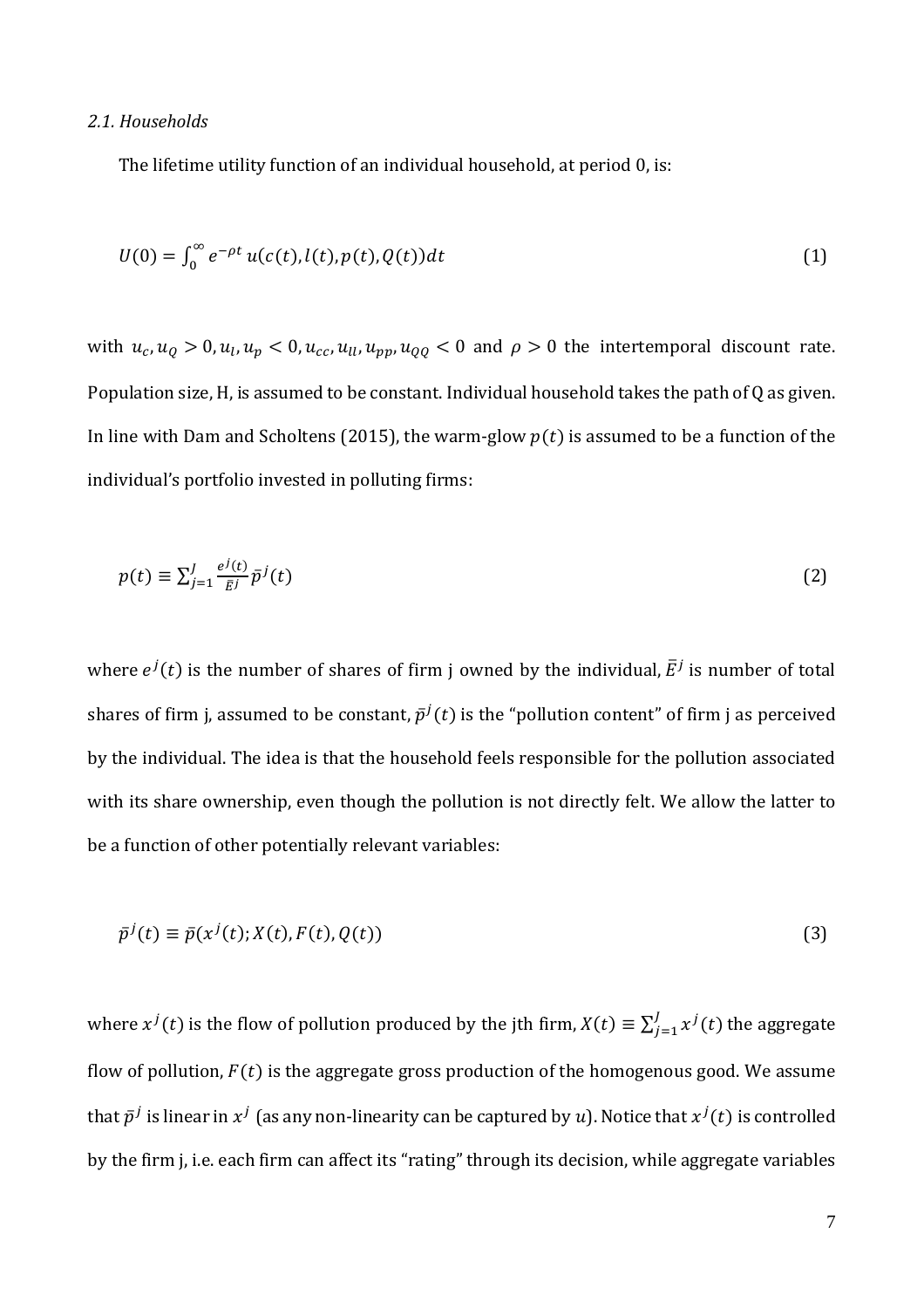#### *2.1. Households*

The lifetime utility function of an individual household, at period 0, is:

$$
U(0) = \int_0^\infty e^{-\rho t} u(c(t), l(t), p(t), Q(t)) dt
$$
 (1)

with  $u_c$ ,  $u_q > 0$ ,  $u_l$ ,  $u_p < 0$ ,  $u_{cc}$ ,  $u_{ll}$ ,  $u_{pp}$ ,  $u_{QQ} < 0$  and  $\rho > 0$  the intertemporal discount rate. Population size, H, is assumed to be constant. Individual household takes the path of Q as given. In line with Dam and Scholtens (2015), the warm-glow  $p(t)$  is assumed to be a function of the individual's portfolio invested in polluting firms:

$$
p(t) \equiv \sum_{j=1}^{J} \frac{e^{j}(t)}{\bar{E}^{j}} \bar{p}^{j}(t)
$$
 (2)

where  $e^{j}(t)$  is the number of shares of firm j owned by the individual,  $\bar{E}^{j}$  is number of total shares of firm j, assumed to be constant,  $\bar{p}^j(t)$  is the "pollution content" of firm j as perceived by the individual. The idea is that the household feels responsible for the pollution associated with its share ownership, even though the pollution is not directly felt. We allow the latter to be a function of other potentially relevant variables:

$$
\bar{p}^j(t) \equiv \bar{p}(x^j(t); X(t), F(t), Q(t)) \tag{3}
$$

where  $x^{j}(t)$  is the flow of pollution produced by the jth firm,  $X(t) \equiv \sum_{i=1}^{J} x^{j}(t)$  $\int_{j=1}^{J} x^{j}(t)$  the aggregate flow of pollution,  $F(t)$  is the aggregate gross production of the homogenous good. We assume that  $\bar p^j$  is linear in  $x^j$  (as any non-linearity can be captured by  $u$ ). Notice that  $x^j(t)$  is controlled by the firm j, i.e. each firm can affect its "rating" through its decision, while aggregate variables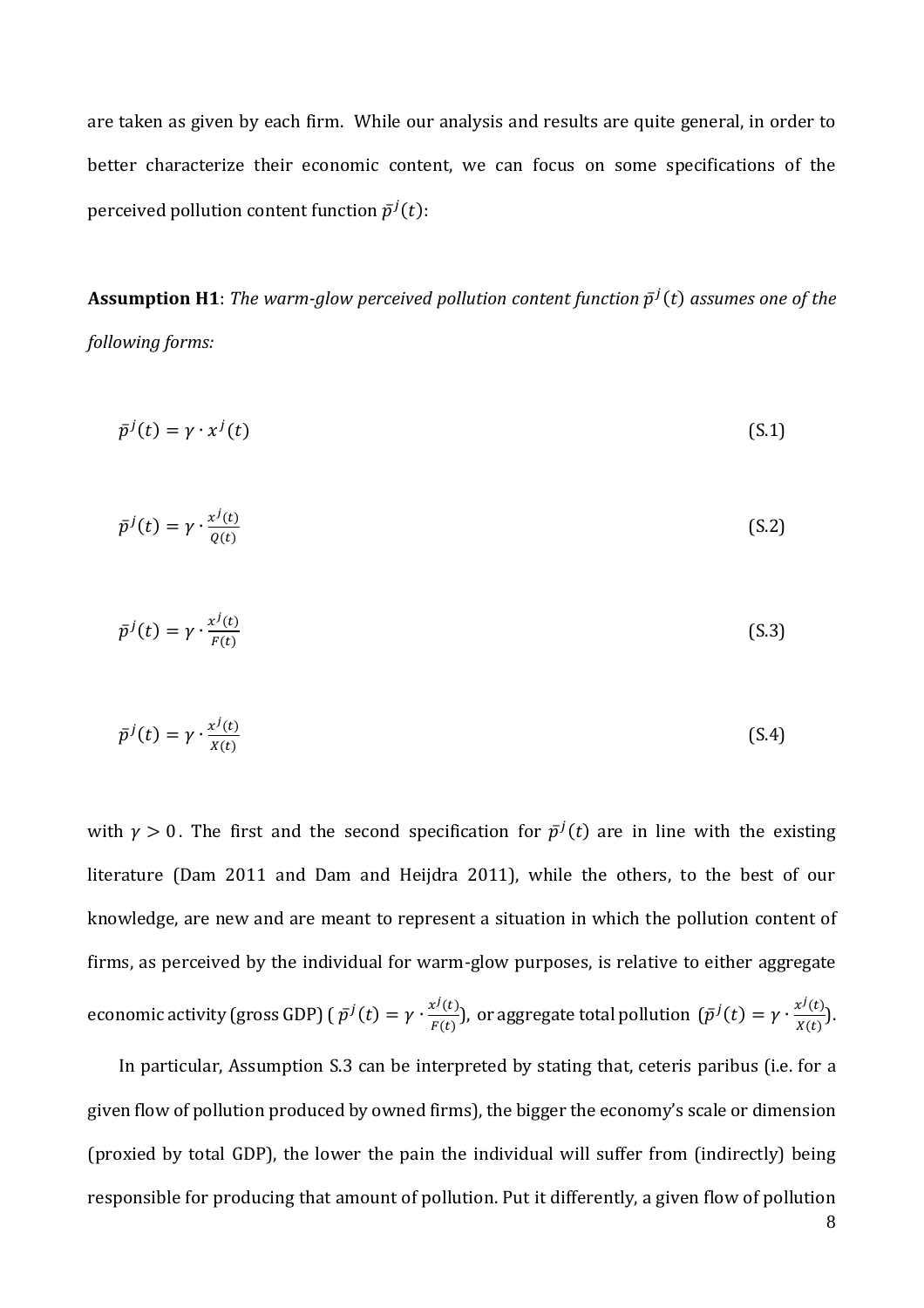are taken as given by each firm. While our analysis and results are quite general, in order to better characterize their economic content, we can focus on some specifications of the perceived pollution content function  $\bar{p}^j(t)$ :

 ${\bf Assumption~H1:}$  The warm-glow perceived pollution content function  $\bar{p}^j(t)$  assumes one of the *following forms:*

$$
\bar{p}^j(t) = \gamma \cdot x^j(t) \tag{S.1}
$$

$$
\bar{p}^j(t) = \gamma \cdot \frac{x^j(t)}{Q(t)}\tag{S.2}
$$

$$
\bar{p}^j(t) = \gamma \cdot \frac{x^j(t)}{F(t)}
$$
\n(S.3)

$$
\bar{p}^j(t) = \gamma \cdot \frac{x^j(t)}{x(t)}
$$
\n(S.4)

with  $\gamma > 0$ . The first and the second specification for  $\bar{p}^j(t)$  are in line with the existing literature (Dam 2011 and Dam and Heijdra 2011), while the others, to the best of our knowledge, are new and are meant to represent a situation in which the pollution content of firms, as perceived by the individual for warm-glow purposes, is relative to either aggregate economic activity (gross GDP) (  $\bar{p}^j(t) = \gamma \cdot \frac{x^j(t)}{E(t)}$  $\frac{x^j(t)}{F(t)}$ ), or aggregate total pollution  $(\bar{p}^j(t) = \gamma \cdot \frac{x^j(t)}{X(t)})$  $\frac{X^{2}(t)}{X(t)}$ ).

In particular, Assumption S.3 can be interpreted by stating that, ceteris paribus (i.e. for a given flow of pollution produced by owned firms), the bigger the economy's scale or dimension (proxied by total GDP), the lower the pain the individual will suffer from (indirectly) being responsible for producing that amount of pollution. Put it differently, a given flow of pollution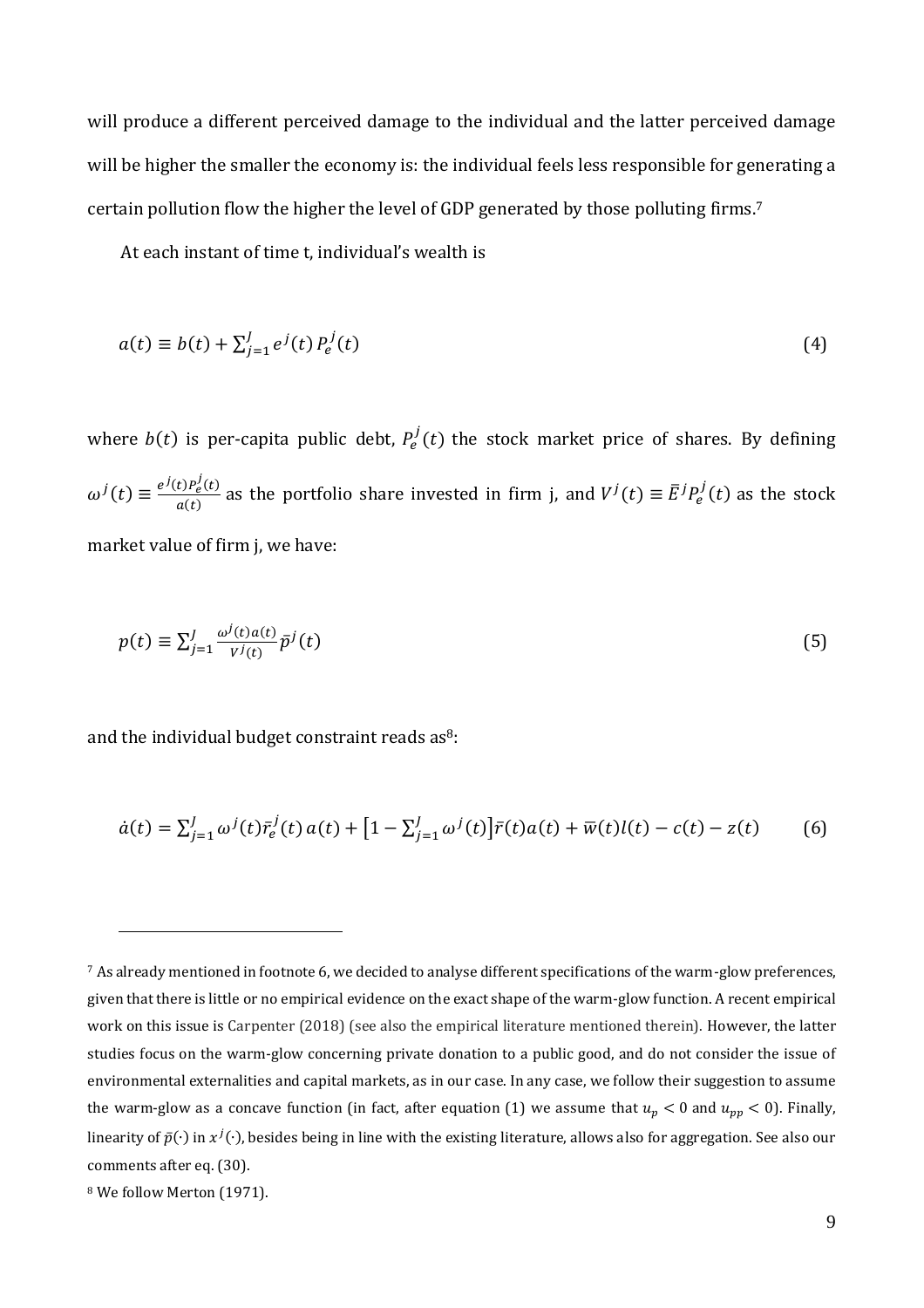will produce a different perceived damage to the individual and the latter perceived damage will be higher the smaller the economy is: the individual feels less responsible for generating a certain pollution flow the higher the level of GDP generated by those polluting firms.<sup>7</sup>

At each instant of time t, individual's wealth is

$$
a(t) \equiv b(t) + \sum_{j=1}^{J} e^{j}(t) P_e^{j}(t)
$$
\n(4)

where  $b(t)$  is per-capita public debt,  $P_e^j(t)$  the stock market price of shares. By defining  $\omega^{j}(t) \equiv \frac{e^{j}(t)P_{e}^{j}(t)}{q(t)}$  $\frac{dD P_e(t)}{d(t)}$  as the portfolio share invested in firm j, and  $V^j(t) \equiv \bar{E}^j P_e^j(t)$  as the stock market value of firm j, we have:

$$
p(t) \equiv \sum_{j=1}^{J} \frac{\omega^j(t)a(t)}{V^j(t)} \bar{p}^j(t) \tag{5}
$$

and the individual budget constraint reads as<sup>8</sup>:

$$
\dot{a}(t) = \sum_{j=1}^{J} \omega^j(t) \bar{r}_e^j(t) a(t) + [1 - \sum_{j=1}^{J} \omega^j(t)] \bar{r}(t) a(t) + \bar{w}(t)l(t) - c(t) - z(t) \tag{6}
$$

<u>.</u>

 $7$  As already mentioned in footnote 6, we decided to analyse different specifications of the warm-glow preferences, given that there is little or no empirical evidence on the exact shape of the warm-glow function. A recent empirical work on this issue is Carpenter (2018) (see also the empirical literature mentioned therein). However, the latter studies focus on the warm-glow concerning private donation to a public good, and do not consider the issue of environmental externalities and capital markets, as in our case. In any case, we follow their suggestion to assume the warm-glow as a concave function (in fact, after equation (1) we assume that  $u_p < 0$  and  $u_{pp} < 0$ ). Finally, linearity of  $\bar p(\cdot)$  in  $x^j(\cdot)$ , besides being in line with the existing literature, allows also for aggregation. See also our comments after eq. (30).

<sup>8</sup> We follow Merton (1971).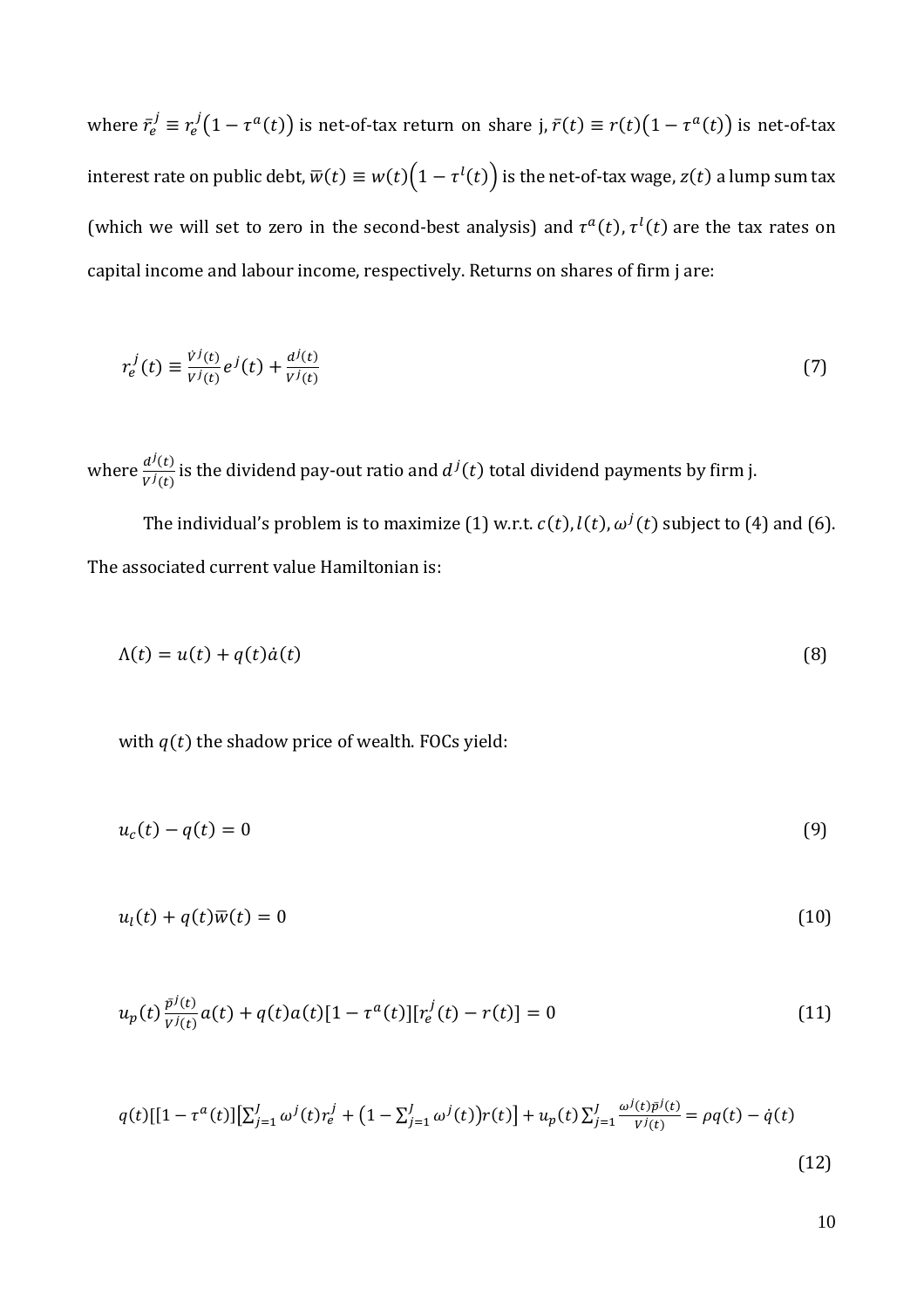where  $\bar{r}_e^j \equiv r_e^j(1-\tau^a(t))$  is net-of-tax return on share j,  $\bar{r}(t) \equiv r(t)(1-\tau^a(t))$  is net-of-tax interest rate on public debt,  $\overline{w}(t) \equiv w(t) \big(1 - \tau^l(t)\big)$  is the net-of-tax wage,  $z(t)$  a lump sum tax (which we will set to zero in the second-best analysis) and  $\tau^a(t)$ ,  $\tau^l(t)$  are the tax rates on capital income and labour income, respectively. Returns on shares of firm j are:

$$
r_e^j(t) \equiv \frac{\dot{v}^j(t)}{v^j(t)} e^j(t) + \frac{d^j(t)}{v^j(t)}
$$
\n
$$
\tag{7}
$$

where  $\frac{d^{j}(t)}{V^{j}(t)}$  $\frac{d^j(t)}{V^j(t)}$  is the dividend pay-out ratio and  $d^j(t)$  total dividend payments by firm j.

The individual's problem is to maximize (1) w.r.t.  $c(t)$ ,  $l(t)$ ,  $\omega^{j}(t)$  subject to (4) and (6). The associated current value Hamiltonian is:

$$
\Lambda(t) = u(t) + q(t)\dot{a}(t) \tag{8}
$$

with  $q(t)$  the shadow price of wealth. FOCs yield:

$$
u_c(t) - q(t) = 0 \tag{9}
$$

$$
u_l(t) + q(t)\overline{w}(t) = 0 \tag{10}
$$

$$
u_p(t)\frac{\bar{p}^j(t)}{v^j(t)}a(t) + q(t)a(t)[1 - \tau^a(t)][r_e^j(t) - r(t)] = 0
$$
\n(11)

$$
q(t)[[1 - \tau^{a}(t)][\sum_{j=1}^{J} \omega^{j}(t)r_{e}^{j} + (1 - \sum_{j=1}^{J} \omega^{j}(t))r(t)] + u_{p}(t)\sum_{j=1}^{J} \frac{\omega^{j}(t)\bar{p}^{j}(t)}{V^{j}(t)} = \rho q(t) - \dot{q}(t)
$$
\n(12)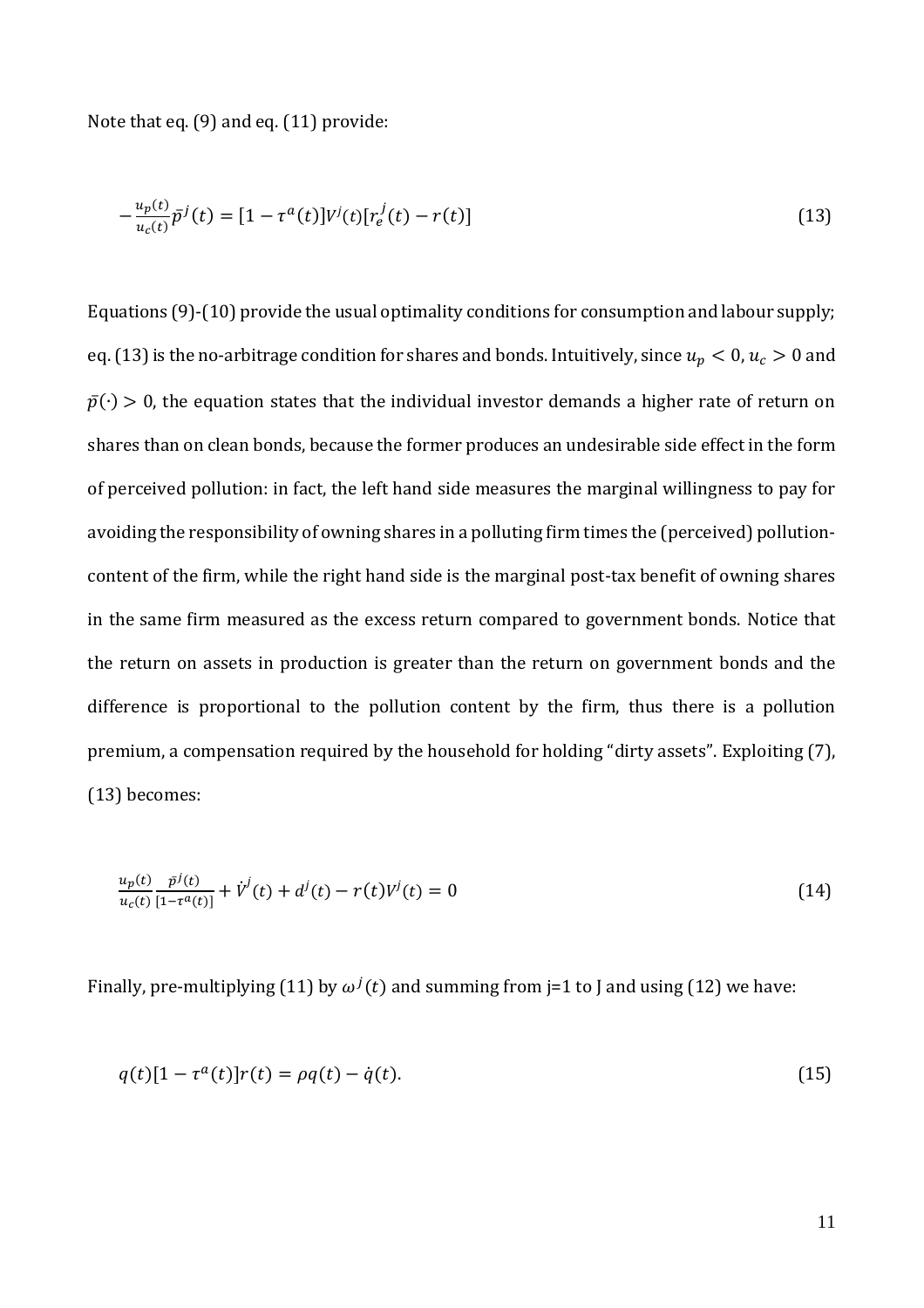Note that eq. (9) and eq. (11) provide:

$$
-\frac{u_p(t)}{u_c(t)}\bar{p}^j(t) = [1 - \tau^a(t)]V^j(t)[r_e^j(t) - r(t)]
$$
\n(13)

Equations (9)-(10) provide the usual optimality conditions for consumption and labour supply; eq. (13) is the no-arbitrage condition for shares and bonds. Intuitively, since  $u_p < 0$ ,  $u_c > 0$  and  $\bar{p}(\cdot) > 0$ , the equation states that the individual investor demands a higher rate of return on shares than on clean bonds, because the former produces an undesirable side effect in the form of perceived pollution: in fact, the left hand side measures the marginal willingness to pay for avoiding the responsibility of owning shares in a polluting firm times the (perceived) pollutioncontent of the firm, while the right hand side is the marginal post-tax benefit of owning shares in the same firm measured as the excess return compared to government bonds. Notice that the return on assets in production is greater than the return on government bonds and the difference is proportional to the pollution content by the firm, thus there is a pollution premium, a compensation required by the household for holding "dirty assets". Exploiting (7), (13) becomes:

$$
\frac{u_p(t)}{u_c(t)} \frac{\bar{p}^j(t)}{[1 - \tau^a(t)]} + \dot{V}^j(t) + d^j(t) - r(t)V^j(t) = 0
$$
\n(14)

Finally, pre-multiplying (11) by  $\omega^{j}(t)$  and summing from j=1 to J and using (12) we have:

$$
q(t)[1 - \tau^{a}(t)]r(t) = \rho q(t) - \dot{q}(t).
$$
\n(15)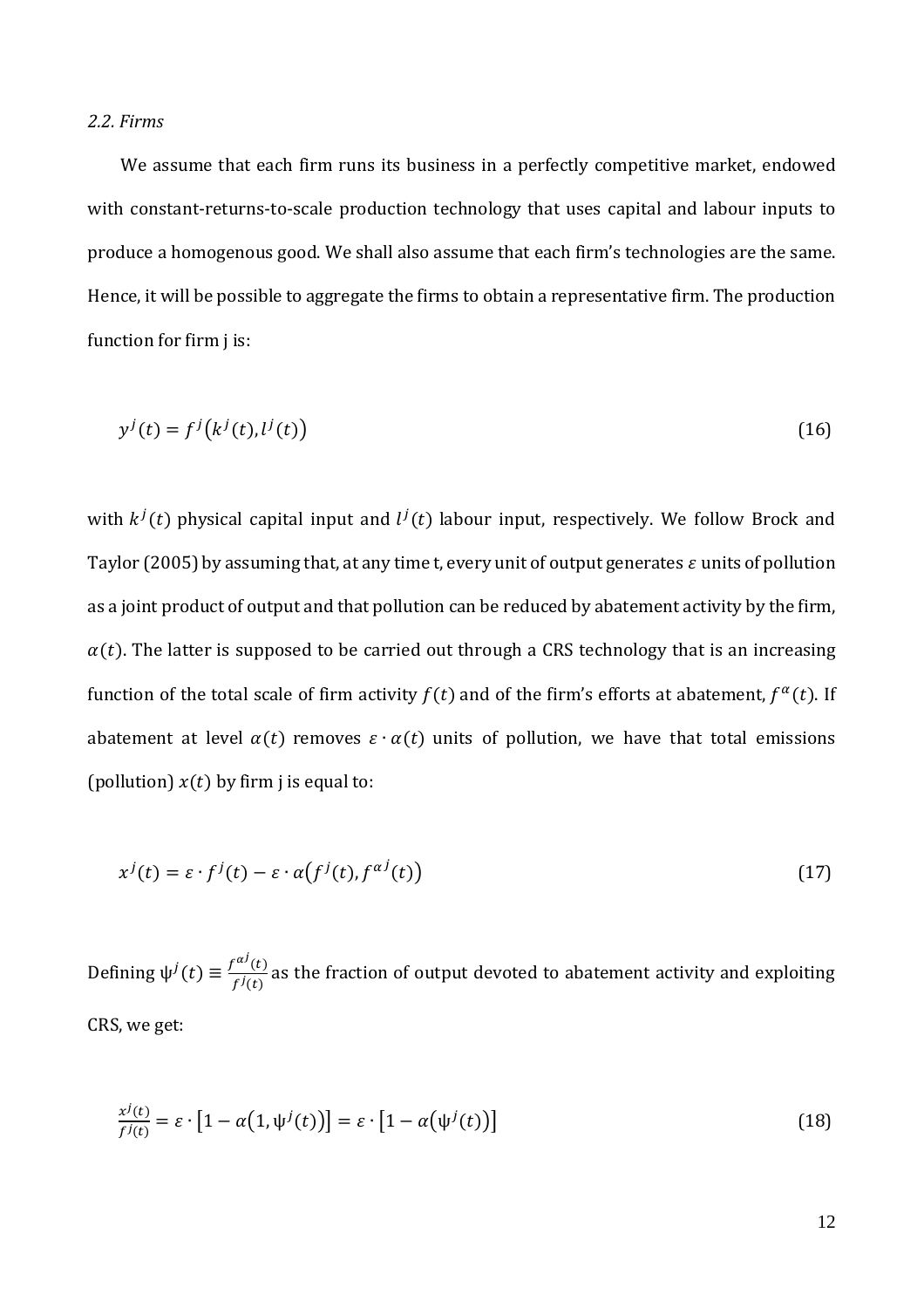#### *2.2. Firms*

We assume that each firm runs its business in a perfectly competitive market, endowed with constant-returns-to-scale production technology that uses capital and labour inputs to produce a homogenous good. We shall also assume that each firm's technologies are the same. Hence, it will be possible to aggregate the firms to obtain a representative firm. The production function for firm j is:

$$
y^{j}(t) = f^{j}(k^{j}(t), l^{j}(t))
$$
\n<sup>(16)</sup>

with  $k^j(t)$  physical capital input and  $l^j(t)$  labour input, respectively. We follow Brock and Taylor (2005) by assuming that, at any time t, every unit of output generates  $\varepsilon$  units of pollution as a joint product of output and that pollution can be reduced by abatement activity by the firm,  $\alpha(t)$ . The latter is supposed to be carried out through a CRS technology that is an increasing function of the total scale of firm activity  $f(t)$  and of the firm's efforts at abatement,  $f^{\alpha}(t)$ . If abatement at level  $\alpha(t)$  removes  $\varepsilon \cdot \alpha(t)$  units of pollution, we have that total emissions (pollution)  $x(t)$  by firm j is equal to:

$$
x^{j}(t) = \varepsilon \cdot f^{j}(t) - \varepsilon \cdot \alpha(f^{j}(t), f^{\alpha j}(t))
$$
\n(17)

Defining  $\psi^j(t) \equiv \frac{f^{ai}(t)}{f^{j}(t)}$  $\frac{d}{f^j(t)}$  as the fraction of output devoted to abatement activity and exploiting CRS, we get:

$$
\frac{x^j(t)}{f^j(t)} = \varepsilon \cdot [1 - \alpha(1, \psi^j(t))] = \varepsilon \cdot [1 - \alpha(\psi^j(t))]
$$
\n(18)

12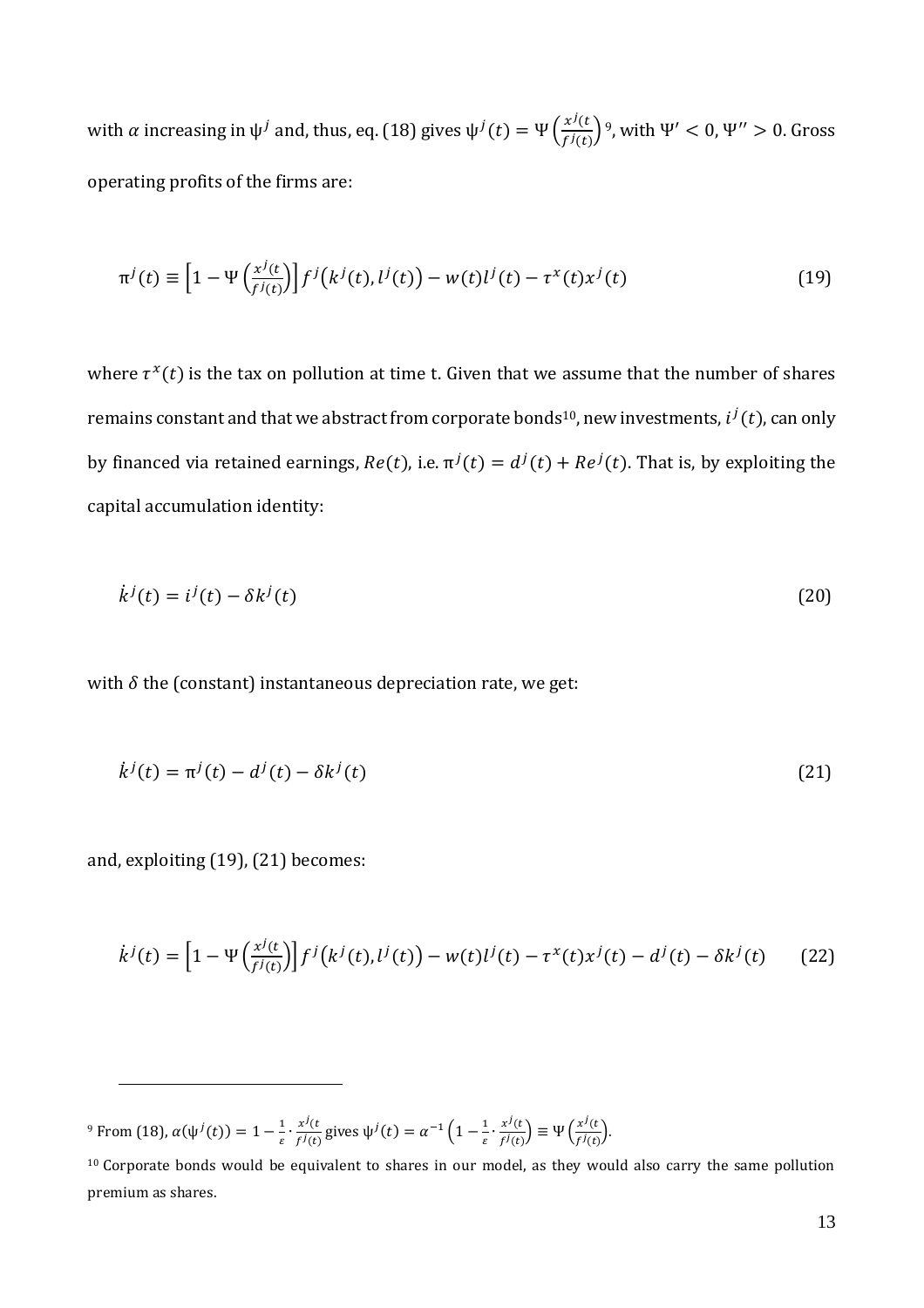with  $\alpha$  increasing in  $\psi^j$  and, thus, eq. (18) gives  $\psi^j(t) = \Psi\left(\frac{x^j(t)}{f(t)}\right)$  $\left(\frac{x\cdot(t)}{f^j(t)}\right)^9$ , with  $\Psi' < 0$ ,  $\Psi'' > 0$ . Gross operating profits of the firms are:

$$
\pi^{j}(t) \equiv \left[1 - \Psi\left(\frac{x^{j}(t)}{f^{j}(t)}\right)\right] f^{j}\left(k^{j}(t), l^{j}(t)\right) - w(t)l^{j}(t) - \tau^{x}(t)x^{j}(t)
$$
\n(19)

where  $\tau^x(t)$  is the tax on pollution at time t. Given that we assume that the number of shares remains constant and that we abstract from corporate bonds $^{10}$ , new investments,  $i^j(t)$ , can only by financed via retained earnings,  $Re(t)$ , i.e.  $\pi^{j}(t) = d^{j}(t) + Re^{j}(t)$ . That is, by exploiting the capital accumulation identity:

$$
\dot{k}^j(t) = i^j(t) - \delta k^j(t) \tag{20}
$$

with  $\delta$  the (constant) instantaneous depreciation rate, we get:

$$
\dot{k}^{j}(t) = \pi^{j}(t) - d^{j}(t) - \delta k^{j}(t)
$$
\n(21)

and, exploiting (19), (21) becomes:

 $\overline{a}$ 

$$
\dot{k}^{j}(t) = \left[1 - \Psi\left(\frac{x^{j}(t)}{f^{j}(t)}\right)\right] f^{j}\left(k^{j}(t), l^{j}(t)\right) - w(t)l^{j}(t) - \tau^{x}(t)x^{j}(t) - d^{j}(t) - \delta k^{j}(t) \tag{22}
$$

<sup>9</sup> From (18),  $\alpha(\psi^{j}(t)) = 1 - \frac{1}{s}$  $\frac{1}{\varepsilon} \cdot \frac{x^j(t)}{f^j(t)}$  $\frac{x^j(t)}{f^j(t)}$  gives  $\psi^j(t) = \alpha^{-1} \left(1 - \frac{1}{\varepsilon}\right)$  $\frac{1}{\varepsilon} \cdot \frac{x^j(t)}{f^j(t)}$  $\left(\frac{x^j(t)}{f^j(t)}\right) \equiv \Psi\left(\frac{x^j(t)}{f^j(t)}\right)$  $\frac{x^{2}(t)}{f^{j}(t)}$ .

<sup>&</sup>lt;sup>10</sup> Corporate bonds would be equivalent to shares in our model, as they would also carry the same pollution premium as shares.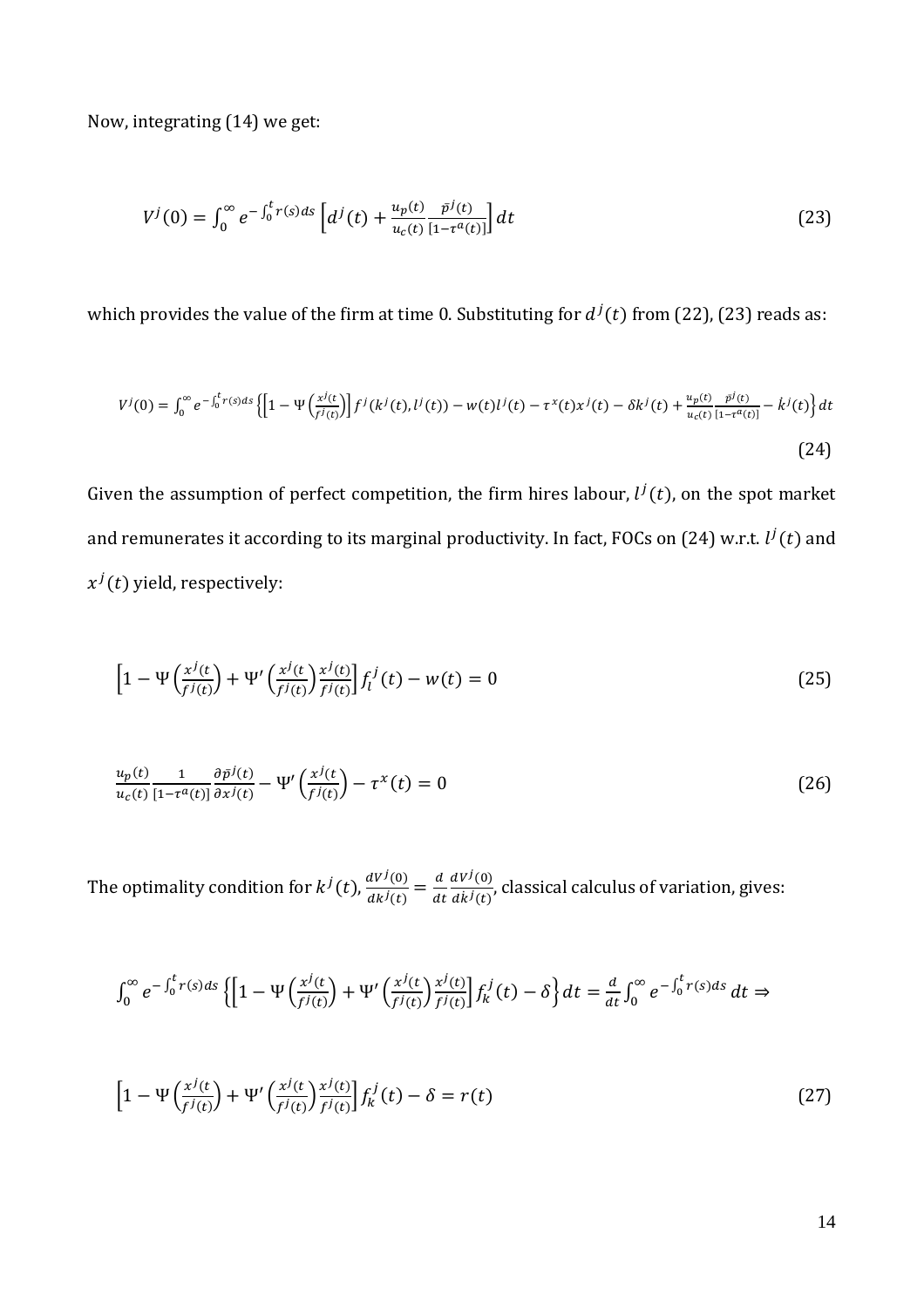Now, integrating (14) we get:

$$
V^{j}(0) = \int_{0}^{\infty} e^{-\int_{0}^{t} r(s)ds} \left[ d^{j}(t) + \frac{u_{p}(t)}{u_{c}(t)} \frac{\bar{p}^{j}(t)}{[1 - \tau^{a}(t)]} \right] dt \tag{23}
$$

which provides the value of the firm at time 0. Substituting for  $d^{\,j}(t)$  from (22), (23) reads as:

$$
V^{j}(0) = \int_{0}^{\infty} e^{-\int_{0}^{t} r(s)ds} \left\{ \left[ 1 - \Psi\left(\frac{x^{j}(t)}{f^{j}(t)}\right) \right] f^{j}(k^{j}(t), l^{j}(t)) - w(t)l^{j}(t) - \tau^{x}(t)x^{j}(t) - \delta k^{j}(t) + \frac{u_{p}(t)}{u_{c}(t)} \frac{\bar{p}^{j}(t)}{[1 - \tau^{a}(t)]} - k^{j}(t) \right\} dt
$$
\n(24)

Given the assumption of perfect competition, the firm hires labour,  $l^j(t)$ , on the spot market and remunerates it according to its marginal productivity. In fact, FOCs on (24) w.r.t.  $l^j(t)$  and  $x^j(t)$  yield, respectively:

$$
\left[1 - \Psi\left(\frac{x^j(t)}{f^j(t)}\right) + \Psi'\left(\frac{x^j(t)}{f^j(t)}\right)\frac{x^j(t)}{f^j(t)}\right] f_l^j(t) - w(t) = 0\tag{25}
$$

$$
\frac{u_p(t)}{u_c(t)} \frac{1}{\left[1 - \tau^a(t)\right]} \frac{\partial \bar{p}^j(t)}{\partial x^j(t)} - \Psi'\left(\frac{x^j(t)}{f^j(t)}\right) - \tau^x(t) = 0 \tag{26}
$$

The optimality condition for  $k^{j}(t)$ ,  $\frac{dV^{j}(0)}{dt^{j}(t)}$  $\frac{dV^j(0)}{dk^j(t)} = \frac{d}{dt}$  $dt$  $dV^j(0)$  $\frac{dV^{2}(0)}{dk^{j}(t)}$ , classical calculus of variation, gives:

$$
\int_0^\infty e^{-\int_0^t r(s)ds} \left\{ \left[ 1 - \Psi\left(\frac{x^j(t)}{f^j(t)}\right) + \Psi'\left(\frac{x^j(t)}{f^j(t)}\right) \frac{x^j(t)}{f^j(t)} \right] f_k^j(t) - \delta \right\} dt = \frac{d}{dt} \int_0^\infty e^{-\int_0^t r(s)ds} dt \Rightarrow
$$

$$
\left[1 - \Psi\left(\frac{x^j(t)}{f^j(t)}\right) + \Psi'\left(\frac{x^j(t)}{f^j(t)}\right)\frac{x^j(t)}{f^j(t)}\right] f_k^j(t) - \delta = r(t) \tag{27}
$$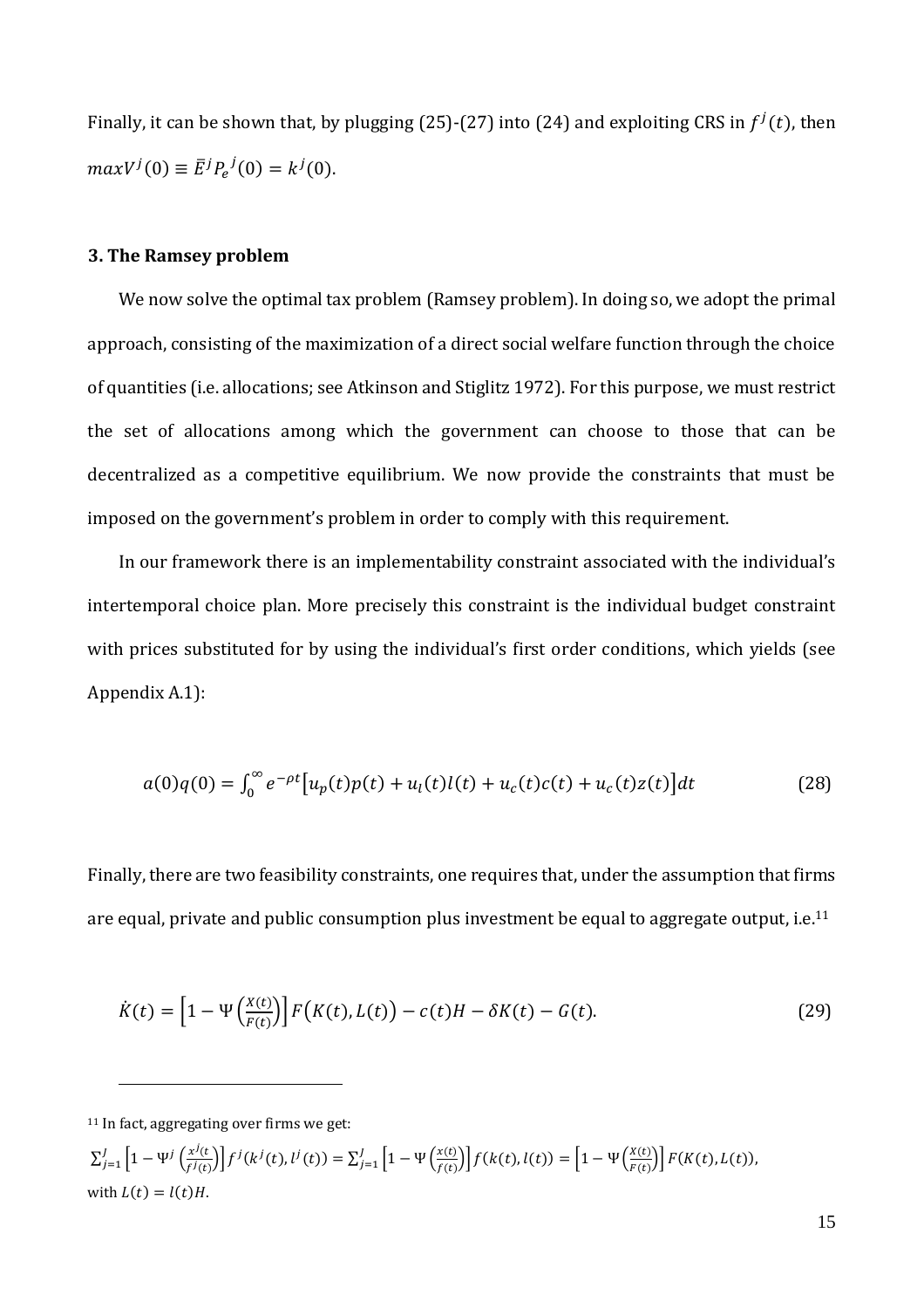Finally, it can be shown that, by plugging (25)-(27) into (24) and exploiting CRS in  $f^{j}(t)$ , then  $maxV^{j}(0) \equiv \bar{E}^{j}P_{e}^{j}(0) = k^{j}(0).$ 

#### **3. The Ramsey problem**

We now solve the optimal tax problem (Ramsey problem). In doing so, we adopt the primal approach, consisting of the maximization of a direct social welfare function through the choice of quantities (i.e. allocations; see Atkinson and Stiglitz 1972). For this purpose, we must restrict the set of allocations among which the government can choose to those that can be decentralized as a competitive equilibrium. We now provide the constraints that must be imposed on the government's problem in order to comply with this requirement.

In our framework there is an implementability constraint associated with the individual's intertemporal choice plan. More precisely this constraint is the individual budget constraint with prices substituted for by using the individual's first order conditions, which yields (see Appendix A.1):

$$
a(0)q(0) = \int_0^\infty e^{-\rho t} \left[ u_p(t)p(t) + u_l(t)l(t) + u_c(t)c(t) + u_c(t)z(t) \right] dt \tag{28}
$$

Finally, there are two feasibility constraints, one requires that, under the assumption that firms are equal, private and public consumption plus investment be equal to aggregate output, i.e. $^{11}$ 

$$
\dot{K}(t) = \left[1 - \Psi\left(\frac{X(t)}{F(t)}\right)\right] F\left(K(t), L(t)\right) - c(t)H - \delta K(t) - G(t). \tag{29}
$$

 $\overline{a}$ 

 $\sum_{i=1}^{J} \left[1 - \Psi^{j}\left(\frac{x^{j}(t)}{s^{j}(t)}\right)\right]$  $\int_{j=1}^{J} \left[1 - \Psi^j\left(\frac{x^j(t)}{f^j(t)}\right)\right] f^j(k^j(t), l^j(t)) = \sum_{j=1}^{J} \left[1 - \Psi\left(\frac{x(t)}{f(t)}\right)\right]$  $\int_{j=1}^{J} \left[1 - \Psi\left(\frac{x(t)}{f(t)}\right)\right] f(k(t), l(t)) = \left[1 - \Psi\left(\frac{x(t)}{F(t)}\right)\right]$  $\left[\frac{K(t)}{F(t)}\right]$   $F(K(t), L(t)),$ with  $L(t) = l(t)H$ .

<sup>&</sup>lt;sup>11</sup> In fact, aggregating over firms we get: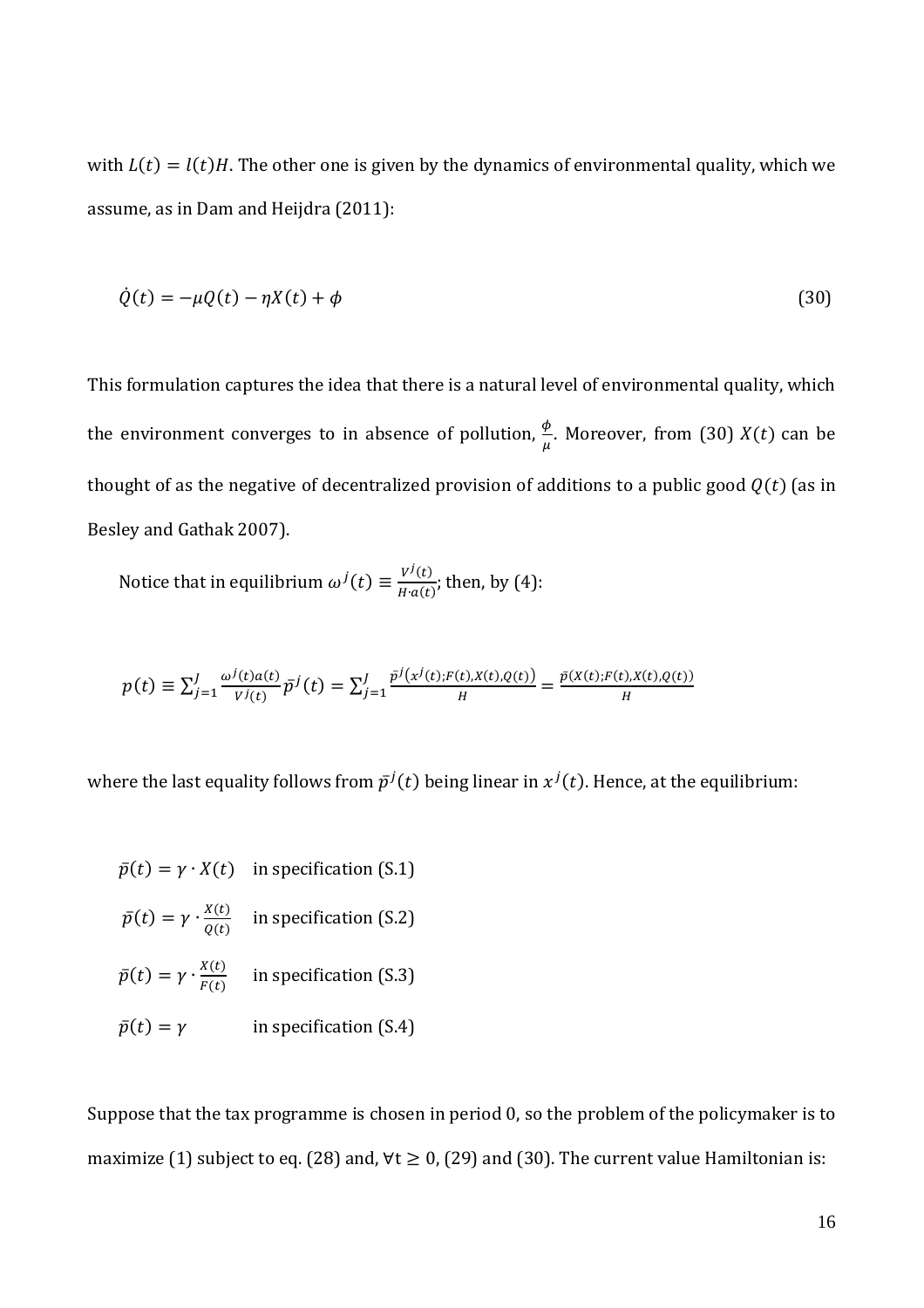with  $L(t) = l(t)H$ . The other one is given by the dynamics of environmental quality, which we assume, as in Dam and Heijdra (2011):

$$
\dot{Q}(t) = -\mu Q(t) - \eta X(t) + \phi \tag{30}
$$

This formulation captures the idea that there is a natural level of environmental quality, which the environment converges to in absence of pollution,  $\frac{\phi}{\mu}$ . Moreover, from (30)  $X(t)$  can be thought of as the negative of decentralized provision of additions to a public good  $Q(t)$  (as in Besley and Gathak 2007).

Notice that in equilibrium  $\omega^{j}(t) \equiv \frac{V^{j}(t)}{H_{\text{tot}}(t)}$  $\frac{\sqrt{v^2(t)}}{H^2a(t)}$ ; then, by (4):

$$
p(t) \equiv \sum_{j=1}^{J} \frac{\omega^{j}(t)a(t)}{V^{j}(t)} \bar{p}^{j}(t) = \sum_{j=1}^{J} \frac{\bar{p}^{j}(x^{j}(t); F(t), X(t), Q(t))}{H} = \frac{\bar{p}(X(t); F(t), X(t), Q(t))}{H}
$$

where the last equality follows from  $\bar{p}^j(t)$  being linear in  $x^j(t)$ . Hence, at the equilibrium:

$$
\bar{p}(t) = \gamma \cdot X(t) \quad \text{in specification (S.1)}
$$

$$
\bar{p}(t) = \gamma \cdot \frac{x(t)}{Q(t)}
$$
 in specification (S.2)

 $\bar{p}(t) = \gamma \cdot \frac{X(t)}{F(t)}$  $\frac{dE(t)}{F(t)}$  in specification (S.3)

$$
\bar{p}(t) = \gamma \qquad \qquad \text{in specification (S.4)}
$$

Suppose that the tax programme is chosen in period 0, so the problem of the policymaker is to maximize (1) subject to eq. (28) and,  $\forall t \ge 0$ , (29) and (30). The current value Hamiltonian is: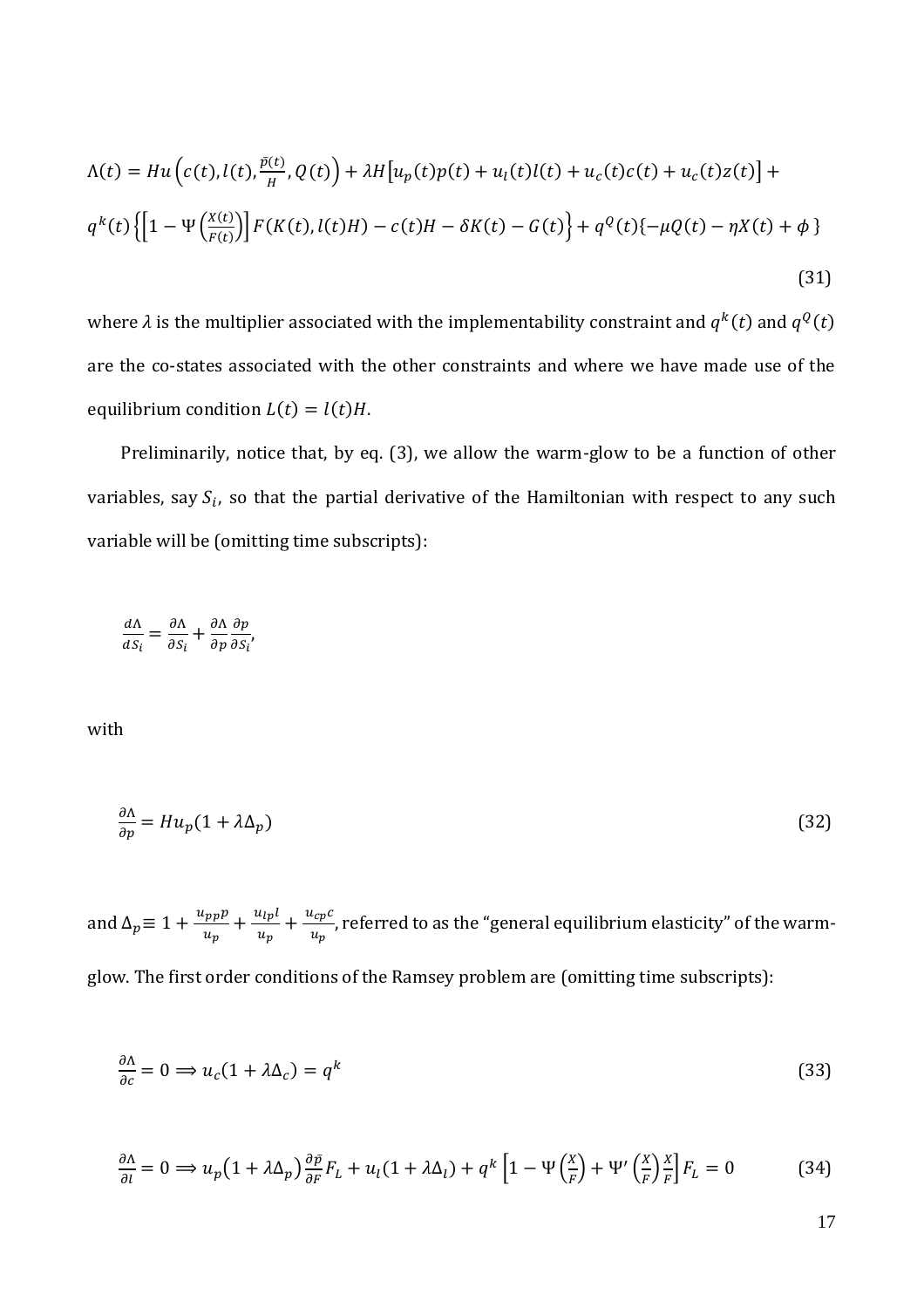$$
\Lambda(t) = Hu\left(c(t), l(t), \frac{\bar{p}(t)}{H}, Q(t)\right) + \lambda H\left[u_p(t)p(t) + u_l(t)l(t) + u_c(t)c(t) + u_c(t)z(t)\right] +
$$
  
\n
$$
q^k(t)\left\{\left[1 - \Psi\left(\frac{X(t)}{F(t)}\right)\right]F(K(t), l(t)H) - c(t)H - \delta K(t) - G(t)\right\} + q^Q(t)\{-\mu Q(t) - \eta X(t) + \phi\}
$$
\n(31)

where  $\lambda$  is the multiplier associated with the implementability constraint and  $q^k(t)$  and  $q^Q(t)$ are the co-states associated with the other constraints and where we have made use of the equilibrium condition  $L(t) = l(t)H$ .

Preliminarily, notice that, by eq. (3), we allow the warm-glow to be a function of other variables, say  $S_i$ , so that the partial derivative of the Hamiltonian with respect to any such variable will be (omitting time subscripts):

$$
\frac{d\Lambda}{dS_i} = \frac{\partial \Lambda}{\partial S_i} + \frac{\partial \Lambda}{\partial p} \frac{\partial p}{\partial S_i'},
$$

with

$$
\frac{\partial \Lambda}{\partial p} = H u_p (1 + \lambda \Delta_p) \tag{32}
$$

and  $\Delta_p \equiv 1 + \frac{u_{pp}p}{u_p}$  $\frac{u_{pp}p}{u_p} + \frac{u_{lp}l}{u_p}$  $\frac{u_{lp}l}{u_p} + \frac{u_{cp}c}{u_p}$  $\frac{\partial^2 C_{PP}}{\partial u_p}$ , referred to as the "general equilibrium elasticity" of the warmglow. The first order conditions of the Ramsey problem are (omitting time subscripts):

$$
\frac{\partial \Lambda}{\partial c} = 0 \implies u_c (1 + \lambda \Delta_c) = q^k \tag{33}
$$

$$
\frac{\partial \Lambda}{\partial l} = 0 \Longrightarrow u_p \left( 1 + \lambda \Delta_p \right) \frac{\partial \bar{p}}{\partial F} F_L + u_l (1 + \lambda \Delta_l) + q^k \left[ 1 - \Psi \left( \frac{X}{F} \right) + \Psi' \left( \frac{X}{F} \right) \frac{X}{F} \right] F_L = 0 \tag{34}
$$

17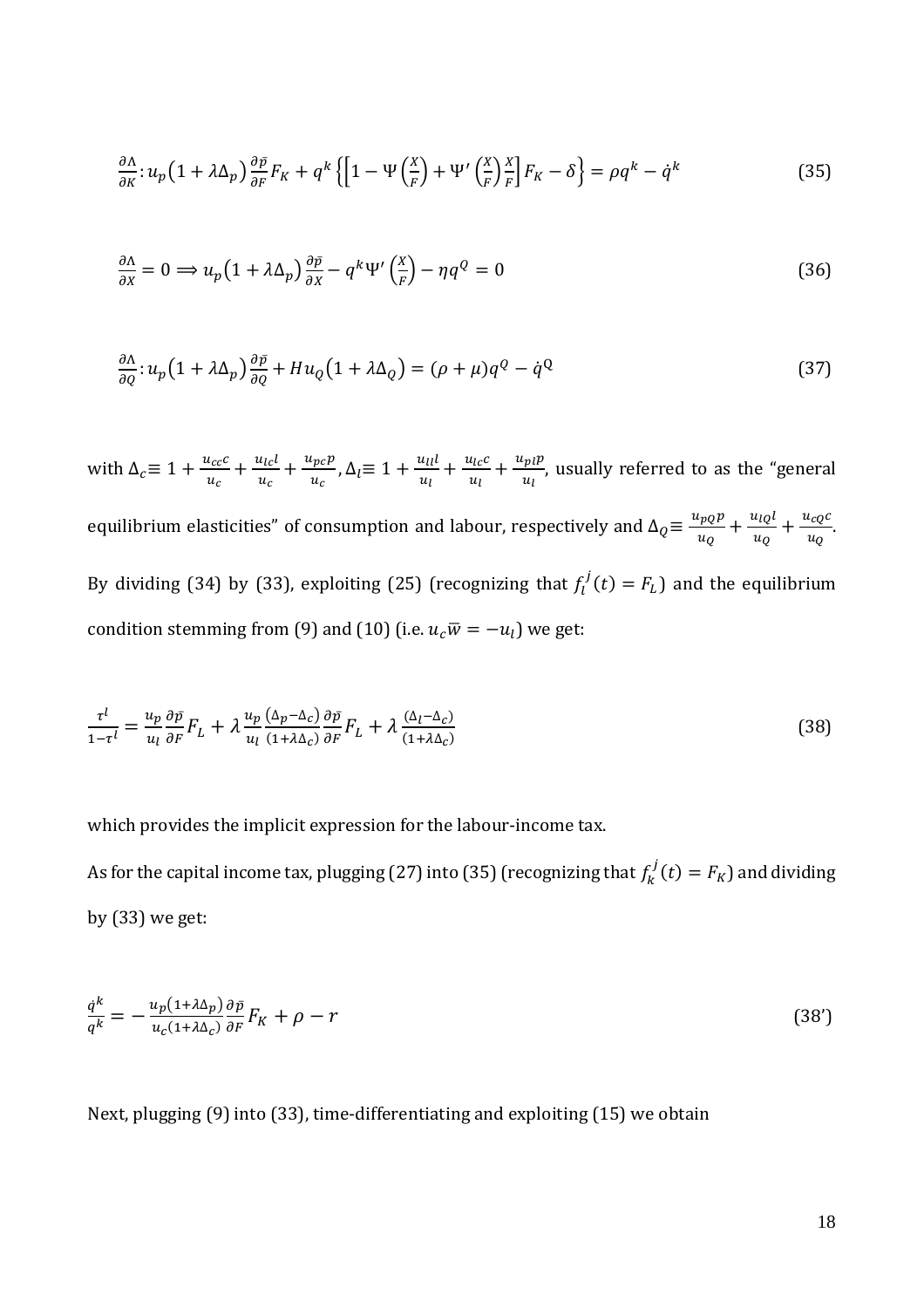$$
\frac{\partial \Lambda}{\partial K} : u_p \left( 1 + \lambda \Delta_p \right) \frac{\partial \bar{p}}{\partial F} F_K + q^k \left\{ \left[ 1 - \Psi \left( \frac{X}{F} \right) + \Psi' \left( \frac{X}{F} \right) \frac{X}{F} \right] F_K - \delta \right\} = \rho q^k - \dot{q}^k \tag{35}
$$

$$
\frac{\partial \Lambda}{\partial x} = 0 \Longrightarrow u_p \left( 1 + \lambda \Delta_p \right) \frac{\partial \bar{p}}{\partial x} - q^k \Psi' \left( \frac{x}{F} \right) - \eta q^Q = 0 \tag{36}
$$

$$
\frac{\partial \Lambda}{\partial q} : u_p \left( 1 + \lambda \Delta_p \right) \frac{\partial \bar{p}}{\partial q} + H u_Q \left( 1 + \lambda \Delta_Q \right) = (\rho + \mu) q^Q - \dot{q}^Q \tag{37}
$$

with  $\Delta_c \equiv 1 + \frac{u_{cc}c}{u_{cs}}$  $\frac{u_{cc}c}{u_c} + \frac{u_{lc}l}{u_c}$  $\frac{u_{lc}l}{u_c} + \frac{u_{pc}p}{u_c}$  $\frac{u_{pc}p}{u_c}$ ,  $\Delta_l \equiv 1 + \frac{u_{ll}l}{u_l}$  $\frac{u_{ll}l}{u_{l}}+\frac{u_{lc}c}{u_{l}}$  $\frac{u_{lc}c}{u_l} + \frac{u_{pl}p}{u_l}$  $\frac{p_l p_l}{u_l}$ , usually referred to as the "general equilibrium elasticities" of consumption and labour, respectively and  $\Delta_Q \equiv \frac{u_{PQ}p}{\mu_Q}$  $\frac{u_{pQ}p}{u_Q} + \frac{u_{lQ}l}{u_Q}$  $\frac{u_{lQ}l}{u_Q} + \frac{u_{cQ}c}{u_Q}$  $\frac{c_{\mathcal{Q}}c}{u_{\mathcal{Q}}}$ . By dividing (34) by (33), exploiting (25) (recognizing that  $f_l^j(t) = F_L$ ) and the equilibrium condition stemming from (9) and (10) (i.e.  $u_c\overline{w} = -u_l$ ) we get:

$$
\frac{\tau^l}{1-\tau^l} = \frac{u_p}{u_l} \frac{\partial \bar{p}}{\partial F} F_L + \lambda \frac{u_p}{u_l} \frac{(\Delta_p - \Delta_c)}{(1+\lambda\Delta_c)} \frac{\partial \bar{p}}{\partial F} F_L + \lambda \frac{(\Delta_l - \Delta_c)}{(1+\lambda\Delta_c)}
$$
(38)

which provides the implicit expression for the labour-income tax. As for the capital income tax, plugging (27) into (35) (recognizing that  $f_k^j(t) = F_K$ ) and dividing by (33) we get:

$$
\frac{q^k}{q^k} = -\frac{u_p(1+\lambda\Delta_p)}{u_c(1+\lambda\Delta_c)}\frac{\partial \bar{p}}{\partial F}F_K + \rho - r\tag{38'}
$$

Next, plugging (9) into (33), time-differentiating and exploiting (15) we obtain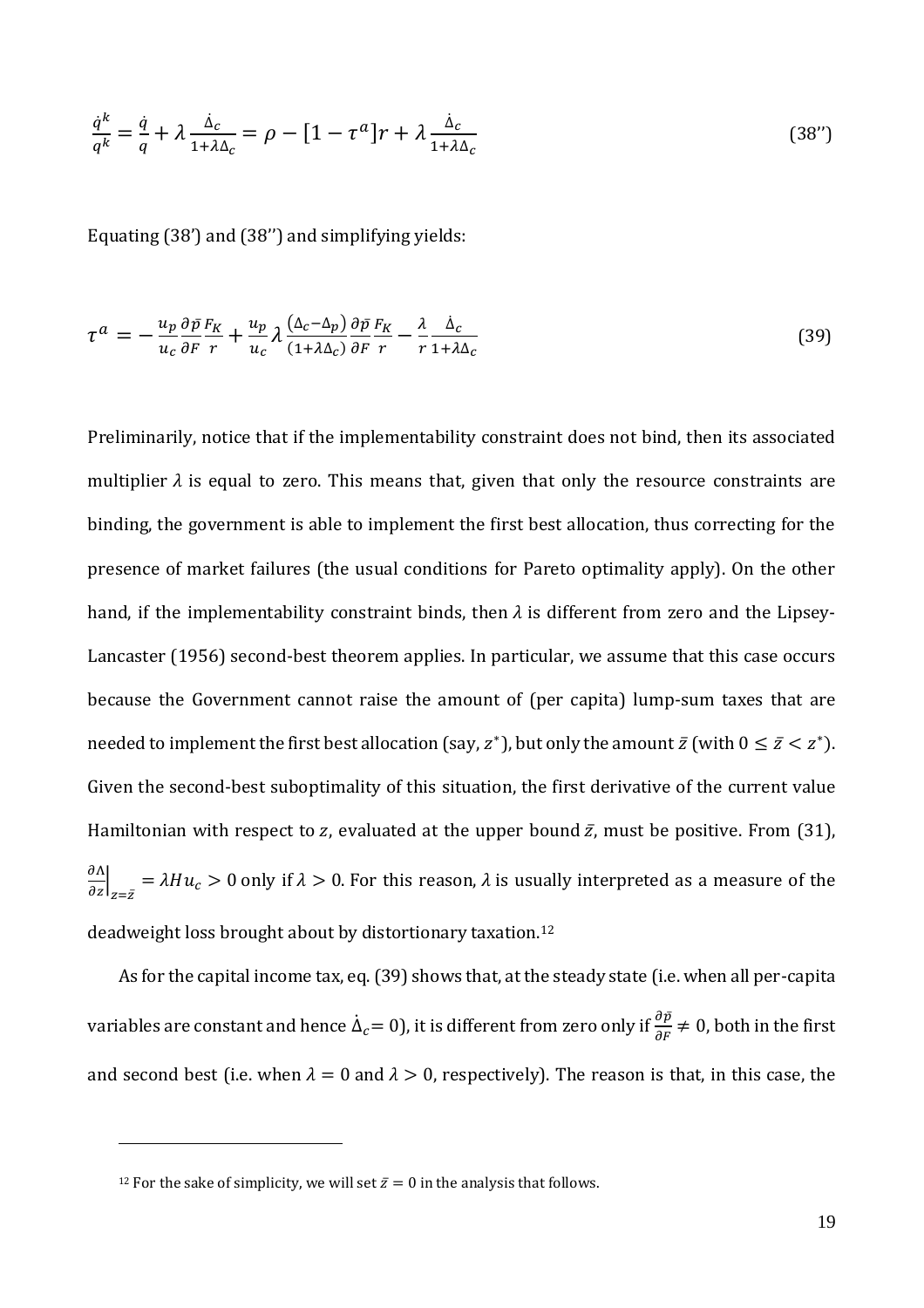$$
\frac{\dot{q}^k}{q^k} = \frac{\dot{q}}{q} + \lambda \frac{\dot{\Delta}_c}{1 + \lambda \Delta_c} = \rho - [1 - \tau^a]r + \lambda \frac{\dot{\Delta}_c}{1 + \lambda \Delta_c} \tag{38'}
$$

Equating (38') and (38'') and simplifying yields:

$$
\tau^{a} = -\frac{u_{p}}{u_{c}} \frac{\partial \bar{p}}{\partial F} \frac{F_{K}}{r} + \frac{u_{p}}{u_{c}} \lambda \frac{(\Delta_{c} - \Delta_{p})}{(1 + \lambda \Delta_{c})} \frac{\partial \bar{p}}{\partial F} \frac{F_{K}}{r} - \frac{\lambda}{r} \frac{\dot{\Delta}_{c}}{1 + \lambda \Delta_{c}}
$$
(39)

Preliminarily, notice that if the implementability constraint does not bind, then its associated multiplier  $\lambda$  is equal to zero. This means that, given that only the resource constraints are binding, the government is able to implement the first best allocation, thus correcting for the presence of market failures (the usual conditions for Pareto optimality apply). On the other hand, if the implementability constraint binds, then  $\lambda$  is different from zero and the Lipsey-Lancaster (1956) second-best theorem applies. In particular, we assume that this case occurs because the Government cannot raise the amount of (per capita) lump-sum taxes that are needed to implement the first best allocation (say,  $z^*$ ), but only the amount  $\bar{z}$  (with  $0 \le \bar{z} < z^*$ ). Given the second-best suboptimality of this situation, the first derivative of the current value Hamiltonian with respect to z, evaluated at the upper bound  $\bar{z}$ , must be positive. From (31),  $\frac{\partial \Lambda}{\partial z}\Big|_{z=\bar{z}} = \lambda Hu_c > 0$  only if  $\lambda > 0$ . For this reason,  $\lambda$  is usually interpreted as a measure of the deadweight loss brought about by distortionary taxation.<sup>12</sup>

As for the capital income tax, eq. (39) shows that, at the steady state (i.e. when all per-capita variables are constant and hence  $\dot{\Delta}_c=0$ ), it is different from zero only if  $\frac{\partial \bar{p}}{\partial F}\neq 0$ , both in the first and second best (i.e. when  $\lambda = 0$  and  $\lambda > 0$ , respectively). The reason is that, in this case, the

<u>.</u>

<sup>&</sup>lt;sup>12</sup> For the sake of simplicity, we will set  $\bar{z} = 0$  in the analysis that follows.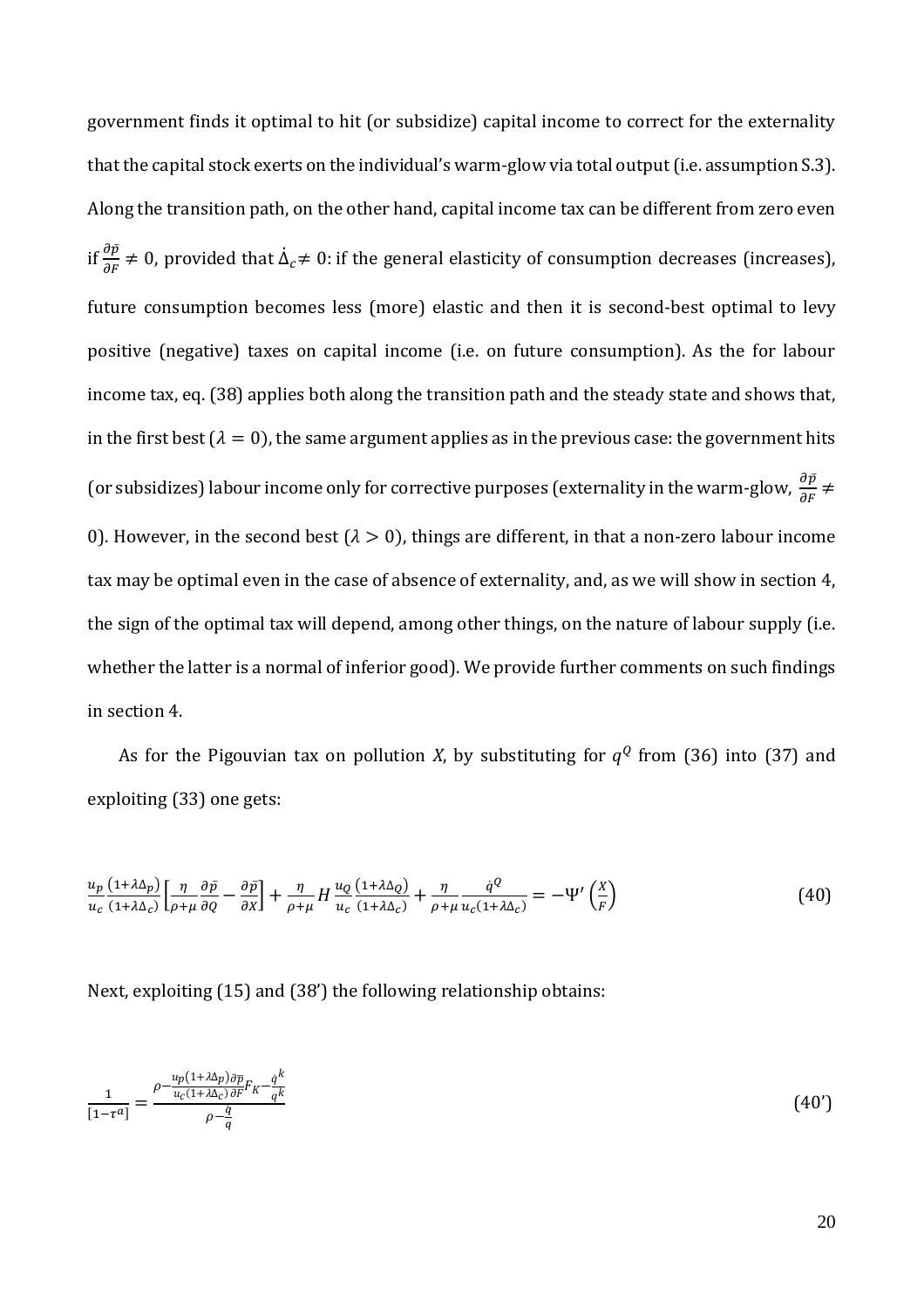government finds it optimal to hit (or subsidize) capital income to correct for the externality that the capital stock exerts on the individual's warm-glow via total output (i.e. assumption S.3). Along the transition path, on the other hand, capital income tax can be different from zero even if  $\frac{\partial \bar{p}}{\partial F} \neq 0$ , provided that  $\dot{\Delta}_c \neq 0$ : if the general elasticity of consumption decreases (increases), future consumption becomes less (more) elastic and then it is second-best optimal to levy positive (negative) taxes on capital income (i.e. on future consumption). As the for labour income tax, eq. (38) applies both along the transition path and the steady state and shows that, in the first best ( $\lambda = 0$ ), the same argument applies as in the previous case: the government hits (or subsidizes) labour income only for corrective purposes (externality in the warm-glow,  $\frac{\partial \bar{p}}{\partial F}\neq0$ 0). However, in the second best ( $\lambda > 0$ ), things are different, in that a non-zero labour income tax may be optimal even in the case of absence of externality, and, as we will show in section 4, the sign of the optimal tax will depend, among other things, on the nature of labour supply (i.e. whether the latter is a normal of inferior good). We provide further comments on such findings in section 4.

As for the Pigouvian tax on pollution *X*, by substituting for  $q^Q$  from (36) into (37) and exploiting (33) one gets:

$$
\frac{u_p}{u_c} \frac{(1+\lambda\Delta_p)}{(1+\lambda\Delta_c)} \left[ \frac{\eta}{\rho+\mu} \frac{\partial \bar{p}}{\partial q} - \frac{\partial \bar{p}}{\partial x} \right] + \frac{\eta}{\rho+\mu} H \frac{u_Q}{u_c} \frac{(1+\lambda\Delta_Q)}{(1+\lambda\Delta_c)} + \frac{\eta}{\rho+\mu} \frac{\dot{q}^Q}{u_c(1+\lambda\Delta_c)} = -\Psi' \left( \frac{X}{F} \right)
$$
(40)

Next, exploiting (15) and (38') the following relationship obtains:

$$
\frac{1}{[1-\tau^a]} = \frac{\rho - \frac{u_p(1+\lambda\Delta_p)\partial \overline{p}}{u_c(1+\lambda\Delta_c)\partial F}F_K - \frac{q^k}{q^k}}{\rho - \frac{\dot{q}}{q}}\tag{40'}
$$

20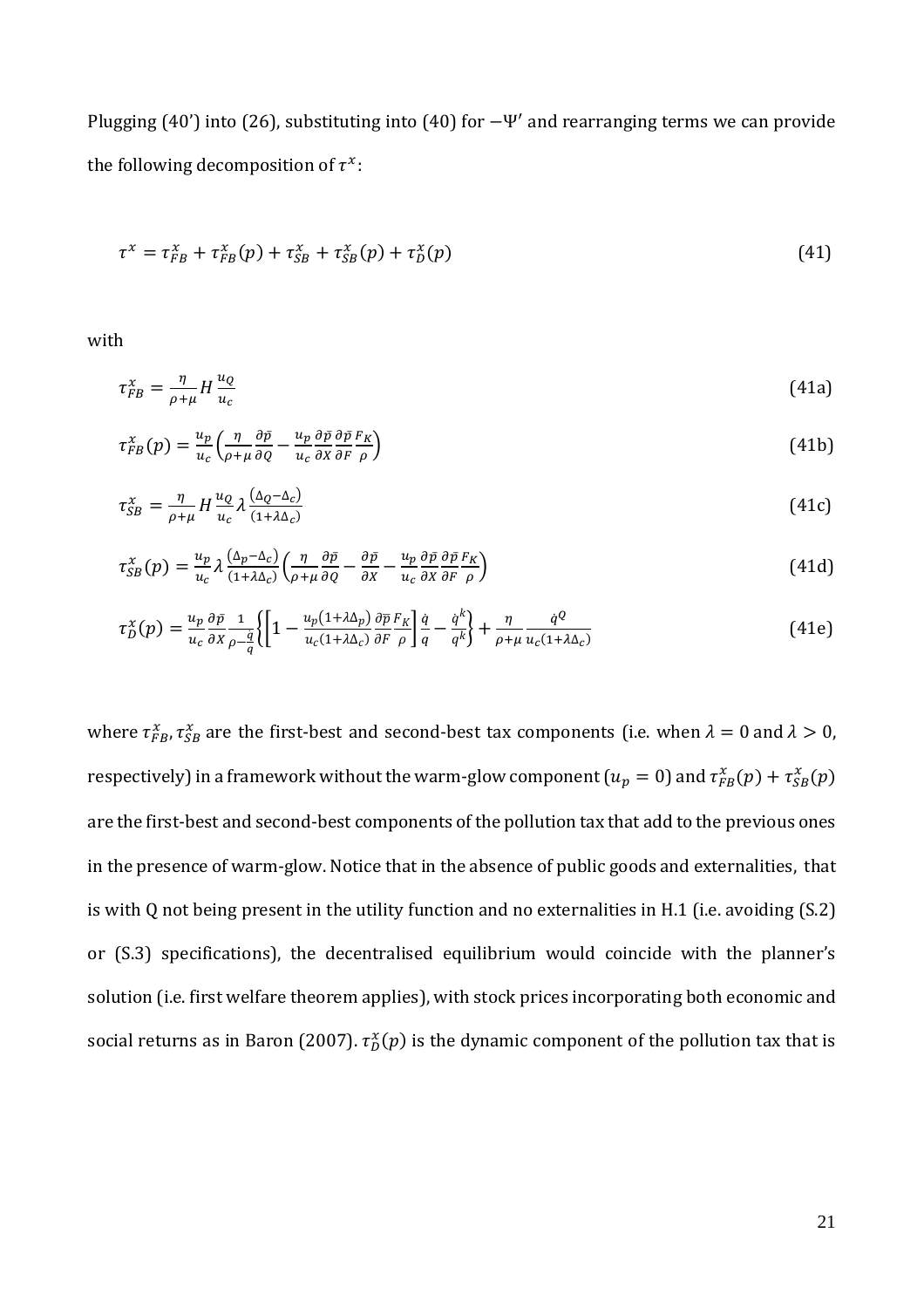Plugging  $(40')$  into  $(26)$ , substituting into  $(40)$  for  $-\Psi'$  and rearranging terms we can provide the following decomposition of  $\tau^x$ :

$$
\tau^{x} = \tau_{FB}^{x} + \tau_{FB}^{x}(p) + \tau_{SB}^{x} + \tau_{SB}^{x}(p) + \tau_{D}^{x}(p)
$$
\n(41)

with

$$
\tau_{FB}^x = \frac{\eta}{\rho + \mu} H \frac{u_Q}{u_C} \tag{41a}
$$

$$
\tau_{FB}^{\chi}(p) = \frac{u_p}{u_c} \left( \frac{\eta}{\rho + \mu} \frac{\partial \bar{p}}{\partial q} - \frac{u_p}{u_c} \frac{\partial \bar{p}}{\partial x} \frac{\partial \bar{p}}{\partial F} \frac{F_K}{\rho} \right)
$$
(41b)

$$
\tau_{SB}^{\chi} = \frac{\eta}{\rho + \mu} H \frac{u_Q}{u_c} \lambda \frac{(\Delta_Q - \Delta_c)}{(1 + \lambda \Delta_c)}
$$
(41c)

$$
\tau_{SB}^{\chi}(p) = \frac{u_p}{u_c} \lambda \frac{(\Delta_p - \Delta_c)}{(1 + \lambda \Delta_c)} \left( \frac{\eta}{\rho + \mu} \frac{\partial \bar{p}}{\partial q} - \frac{\partial \bar{p}}{\partial x} - \frac{u_p}{u_c} \frac{\partial \bar{p}}{\partial x} \frac{\partial \bar{p}}{\partial r} \frac{F_K}{\rho} \right)
$$
(41d)

$$
\tau_D^{\chi}(p) = \frac{u_p}{u_c} \frac{\partial \bar{p}}{\partial x} \frac{1}{\rho - \frac{q}{q}} \left\{ \left[ 1 - \frac{u_p (1 + \lambda \Delta_p)}{u_c (1 + \lambda \Delta_c)} \frac{\partial \bar{p}}{\partial F} \frac{F_K}{\rho} \right] \frac{\dot{q}}{q} - \frac{\dot{q}^k}{q^k} \right\} + \frac{\eta}{\rho + \mu} \frac{\dot{q}^Q}{u_c (1 + \lambda \Delta_c)} \tag{41e}
$$

where  $\tau_{FB}^x$ ,  $\tau_{SB}^x$  are the first-best and second-best tax components (i.e. when  $\lambda = 0$  and  $\lambda > 0$ , respectively) in a framework without the warm-glow component ( $u_p=0$ ) and  $\tau^x_{FB}(p)+\tau^x_{SB}(p)$ are the first-best and second-best components of the pollution tax that add to the previous ones in the presence of warm-glow. Notice that in the absence of public goods and externalities, that is with Q not being present in the utility function and no externalities in H.1 (i.e. avoiding (S.2) or (S.3) specifications), the decentralised equilibrium would coincide with the planner's solution (i.e. first welfare theorem applies), with stock prices incorporating both economic and social returns as in Baron (2007).  $\tau_D^{\chi}(p)$  is the dynamic component of the pollution tax that is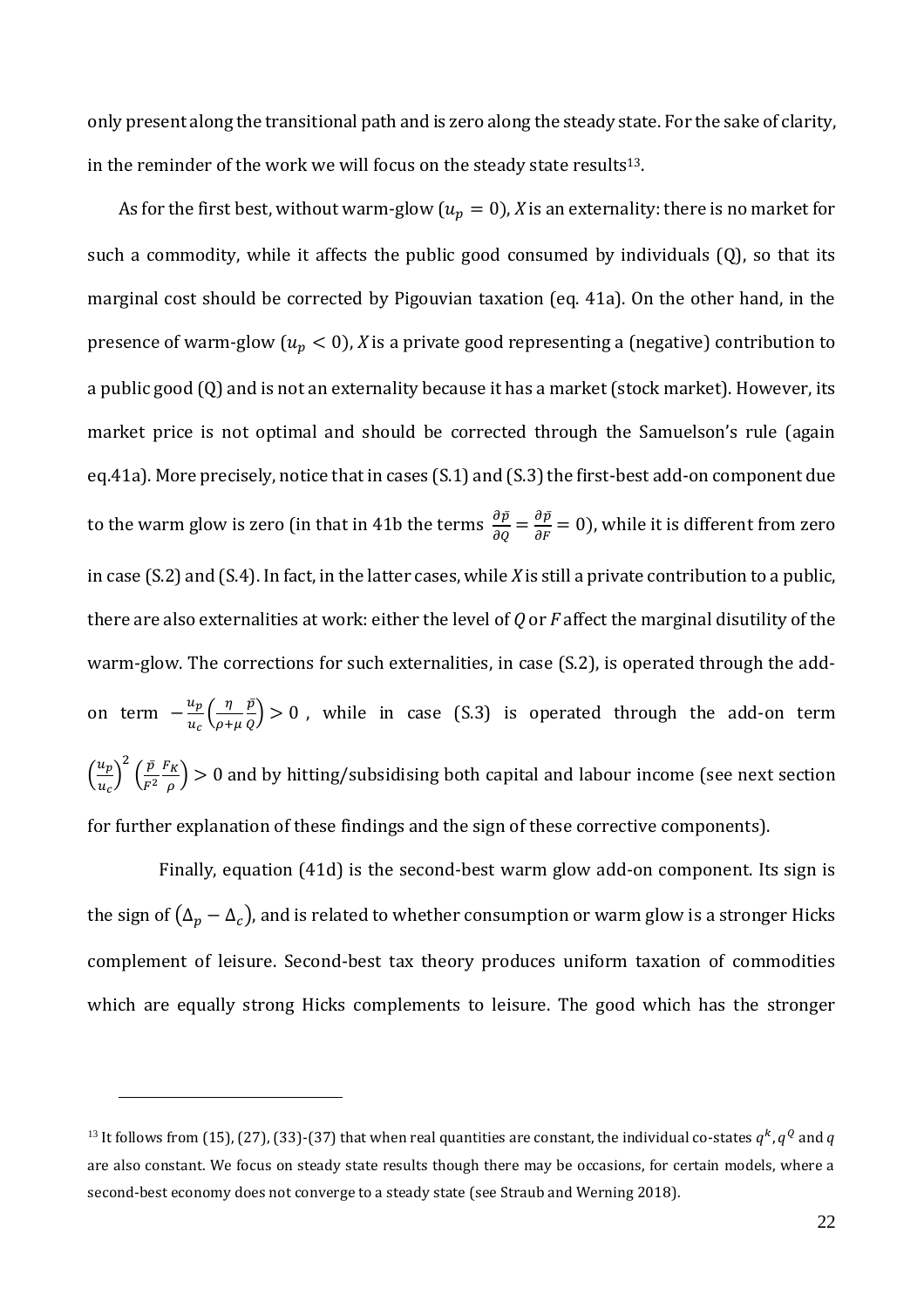only present along the transitional path and is zero along the steady state. For the sake of clarity, in the reminder of the work we will focus on the steady state results<sup>13</sup>.

As for the first best, without warm-glow ( $u_p = 0$ ), *X* is an externality: there is no market for such a commodity, while it affects the public good consumed by individuals (Q), so that its marginal cost should be corrected by Pigouvian taxation (eq. 41a). On the other hand, in the presence of warm-glow  $(u_p < 0)$ , *X* is a private good representing a (negative) contribution to a public good (Q) and is not an externality because it has a market (stock market). However, its market price is not optimal and should be corrected through the Samuelson's rule (again eq.41a). More precisely, notice that in cases (S.1) and (S.3) the first-best add-on component due to the warm glow is zero (in that in 41b the terms  $\frac{\partial \bar{p}}{\partial q} = \frac{\partial \bar{p}}{\partial r} = 0$ ), while it is different from zero in case (S.2) and (S.4). In fact, in the latter cases, while *X* is still a private contribution to a public, there are also externalities at work: either the level of *Q* or *F* affect the marginal disutility of the warm-glow. The corrections for such externalities, in case (S.2), is operated through the addon term  $-\frac{u_p}{u_p}$  $\frac{u_p}{u_c} \left( \frac{\eta}{\rho + \eta} \right)$  $\rho + \mu$  $\bar{p}^{\scriptscriptstyle \gamma}$  $\left(\frac{p}{Q}\right) > 0$ , while in case (S.3) is operated through the add-on term  $\left(\frac{u_p}{u}\right)$  $\left(\frac{u_p}{u_c}\right)^2 \left(\frac{\bar{p}}{F^2}\right)$  $F^2$  $F_K$  $\left(\frac{\pi}{\rho}\right)$  > 0 and by hitting/subsidising both capital and labour income (see next section for further explanation of these findings and the sign of these corrective components).

Finally, equation (41d) is the second-best warm glow add-on component. Its sign is the sign of  $(\Delta_p - \Delta_c)$ , and is related to whether consumption or warm glow is a stronger Hicks complement of leisure. Second-best tax theory produces uniform taxation of commodities which are equally strong Hicks complements to leisure. The good which has the stronger

<u>.</u>

 $^{13}$  It follows from (15), (27), (33)-(37) that when real quantities are constant, the individual co-states  $q^k,q^Q$  and  $q$ are also constant. We focus on steady state results though there may be occasions, for certain models, where a second-best economy does not converge to a steady state (see Straub and Werning 2018).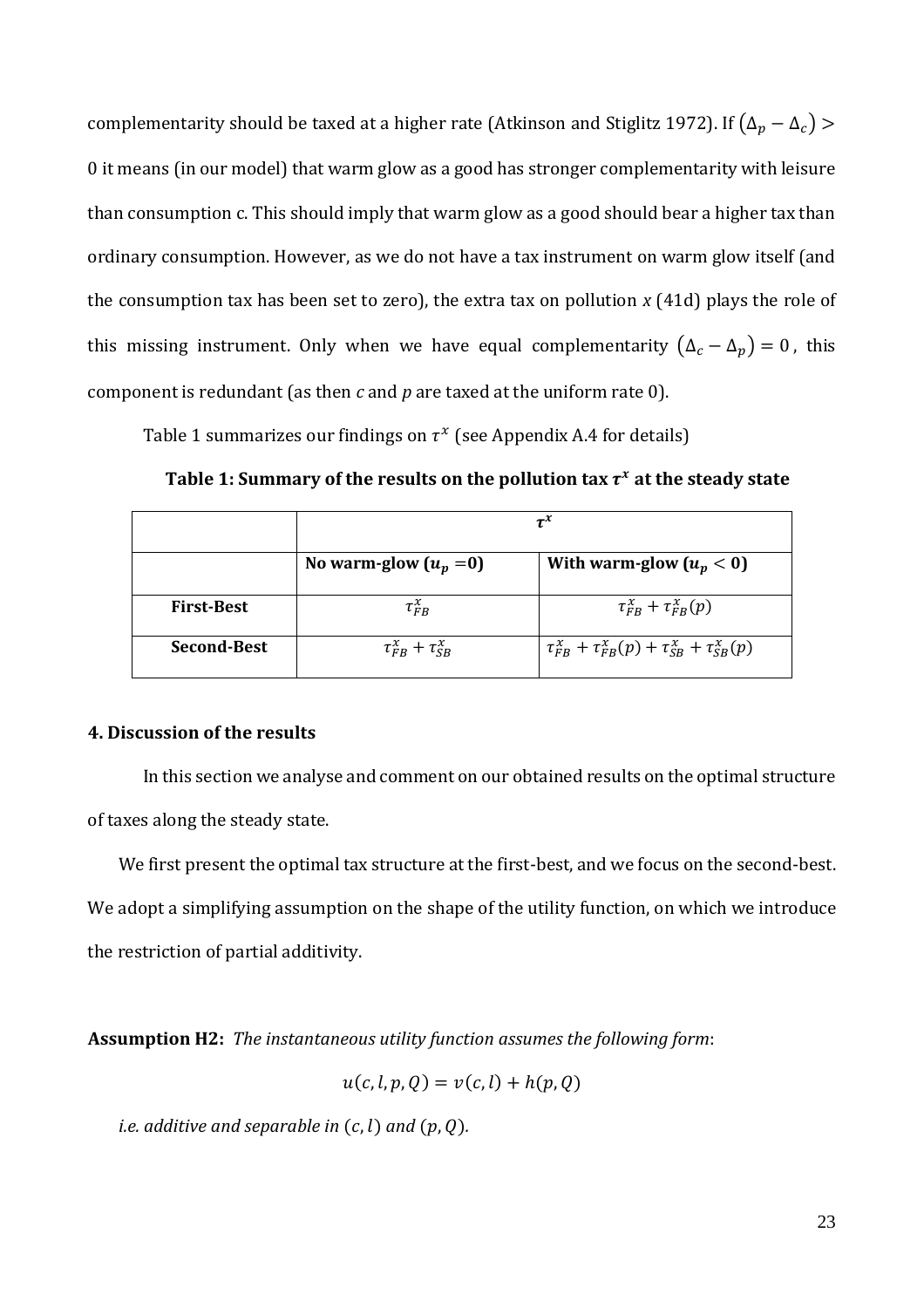complementarity should be taxed at a higher rate (Atkinson and Stiglitz 1972). If  $(\Delta_p - \Delta_c)$  > 0 it means (in our model) that warm glow as a good has stronger complementarity with leisure than consumption c. This should imply that warm glow as a good should bear a higher tax than ordinary consumption. However, as we do not have a tax instrument on warm glow itself (and the consumption tax has been set to zero), the extra tax on pollution *x* (41d) plays the role of this missing instrument. Only when we have equal complementarity  $(\Delta_c - \Delta_p) = 0$ , this component is redundant (as then *c* and *p* are taxed at the uniform rate 0).

Table 1 summarizes our findings on  $\tau^x$  (see Appendix A.4 for details)

|                    | $\tau^x$                              |                                                                                   |  |
|--------------------|---------------------------------------|-----------------------------------------------------------------------------------|--|
|                    | No warm-glow $(u_p = 0)$              | With warm-glow $(u_p < 0)$                                                        |  |
| <b>First-Best</b>  | $\tau_{FB}^{\chi}$                    | $\tau_{FB}^{\chi} + \tau_{FB}^{\chi}(p)$                                          |  |
| <b>Second-Best</b> | $\tau_{FB}^{\chi} + \tau_{SB}^{\chi}$ | $\tau_{FB}^{\chi} + \tau_{FB}^{\chi}(p) + \tau_{SB}^{\chi} + \tau_{SB}^{\chi}(p)$ |  |

#### **4. Discussion of the results**

In this section we analyse and comment on our obtained results on the optimal structure of taxes along the steady state.

We first present the optimal tax structure at the first-best, and we focus on the second-best. We adopt a simplifying assumption on the shape of the utility function, on which we introduce the restriction of partial additivity.

**Assumption H2:** *The instantaneous utility function assumes the following form*:

$$
u(c, l, p, Q) = v(c, l) + h(p, Q)
$$

*i.e. additive and separable in*  $(c, l)$  *and*  $(p, Q)$ *.*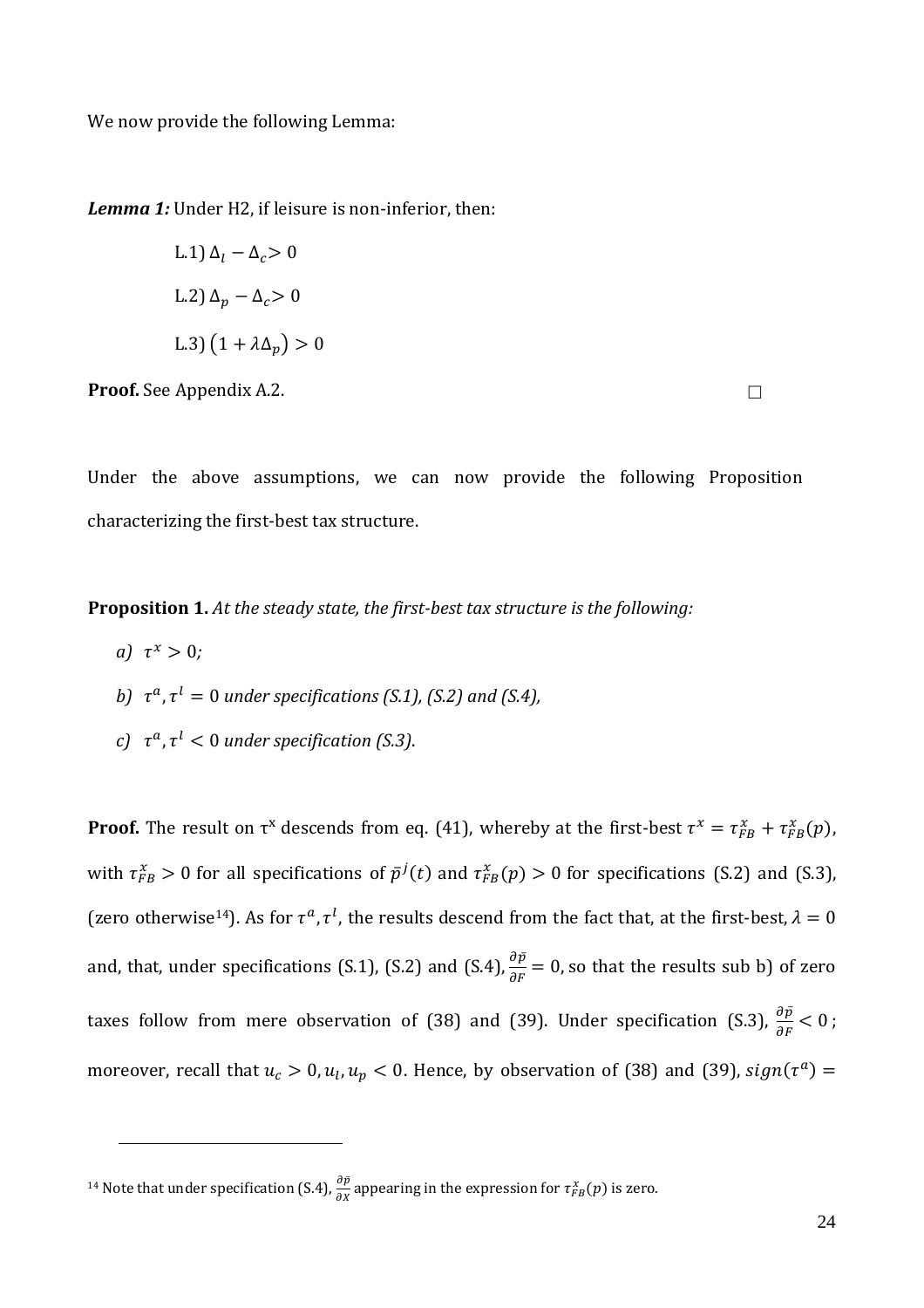We now provide the following Lemma:

*Lemma 1:* Under H2, if leisure is non-inferior, then:

L.1) 
$$
\Delta_l - \Delta_c > 0
$$
  
\nL.2)  $\Delta_p - \Delta_c > 0$   
\nL.3)  $(1 + \lambda \Delta_p) > 0$ 

**Proof.** See Appendix A.2.

Under the above assumptions, we can now provide the following Proposition characterizing the first-best tax structure.

**Proposition 1.** *At the steady state, the first-best tax structure is the following:* 

*a*)  $\tau^x > 0$ ;

<u>.</u>

- b)  $\tau^a$ ,  $\tau^l = 0$  under specifications (S.1), (S.2) and (S.4),
- *c*)  $\tau^a$ ,  $\tau^l$   $<$  0 under specification (S.3).

**Proof.** The result on  $\tau^x$  descends from eq. (41), whereby at the first-best  $\tau^x = \tau_{FB}^x + \tau_{FB}^x(p)$ , with  $\tau_{FB}^x > 0$  for all specifications of  $\bar{p}^j(t)$  and  $\tau_{FB}^x(p) > 0$  for specifications (S.2) and (S.3), (zero otherwise<sup>14</sup>). As for  $\tau^a$ ,  $\tau^l$ , the results descend from the fact that, at the first-best,  $\lambda = 0$ and, that, under specifications (S.1), (S.2) and (S.4),  $\frac{\partial \bar{p}}{\partial F} = 0$ , so that the results sub b) of zero taxes follow from mere observation of (38) and (39). Under specification (S.3),  $\frac{\partial \bar{p}}{\partial F} < 0$ ; moreover, recall that  $u_c > 0$ ,  $u_l, u_p < 0$ . Hence, by observation of (38) and (39),  $sign(\tau^a) =$ 

<sup>&</sup>lt;sup>14</sup> Note that under specification (S.4),  $\frac{\partial \bar{p}}{\partial x}$  appearing in the expression for  $\tau_{FB}^{x}(p)$  is zero.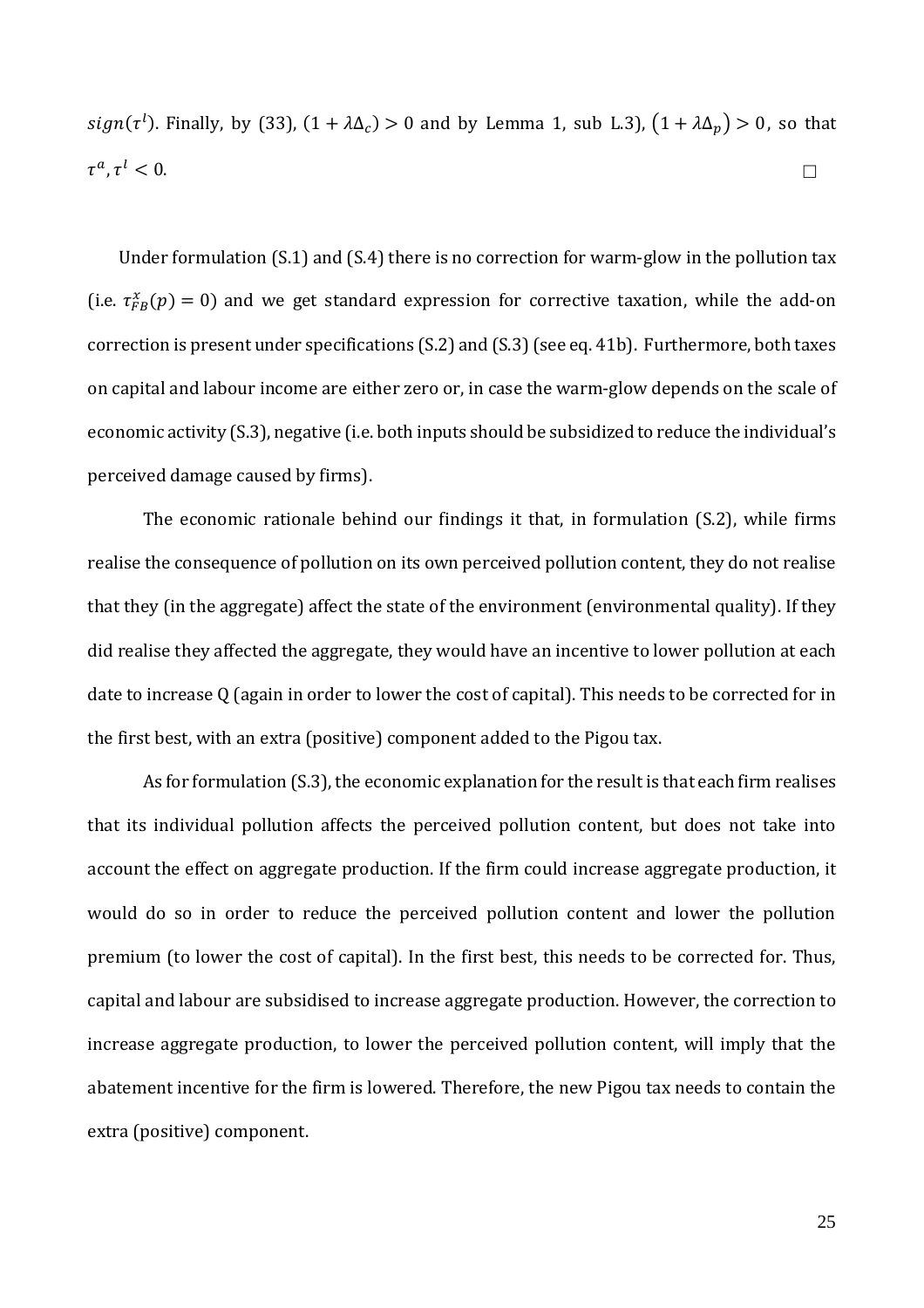$sign(\tau^l)$ . Finally, by (33),  $(1 + \lambda \Delta_c) > 0$  and by Lemma 1, sub L.3),  $(1 + \lambda \Delta_p) > 0$ , so that  $\tau^a$ ,  $\tau$  $\ell < 0$ .

Under formulation (S.1) and (S.4) there is no correction for warm-glow in the pollution tax (i.e.  $\tau_{FB}^x(p) = 0$ ) and we get standard expression for corrective taxation, while the add-on correction is present under specifications (S.2) and (S.3)(see eq. 41b). Furthermore, both taxes on capital and labour income are either zero or, in case the warm-glow depends on the scale of economic activity (S.3), negative (i.e. both inputs should be subsidized to reduce the individual's perceived damage caused by firms).

The economic rationale behind our findings it that, in formulation (S.2), while firms realise the consequence of pollution on its own perceived pollution content, they do not realise that they (in the aggregate) affect the state of the environment (environmental quality). If they did realise they affected the aggregate, they would have an incentive to lower pollution at each date to increase Q (again in order to lower the cost of capital). This needs to be corrected for in the first best, with an extra (positive) component added to the Pigou tax.

As for formulation (S.3), the economic explanation for the result is that each firm realises that its individual pollution affects the perceived pollution content, but does not take into account the effect on aggregate production. If the firm could increase aggregate production, it would do so in order to reduce the perceived pollution content and lower the pollution premium (to lower the cost of capital). In the first best, this needs to be corrected for. Thus, capital and labour are subsidised to increase aggregate production. However, the correction to increase aggregate production, to lower the perceived pollution content, will imply that the abatement incentive for the firm is lowered. Therefore, the new Pigou tax needs to contain the extra (positive) component.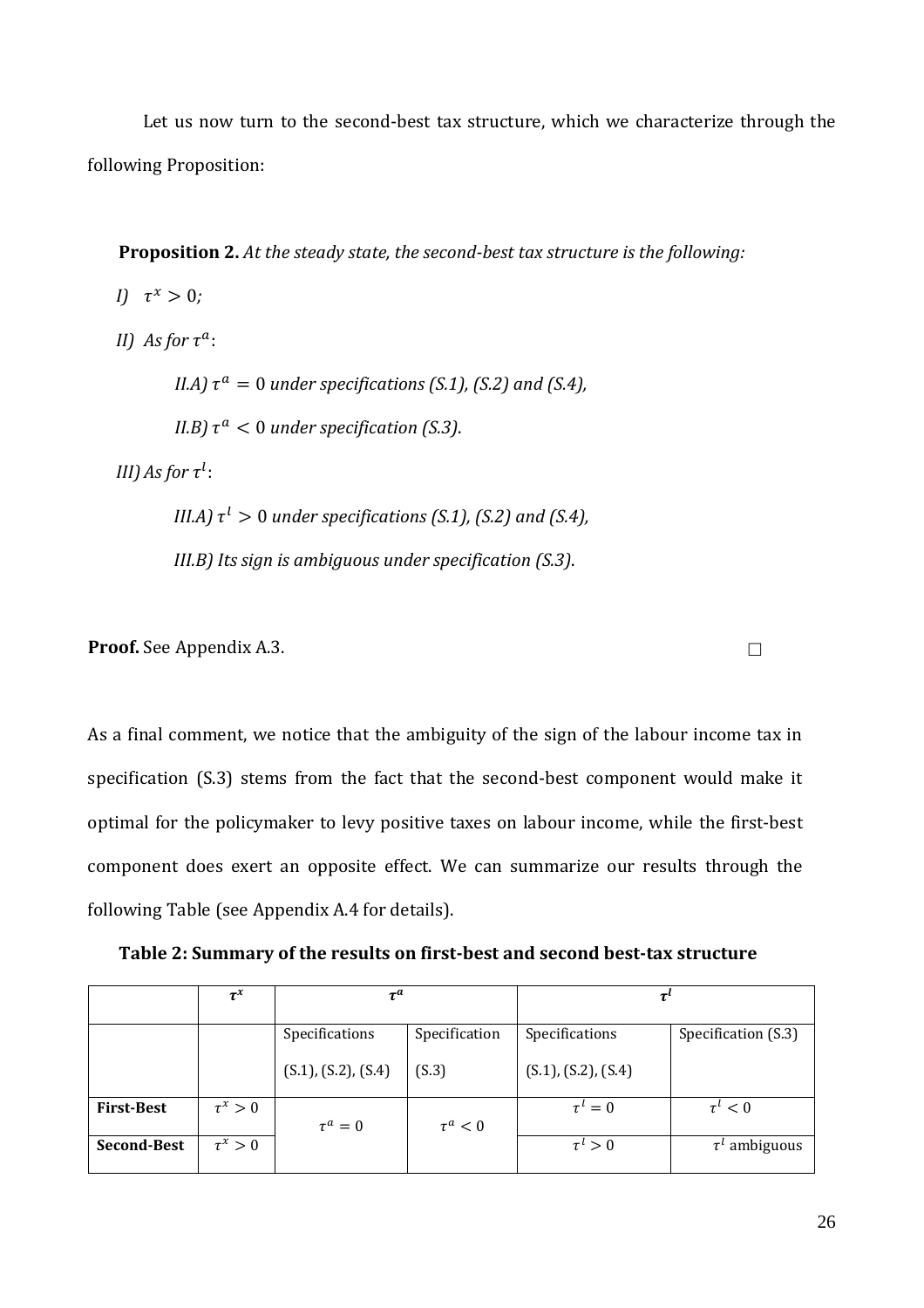Let us now turn to the second-best tax structure, which we characterize through the following Proposition:

**Proposition 2.** *At the steady state, the second-best tax structure is the following:* 

*I*)  $\tau^x > 0$ ; *II) As for*  $\tau^a$ :

*II.A*)  $\tau^a = 0$  *under specifications (S.1), (S.2) and (S.4),* 

*II.B*)  $\tau^a$  < 0 *under specification (S.3).* 

*III)* As for  $\tau^l$  :

*III.A)*  $\tau^l > 0$  *under specifications (S.1), (S.2) and (S.4), III.B) Its sign is ambiguous under specification (S.3)*.

**Proof.** See Appendix A.3.

As a final comment, we notice that the ambiguity of the sign of the labour income tax in specification (S.3) stems from the fact that the second-best component would make it optimal for the policymaker to levy positive taxes on labour income, while the first-best component does exert an opposite effect. We can summarize our results through the following Table (see Appendix A.4 for details).

**Table 2: Summary of the results on first-best and second best-tax structure**

|                    | $\tau^x$     | $\boldsymbol{\tau}^{\boldsymbol{a}}$ |               |                     |                     |
|--------------------|--------------|--------------------------------------|---------------|---------------------|---------------------|
|                    |              | Specifications                       | Specification | Specifications      | Specification (S.3) |
|                    |              | (S.1), (S.2), (S.4)                  | (S.3)         | (S.1), (S.2), (S.4) |                     |
| <b>First-Best</b>  | $\tau^x > 0$ | $\tau^a=0$                           | $\tau^a < 0$  | $\tau^{\iota}=0$    | $\tau^{\iota} < 0$  |
| <b>Second-Best</b> | $\tau^x > 0$ |                                      |               | $\tau^i>0$          | $\tau^l$ ambiguous  |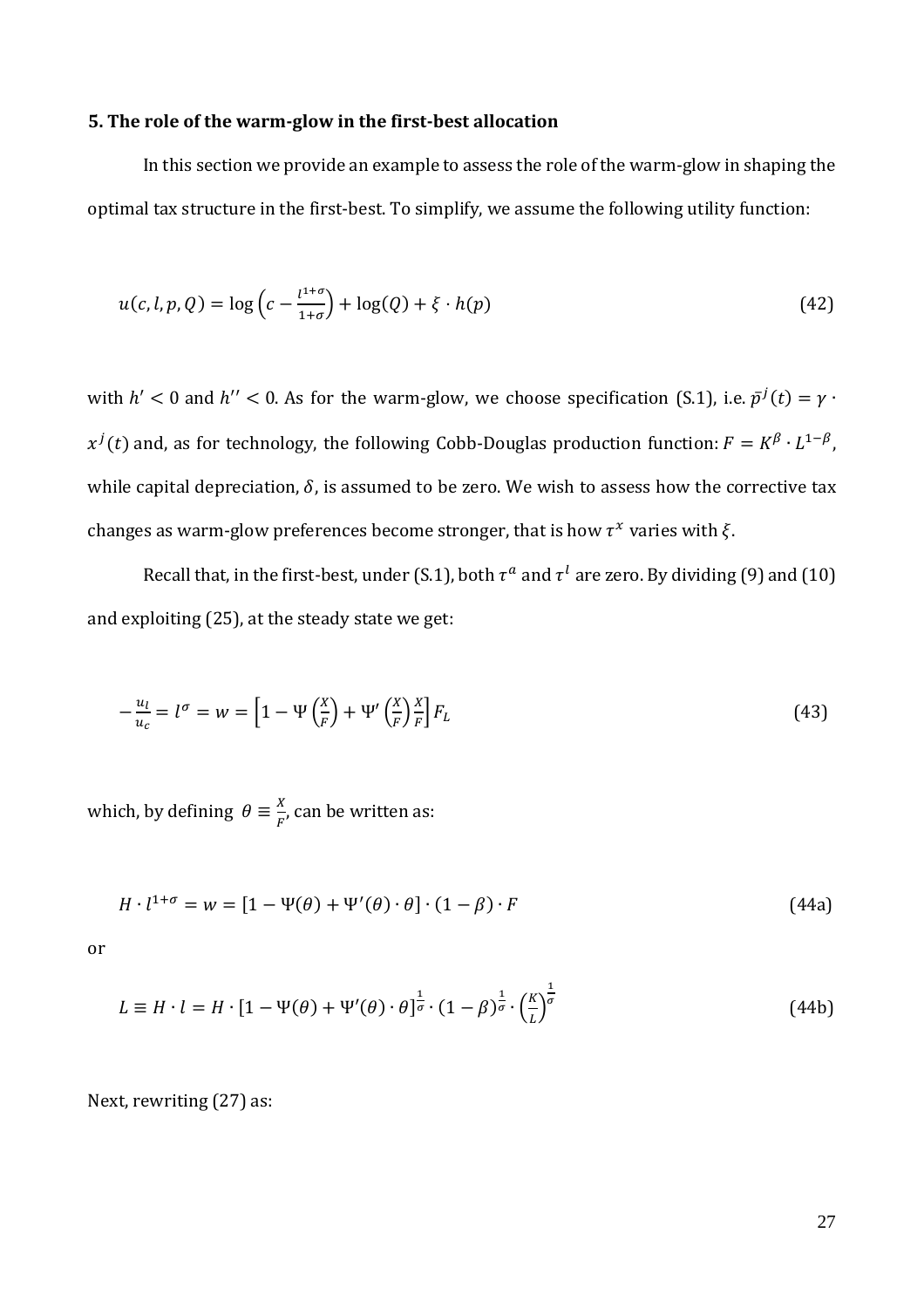#### **5. The role of the warm-glow in the first-best allocation**

In this section we provide an example to assess the role of the warm-glow in shaping the optimal tax structure in the first-best. To simplify, we assume the following utility function:

$$
u(c, l, p, Q) = \log\left(c - \frac{l^{1+\sigma}}{1+\sigma}\right) + \log(Q) + \xi \cdot h(p) \tag{42}
$$

with  $h' < 0$  and  $h'' < 0$ . As for the warm-glow, we choose specification (S.1), i.e.  $\bar{p}^j(t) = \gamma \cdot$  $x^{j}(t)$  and, as for technology, the following Cobb-Douglas production function:  $F = K^{\beta} \cdot L^{1-\beta}$ , while capital depreciation,  $\delta$ , is assumed to be zero. We wish to assess how the corrective tax changes as warm-glow preferences become stronger, that is how  $\tau^x$  varies with  $\xi$ .

Recall that, in the first-best, under (S.1), both  $\tau^a$  and  $\tau^l$  are zero. By dividing (9) and (10) and exploiting (25), at the steady state we get:

$$
-\frac{u_l}{u_c} = l^{\sigma} = w = \left[1 - \Psi\left(\frac{x}{F}\right) + \Psi'\left(\frac{x}{F}\right)\frac{x}{F}\right]F_L\tag{43}
$$

which, by defining  $\theta \equiv \frac{X}{E}$  $\frac{A}{F}$ , can be written as:

$$
H \cdot l^{1+\sigma} = w = [1 - \Psi(\theta) + \Psi'(\theta) \cdot \theta] \cdot (1 - \beta) \cdot F \tag{44a}
$$

or

$$
L \equiv H \cdot l = H \cdot \left[1 - \Psi(\theta) + \Psi'(\theta) \cdot \theta\right]^{\frac{1}{\sigma}} \cdot \left(1 - \beta\right)^{\frac{1}{\sigma}} \cdot \left(\frac{K}{L}\right)^{\frac{1}{\sigma}}
$$
(44b)

Next, rewriting (27) as: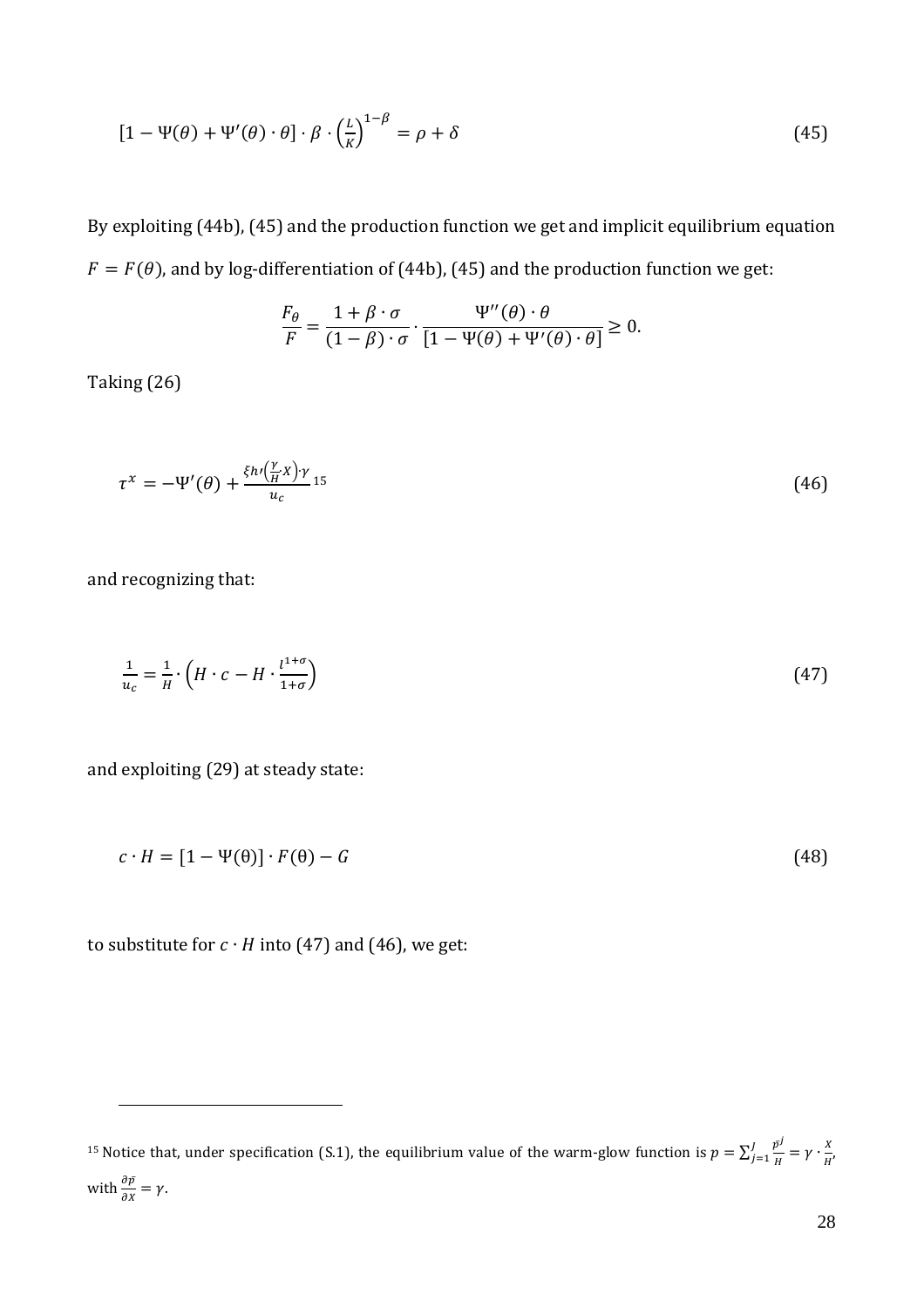$$
[1 - \Psi(\theta) + \Psi'(\theta) \cdot \theta] \cdot \beta \cdot \left(\frac{L}{K}\right)^{1 - \beta} = \rho + \delta
$$
\n(45)

By exploiting (44b), (45) and the production function we get and implicit equilibrium equation  $F = F(\theta)$ , and by log-differentiation of (44b), (45) and the production function we get:

$$
\frac{F_{\theta}}{F} = \frac{1 + \beta \cdot \sigma}{(1 - \beta) \cdot \sigma} \cdot \frac{\Psi''(\theta) \cdot \theta}{[1 - \Psi(\theta) + \Psi'(\theta) \cdot \theta]} \ge 0.
$$

Taking (26)

$$
\tau^x = -\Psi'(\theta) + \frac{\xi h \left(\frac{\gamma}{H} X\right) \gamma}{u_c} \mathbf{15}
$$
\n
$$
\tag{46}
$$

and recognizing that:

<u>.</u>

$$
\frac{1}{u_c} = \frac{1}{H} \cdot \left( H \cdot c - H \cdot \frac{l^{1+\sigma}}{1+\sigma} \right) \tag{47}
$$

and exploiting (29) at steady state:

$$
c \cdot H = [1 - \Psi(\theta)] \cdot F(\theta) - G \tag{48}
$$

to substitute for  $c \cdot H$  into (47) and (46), we get:

<sup>&</sup>lt;sup>15</sup> Notice that, under specification (S.1), the equilibrium value of the warm-glow function is  $p = \sum_{i=1}^{J} \frac{p^j}{n}$  $\frac{\bar{p}^j}{H} = \gamma \cdot \frac{X}{H}$ H  $\frac{\bar{p}^j}{j=1} \frac{\bar{p}^j}{H} = \gamma \cdot \frac{X}{H'}$ with  $\frac{\partial \bar{p}}{\partial x} = \gamma$ .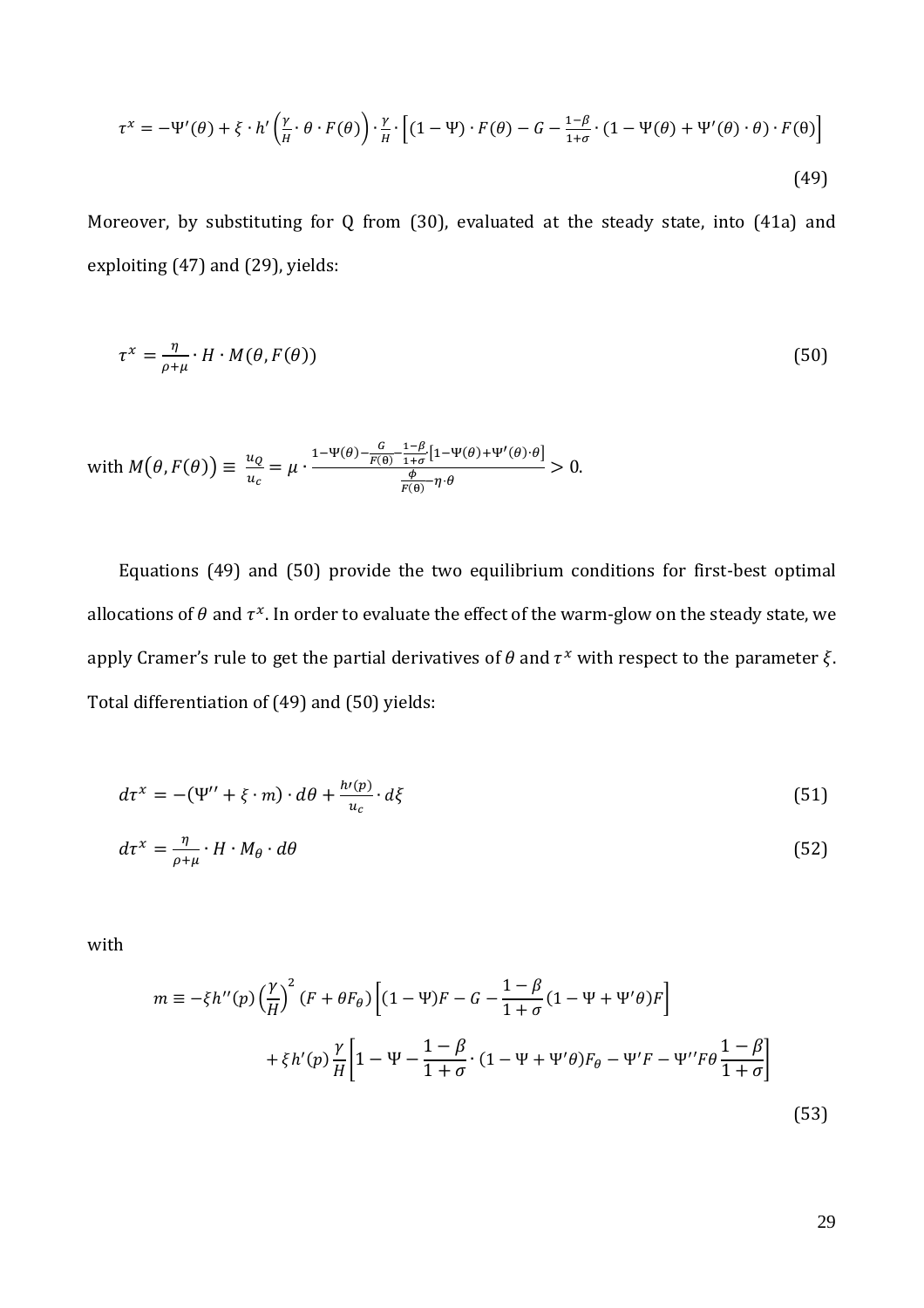$$
\tau^{x} = -\Psi'(\theta) + \xi \cdot h' \left(\frac{\gamma}{H} \cdot \theta \cdot F(\theta)\right) \cdot \frac{\gamma}{H} \cdot \left[ (1 - \Psi) \cdot F(\theta) - G - \frac{1 - \beta}{1 + \sigma} \cdot (1 - \Psi(\theta) + \Psi'(\theta) \cdot \theta) \cdot F(\theta) \right]
$$
\n(49)

Moreover, by substituting for Q from (30), evaluated at the steady state, into (41a) and exploiting (47) and (29), yields:

$$
\tau^x = \frac{\eta}{\rho + \mu} \cdot H \cdot M(\theta, F(\theta)) \tag{50}
$$

with 
$$
M(\theta, F(\theta)) \equiv \frac{u_Q}{u_c} = \mu \cdot \frac{1-\Psi(\theta) - \frac{G}{F(\theta)} - \frac{1-\beta}{1+\sigma} [1-\Psi(\theta)+\Psi'(\theta)\cdot\theta]}{\frac{\phi}{F(\theta)} - \eta \cdot \theta} > 0.
$$

Equations (49) and (50) provide the two equilibrium conditions for first-best optimal allocations of  $\theta$  and  $\tau^x$ . In order to evaluate the effect of the warm-glow on the steady state, we apply Cramer's rule to get the partial derivatives of  $\theta$  and  $\tau^x$  with respect to the parameter  $\xi$ . Total differentiation of (49) and (50) yields:

$$
d\tau^x = -(\Psi'' + \xi \cdot m) \cdot d\theta + \frac{h'(p)}{u_c} \cdot d\xi \tag{51}
$$

$$
d\tau^x = \frac{\eta}{\rho + \mu} \cdot H \cdot M_\theta \cdot d\theta \tag{52}
$$

with

$$
m \equiv -\xi h''(p) \left(\frac{\gamma}{H}\right)^2 (F + \theta F_\theta) \left[ (1 - \Psi)F - G - \frac{1 - \beta}{1 + \sigma} (1 - \Psi + \Psi' \theta)F \right]
$$
  
+  $\xi h'(p) \frac{\gamma}{H} \left[ 1 - \Psi - \frac{1 - \beta}{1 + \sigma} \cdot (1 - \Psi + \Psi' \theta)F_\theta - \Psi' F - \Psi'' F \theta \frac{1 - \beta}{1 + \sigma} \right]$  (53)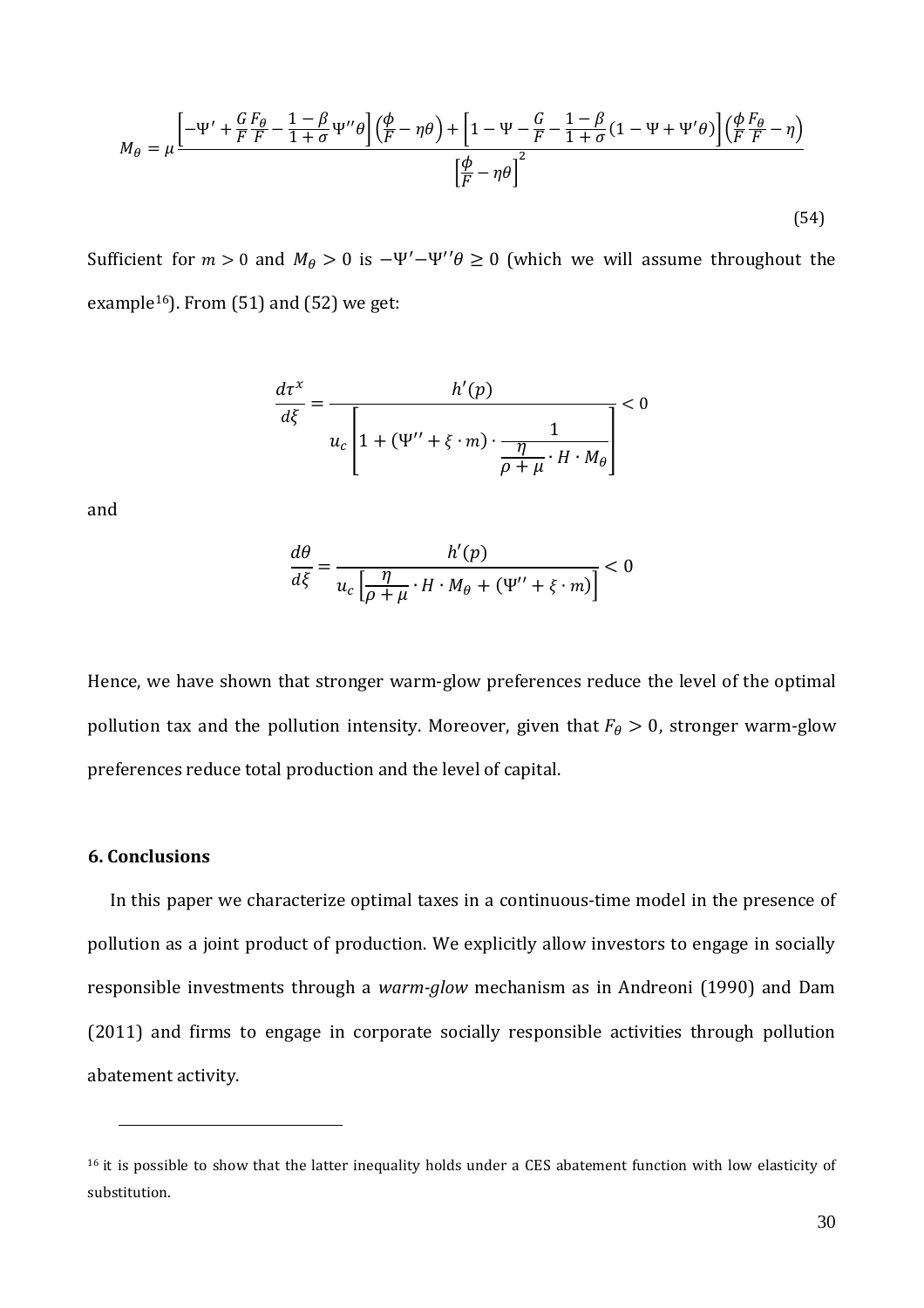$$
M_{\theta} = \mu \frac{\left[ -\Psi' + \frac{G}{F} \frac{F_{\theta}}{F} - \frac{1-\beta}{1+\sigma} \Psi'' \theta \right] \left( \frac{\phi}{F} - \eta \theta \right) + \left[ 1 - \Psi - \frac{G}{F} - \frac{1-\beta}{1+\sigma} (1 - \Psi + \Psi' \theta) \right] \left( \frac{\phi}{F} \frac{F_{\theta}}{F} - \eta \right)}{\left[ \frac{\phi}{F} - \eta \theta \right]^2}
$$
\n(54)

Sufficient for  $m > 0$  and  $M_{\theta} > 0$  is  $-\Psi' - \Psi'' \theta \ge 0$  (which we will assume throughout the example<sup>16</sup>). From  $(51)$  and  $(52)$  we get:

$$
\frac{d\tau^x}{d\xi} = \frac{h'(p)}{u_c \left[1 + (\Psi'' + \xi \cdot m) \cdot \frac{1}{\frac{\eta}{\rho + \mu} \cdot H \cdot M_\theta}\right]} < 0
$$

and

$$
\frac{d\theta}{d\xi} = \frac{h'(p)}{u_c \left[\frac{\eta}{\rho + \mu} \cdot H \cdot M_\theta + (\Psi'' + \xi \cdot m)\right]} < 0
$$

Hence, we have shown that stronger warm-glow preferences reduce the level of the optimal pollution tax and the pollution intensity. Moreover, given that  $F_{\theta} > 0$ , stronger warm-glow preferences reduce total production and the level of capital.

#### **6. Conclusions**

 $\overline{a}$ 

In this paper we characterize optimal taxes in a continuous-time model in the presence of pollution as a joint product of production. We explicitly allow investors to engage in socially responsible investments through a *warm-glow* mechanism as in Andreoni (1990) and Dam (2011) and firms to engage in corporate socially responsible activities through pollution abatement activity.

<sup>&</sup>lt;sup>16</sup> it is possible to show that the latter inequality holds under a CES abatement function with low elasticity of substitution.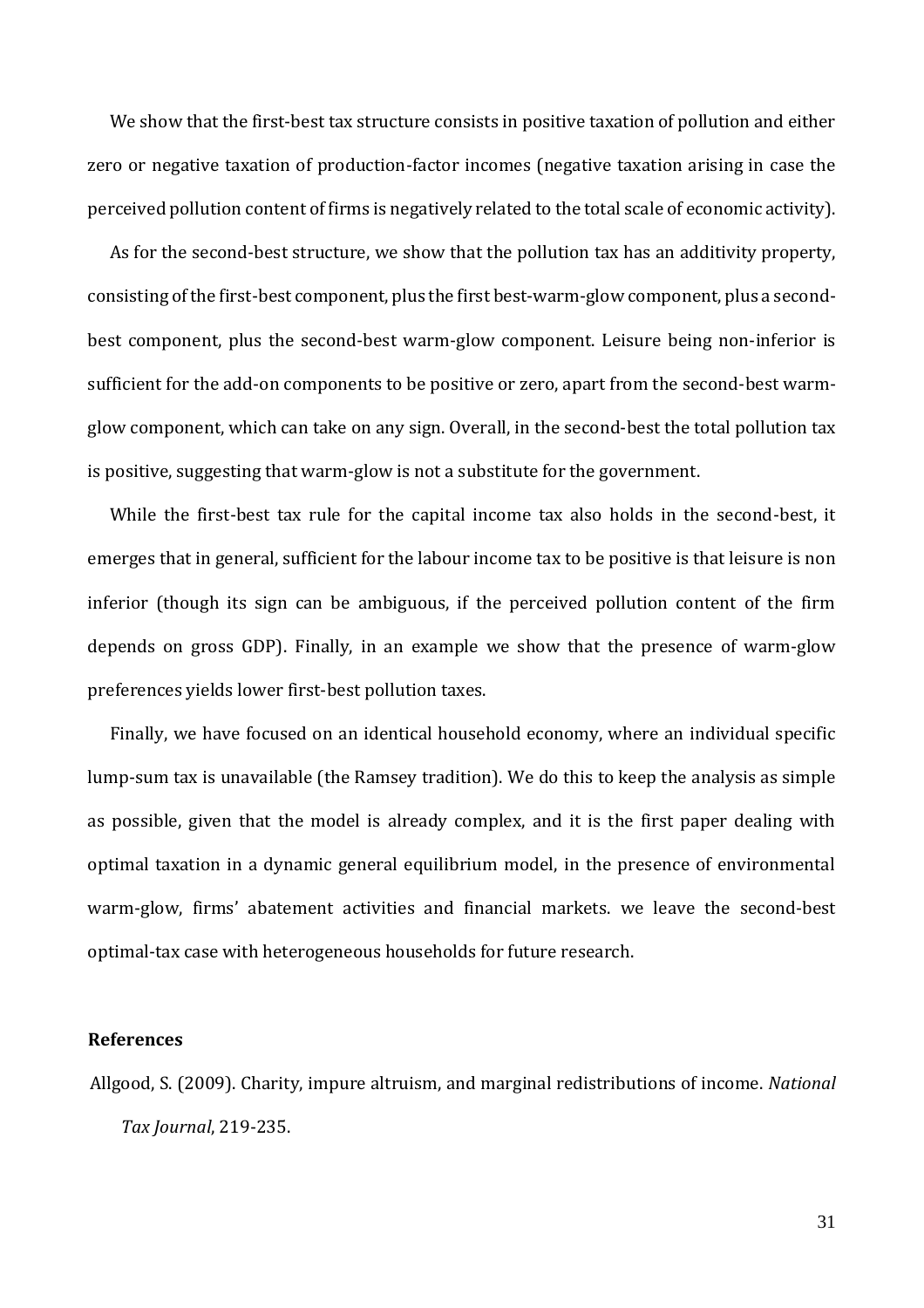We show that the first-best tax structure consists in positive taxation of pollution and either zero or negative taxation of production-factor incomes (negative taxation arising in case the perceived pollution content of firms is negatively related to the total scale of economic activity).

As for the second-best structure, we show that the pollution tax has an additivity property, consisting of the first-best component, plus the first best-warm-glow component, plus a secondbest component, plus the second-best warm-glow component. Leisure being non-inferior is sufficient for the add-on components to be positive or zero, apart from the second-best warmglow component, which can take on any sign. Overall, in the second-best the total pollution tax is positive, suggesting that warm-glow is not a substitute for the government.

While the first-best tax rule for the capital income tax also holds in the second-best, it emerges that in general, sufficient for the labour income tax to be positive is that leisure is non inferior (though its sign can be ambiguous, if the perceived pollution content of the firm depends on gross GDP). Finally, in an example we show that the presence of warm-glow preferences yields lower first-best pollution taxes.

Finally, we have focused on an identical household economy, where an individual specific lump-sum tax is unavailable (the Ramsey tradition). We do this to keep the analysis as simple as possible, given that the model is already complex, and it is the first paper dealing with optimal taxation in a dynamic general equilibrium model, in the presence of environmental warm-glow, firms' abatement activities and financial markets. we leave the second-best optimal-tax case with heterogeneous households for future research.

#### **References**

Allgood, S. (2009). Charity, impure altruism, and marginal redistributions of income. *National Tax Journal*, 219-235.

31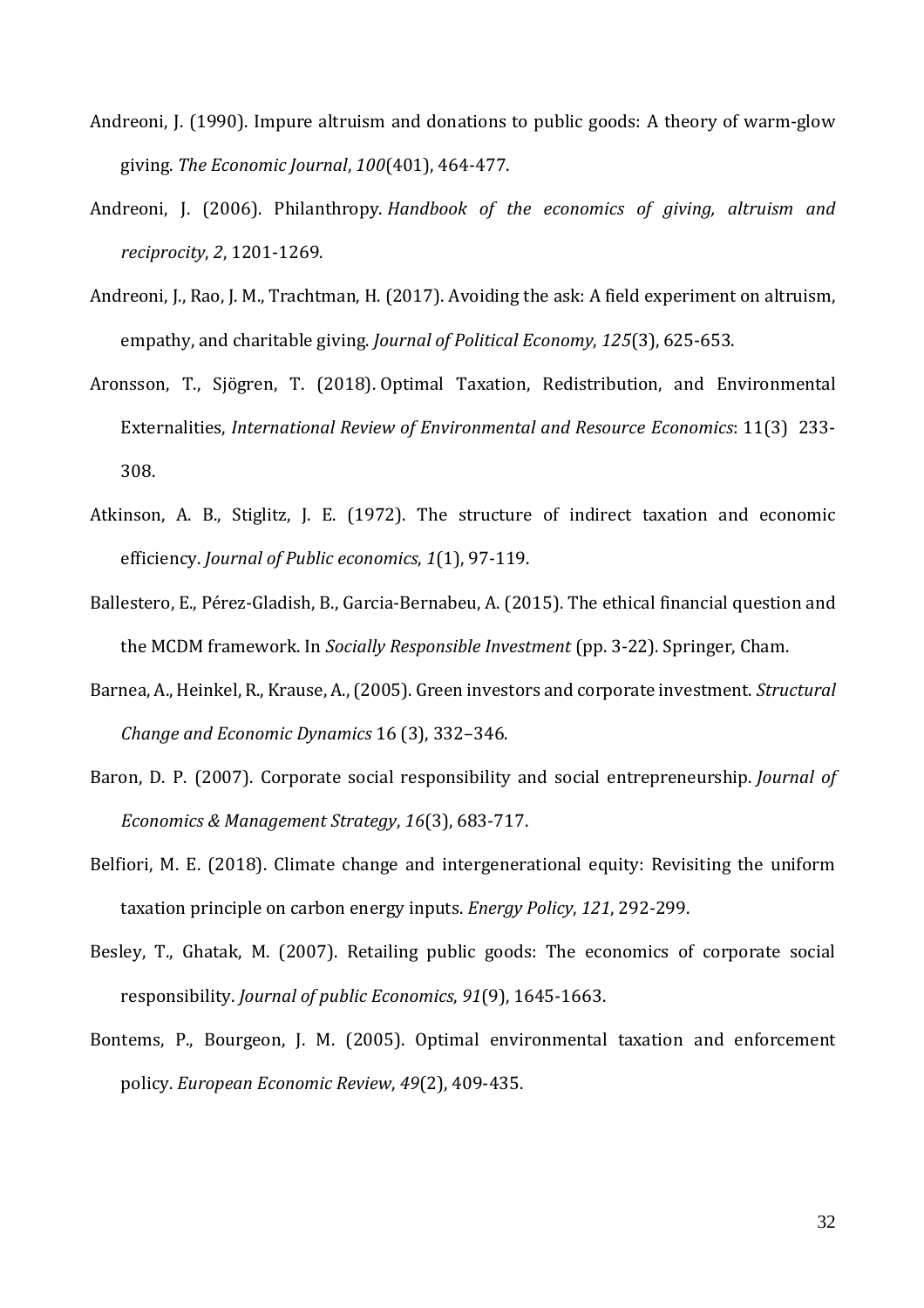- Andreoni, J. (1990). Impure altruism and donations to public goods: A theory of warm-glow giving. *The Economic Journal*, *100*(401), 464-477.
- Andreoni, J. (2006). Philanthropy. *Handbook of the economics of giving, altruism and reciprocity*, *2*, 1201-1269.
- Andreoni, J., Rao, J. M., Trachtman, H. (2017). Avoiding the ask: A field experiment on altruism, empathy, and charitable giving. *Journal of Political Economy*, *125*(3), 625-653.
- Aronsson, T., Sjögren, T. (2018). Optimal Taxation, Redistribution, and Environmental Externalities, *International Review of Environmental and Resource Economics*: 11(3) 233- 308.
- Atkinson, A. B., Stiglitz, J. E. (1972). The structure of indirect taxation and economic efficiency. *Journal of Public economics*, *1*(1), 97-119.
- Ballestero, E., Pérez-Gladish, B., Garcia-Bernabeu, A. (2015). The ethical financial question and the MCDM framework. In *Socially Responsible Investment* (pp. 3-22). Springer, Cham.
- Barnea, A., Heinkel, R., Krause, A., (2005). Green investors and corporate investment. *Structural Change and Economic Dynamics* 16 (3), 332–346.
- Baron, D. P. (2007). Corporate social responsibility and social entrepreneurship. *Journal of Economics & Management Strategy*, *16*(3), 683-717.
- Belfiori, M. E. (2018). Climate change and intergenerational equity: Revisiting the uniform taxation principle on carbon energy inputs. *Energy Policy*, *121*, 292-299.
- Besley, T., Ghatak, M. (2007). Retailing public goods: The economics of corporate social responsibility. *Journal of public Economics*, *91*(9), 1645-1663.
- Bontems, P., Bourgeon, J. M. (2005). Optimal environmental taxation and enforcement policy. *European Economic Review*, *49*(2), 409-435.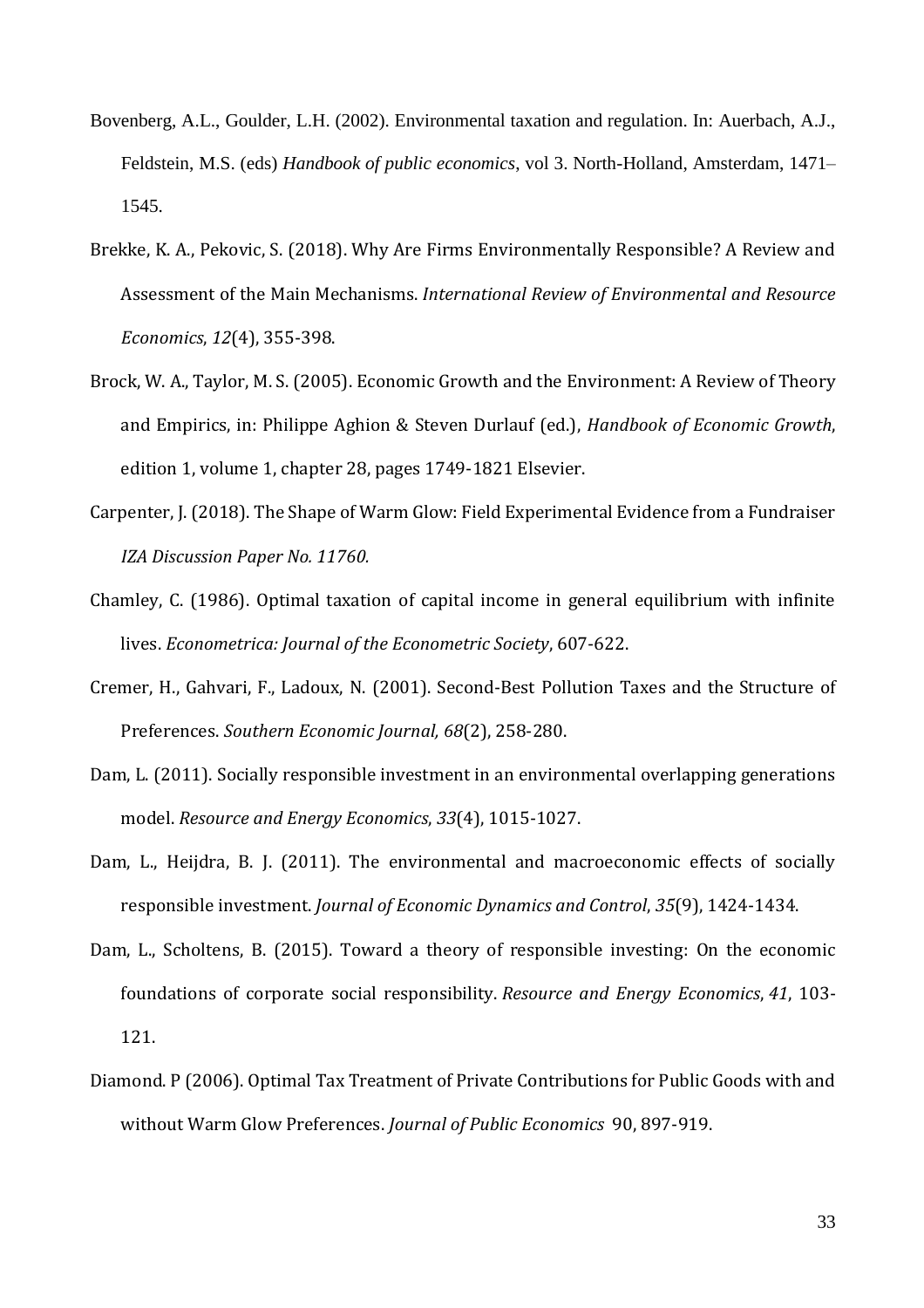- Bovenberg, A.L., Goulder, L.H. (2002). Environmental taxation and regulation. In: Auerbach, A.J., Feldstein, M.S. (eds) *Handbook of public economics*, vol 3. North-Holland, Amsterdam, 1471– 1545.
- Brekke, K. A., Pekovic, S. (2018). Why Are Firms Environmentally Responsible? A Review and Assessment of the Main Mechanisms. *International Review of Environmental and Resource Economics*, *12*(4), 355-398.
- Brock, W. A., Taylor, M. S. (2005). Economic Growth and the Environment: A Review of Theory and Empirics, in: Philippe Aghion & Steven Durlauf (ed.), *Handbook of Economic Growth*, edition 1, volume 1, chapter 28, pages 1749-1821 Elsevier.
- Carpenter, J. (2018). The Shape of Warm Glow: Field Experimental Evidence from a Fundraiser *IZA Discussion Paper No. 11760.*
- Chamley, C. (1986). Optimal taxation of capital income in general equilibrium with infinite lives. *Econometrica: Journal of the Econometric Society*, 607-622.
- Cremer, H., Gahvari, F., Ladoux, N. (2001). Second-Best Pollution Taxes and the Structure of Preferences. *Southern Economic Journal, 68*(2), 258-280.
- Dam, L. (2011). Socially responsible investment in an environmental overlapping generations model. *Resource and Energy Economics*, *33*(4), 1015-1027.
- Dam, L., Heijdra, B. J. (2011). The environmental and macroeconomic effects of socially responsible investment. *Journal of Economic Dynamics and Control*, *35*(9), 1424-1434.
- Dam, L., Scholtens, B. (2015). Toward a theory of responsible investing: On the economic foundations of corporate social responsibility. *Resource and Energy Economics*, *41*, 103- 121.
- Diamond. P (2006). Optimal Tax Treatment of Private Contributions for Public Goods with and without Warm Glow Preferences. *Journal of Public Economics* 90, 897-919.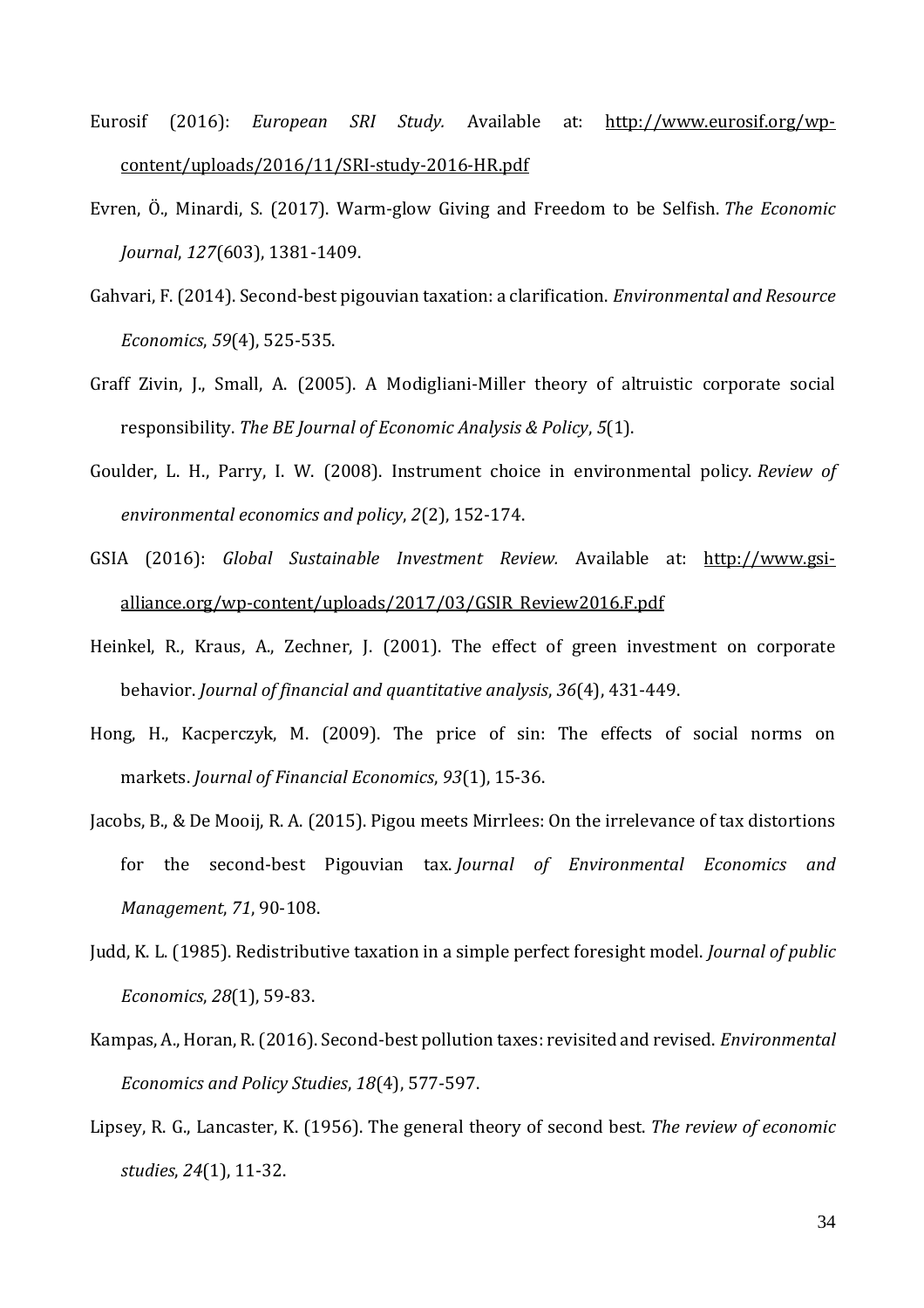- Eurosif (2016): *European SRI Study.* Available at: [http://www.eurosif.org/wp](http://www.eurosif.org/wp-content/uploads/2016/11/SRI-study-2016-HR.pdf)[content/uploads/2016/11/SRI-study-2016-HR.pdf](http://www.eurosif.org/wp-content/uploads/2016/11/SRI-study-2016-HR.pdf)
- Evren, Ö., Minardi, S. (2017). Warm‐glow Giving and Freedom to be Selfish. *The Economic Journal*, *127*(603), 1381-1409.
- Gahvari, F. (2014). Second-best pigouvian taxation: a clarification. *Environmental and Resource Economics*, *59*(4), 525-535.
- Graff Zivin, J., Small, A. (2005). A Modigliani-Miller theory of altruistic corporate social responsibility. *The BE Journal of Economic Analysis & Policy*, *5*(1).
- Goulder, L. H., Parry, I. W. (2008). Instrument choice in environmental policy. *Review of environmental economics and policy*, *2*(2), 152-174.
- GSIA (2016): *Global Sustainable Investment Review.* Available at: [http://www.gsi](http://www.gsi-alliance.org/wp-content/uploads/2017/03/GSIR_Review2016.F.pdf)[alliance.org/wp-content/uploads/2017/03/GSIR\\_Review2016.F.pdf](http://www.gsi-alliance.org/wp-content/uploads/2017/03/GSIR_Review2016.F.pdf)
- Heinkel, R., Kraus, A., Zechner, J. (2001). The effect of green investment on corporate behavior. *Journal of financial and quantitative analysis*, *36*(4), 431-449.
- Hong, H., Kacperczyk, M. (2009). The price of sin: The effects of social norms on markets. *Journal of Financial Economics*, *93*(1), 15-36.
- Jacobs, B., & De Mooij, R. A. (2015). Pigou meets Mirrlees: On the irrelevance of tax distortions for the second-best Pigouvian tax. *Journal of Environmental Economics and Management*, *71*, 90-108.
- Judd, K. L. (1985). Redistributive taxation in a simple perfect foresight model. *Journal of public Economics*, *28*(1), 59-83.
- Kampas, A., Horan, R. (2016). Second-best pollution taxes: revisited and revised. *Environmental Economics and Policy Studies*, *18*(4), 577-597.
- Lipsey, R. G., Lancaster, K. (1956). The general theory of second best. *The review of economic studies*, *24*(1), 11-32.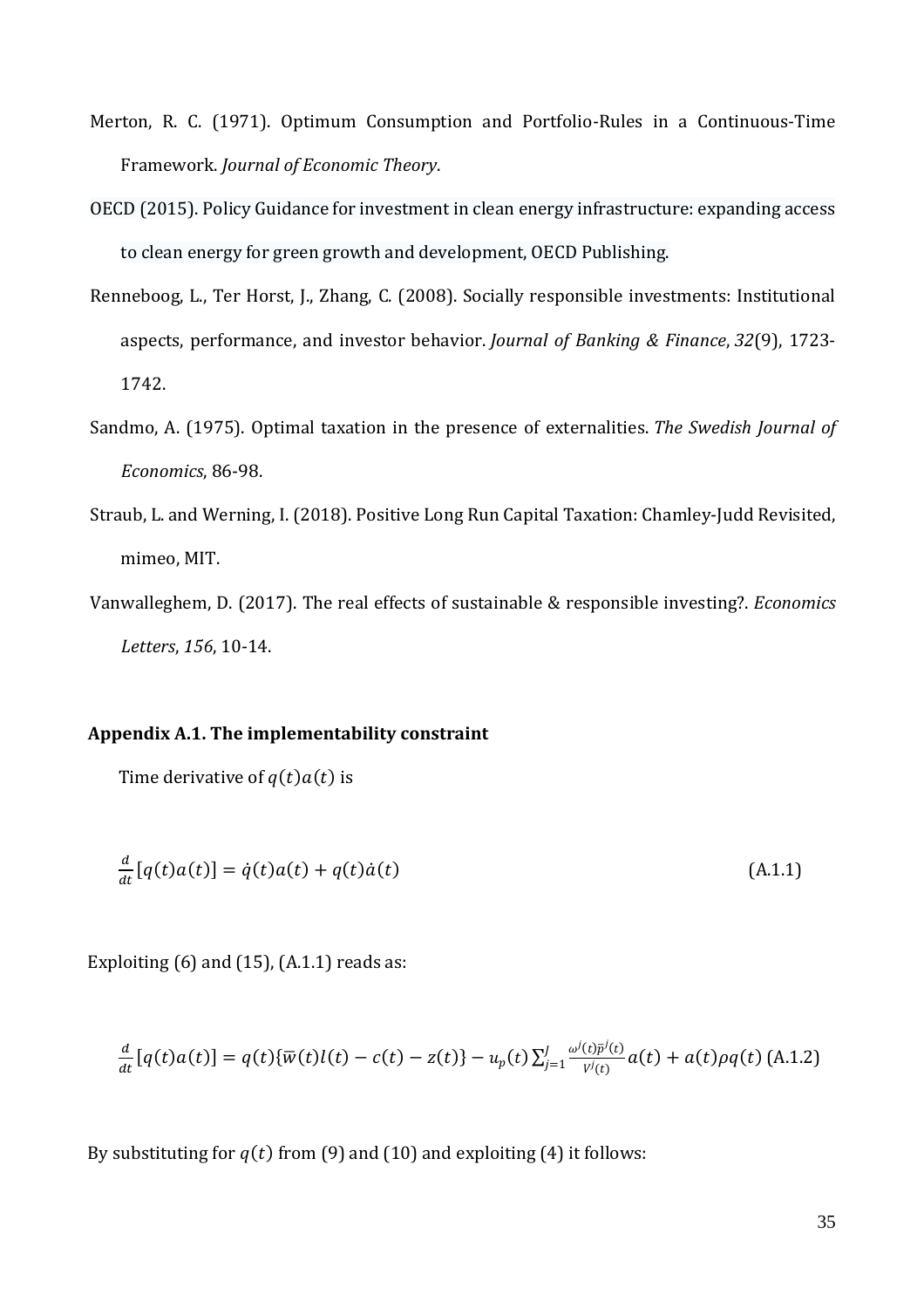- Merton, R. C. (1971). Optimum Consumption and Portfolio-Rules in a Continuous-Time Framework. *Journal of Economic Theory*.
- OECD (2015). Policy Guidance for investment in clean energy infrastructure: expanding access to clean energy for green growth and development, OECD Publishing.
- Renneboog, L., Ter Horst, J., Zhang, C. (2008). Socially responsible investments: Institutional aspects, performance, and investor behavior. *Journal of Banking & Finance*, *32*(9), 1723- 1742.
- Sandmo, A. (1975). Optimal taxation in the presence of externalities. *The Swedish Journal of Economics*, 86-98.
- Straub, L. and Werning, I. (2018). Positive Long Run Capital Taxation: Chamley-Judd Revisited, mimeo, MIT.
- Vanwalleghem, D. (2017). The real effects of sustainable & responsible investing?. *Economics Letters*, *156*, 10-14.

#### **Appendix A.1. The implementability constraint**

Time derivative of  $q(t)a(t)$  is

$$
\frac{d}{dt}[q(t)a(t)] = \dot{q}(t)a(t) + q(t)\dot{a}(t)
$$
\n(A.1.1)

Exploiting  $(6)$  and  $(15)$ ,  $(A.1.1)$  reads as:

$$
\frac{d}{dt}[q(t)a(t)] = q(t)\{\overline{w}(t)l(t) - c(t) - z(t)\} - u_p(t)\sum_{j=1}^{J} \frac{\omega^{j}(t)\overline{p}^{j}(t)}{v^{j}(t)}a(t) + a(t)\rho q(t)
$$
(A.1.2)

By substituting for  $q(t)$  from (9) and (10) and exploiting (4) it follows: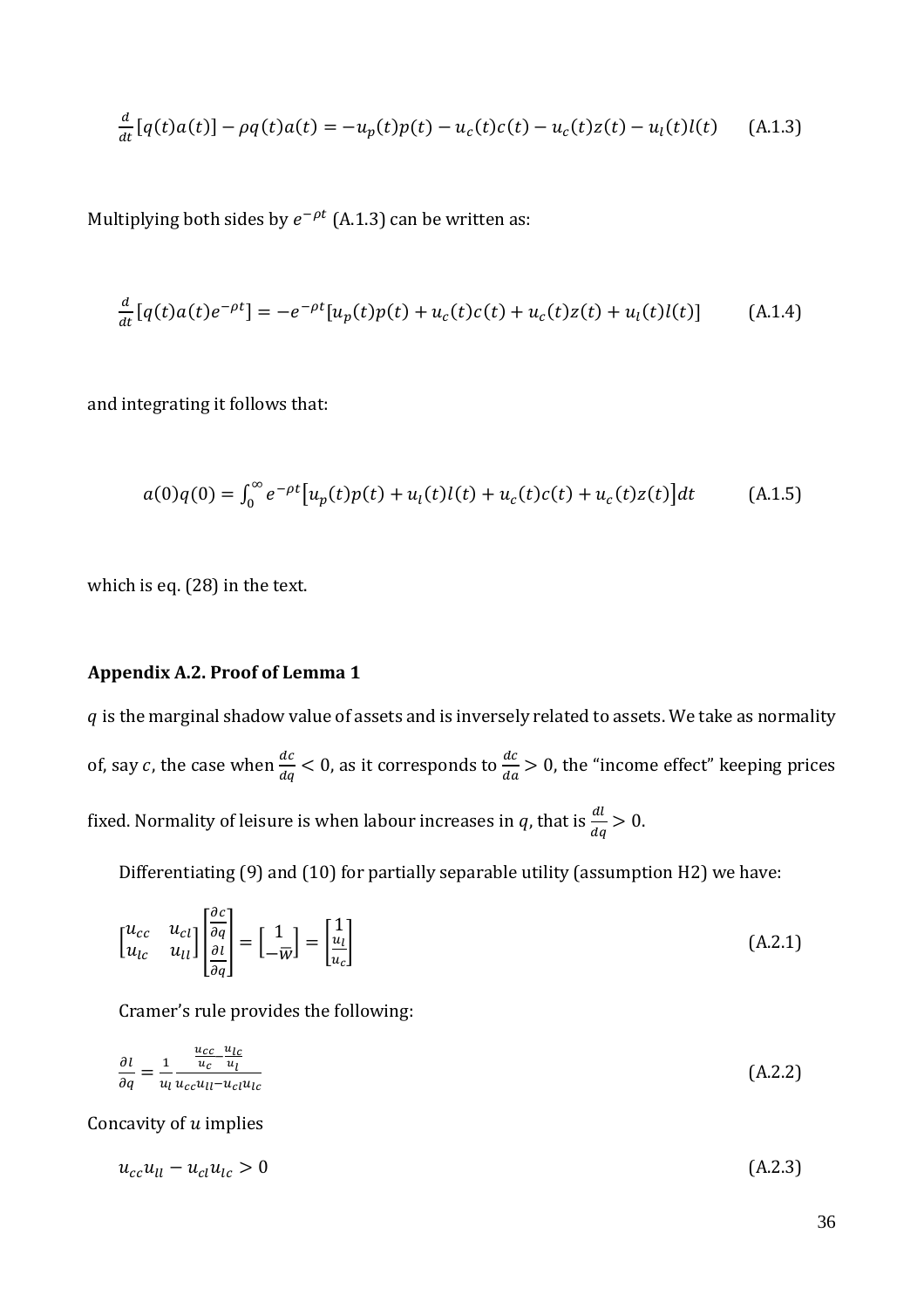$$
\frac{d}{dt}[q(t)a(t)] - \rho q(t)a(t) = -u_p(t)p(t) - u_c(t)c(t) - u_c(t)z(t) - u_l(t)l(t)
$$
 (A.1.3)

Multiplying both sides by  $e^{-\rho t}$  (A.1.3) can be written as:

$$
\frac{d}{dt}[q(t)a(t)e^{-\rho t}] = -e^{-\rho t}[u_p(t)p(t) + u_c(t)c(t) + u_c(t)z(t) + u_l(t)l(t)] \tag{A.1.4}
$$

and integrating it follows that:

$$
a(0)q(0) = \int_0^\infty e^{-\rho t} \left[ u_p(t)p(t) + u_l(t)l(t) + u_c(t)c(t) + u_c(t)z(t) \right] dt \tag{A.1.5}
$$

which is eq. (28) in the text.

### **Appendix A.2. Proof of Lemma 1**

 $q$  is the marginal shadow value of assets and is inversely related to assets. We take as normality of, say c, the case when  $\frac{dc}{dq} < 0$ , as it corresponds to  $\frac{dc}{da} > 0$ , the "income effect" keeping prices fixed. Normality of leisure is when labour increases in  $q$ , that is  $\frac{dl}{dq} > 0$ .

Differentiating (9) and (10) for partially separable utility (assumption H2) we have:

$$
\begin{bmatrix} u_{cc} & u_{cl} \\ u_{lc} & u_{ll} \end{bmatrix} \begin{bmatrix} \frac{\partial c}{\partial q} \\ \frac{\partial l}{\partial q} \end{bmatrix} = \begin{bmatrix} 1 \\ -\overline{w} \end{bmatrix} = \begin{bmatrix} 1 \\ \frac{u_l}{u_c} \end{bmatrix}
$$
(A.2.1)

Cramer's rule provides the following:

$$
\frac{\partial l}{\partial q} = \frac{1}{u_l} \frac{\frac{u_{cc} - u_{lc}}{u_c - u_l}}{u_{cc} u_{ll} - u_{cl} u_{lc}} \tag{A.2.2}
$$

Concavity of  $u$  implies

 $u_{cc}u_{ll} - u_{cl}u_{lc} > 0$  (A.2.3)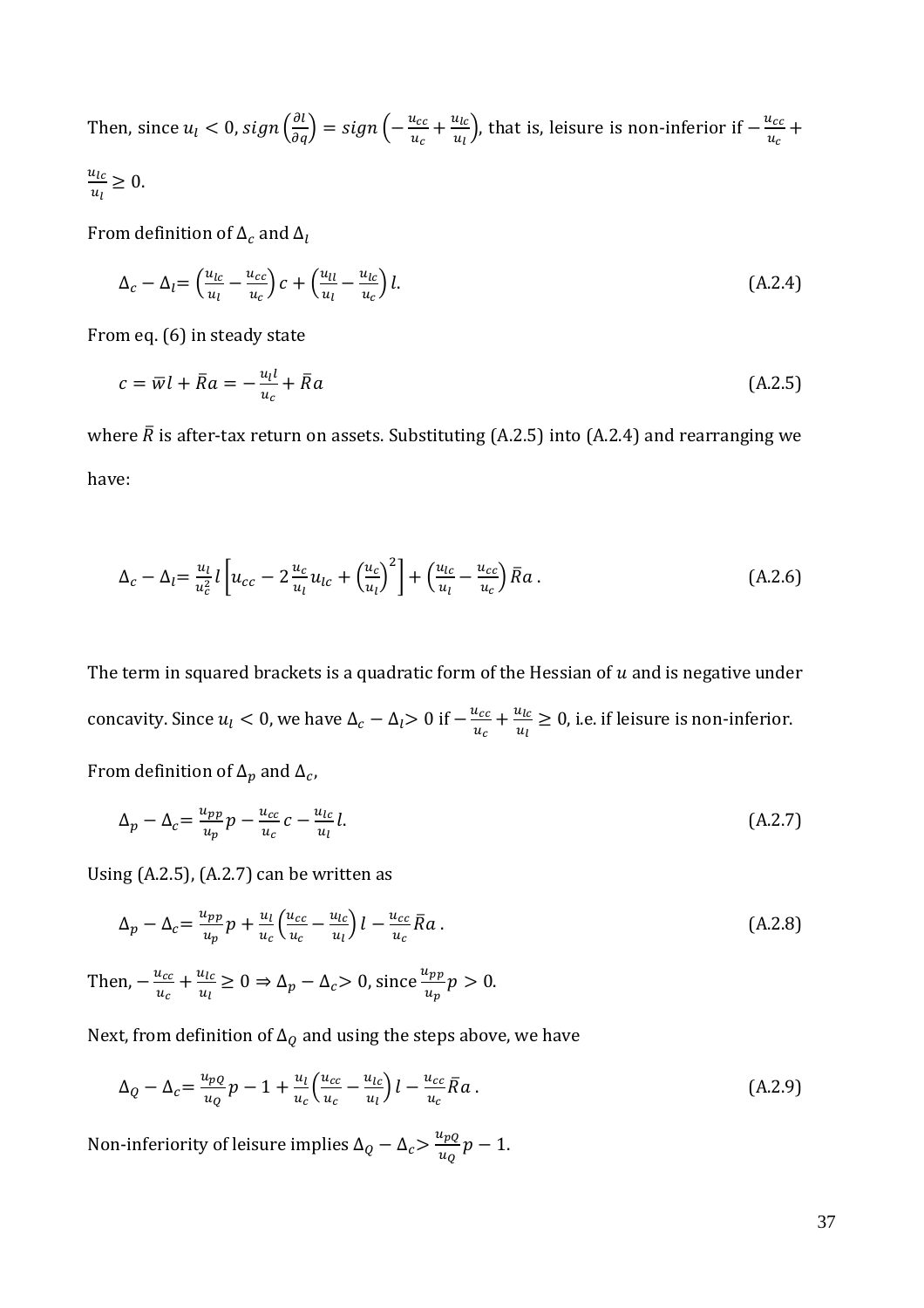Then, since  $u_l < 0$ , sign  $\left(\frac{\partial l}{\partial q}\right) = sign\left(-\frac{u_{cc}}{u_c}\right)$  $\frac{u_{cc}}{u_c} + \frac{u_{lc}}{u_l}$  $\frac{u_{lc}}{u_l}$ ), that is, leisure is non-inferior if  $-\frac{u_{cc}}{u_c}$  $\frac{c_{cc}}{u_c}$  +  $u_{lc}$  $\frac{u_{\mathcal{C}}}{u_{\mathcal{U}}} \geq 0.$ 

From definition of  $\Delta_c$  and  $\Delta_l$ 

$$
\Delta_c - \Delta_l = \left(\frac{u_{lc}}{u_l} - \frac{u_{cc}}{u_c}\right)c + \left(\frac{u_{ll}}{u_l} - \frac{u_{lc}}{u_c}\right)l. \tag{A.2.4}
$$

From eq. (6) in steady state

$$
c = \overline{w}l + \overline{R}a = -\frac{u_l l}{u_c} + \overline{R}a
$$
\n(A.2.5)

where  $\bar{R}$  is after-tax return on assets. Substituting (A.2.5) into (A.2.4) and rearranging we have:

$$
\Delta_c - \Delta_l = \frac{u_l}{u_c^2} l \left[ u_{cc} - 2 \frac{u_c}{u_l} u_{lc} + \left( \frac{u_c}{u_l} \right)^2 \right] + \left( \frac{u_{lc}}{u_l} - \frac{u_{cc}}{u_c} \right) \bar{R} a \,. \tag{A.2.6}
$$

The term in squared brackets is a quadratic form of the Hessian of  $u$  and is negative under concavity. Since  $u_l < 0$ , we have  $\Delta_c - \Delta_l > 0$  if  $-\frac{u_{cc}}{u_{cs}}$  $\frac{u_{cc}}{u_c} + \frac{u_{lc}}{u_l}$  $\frac{u_{lc}}{u_l} \geq 0$ , i.e. if leisure is non-inferior. From definition of  $\Delta_p$  and  $\Delta_c$ ,

$$
\Delta_p - \Delta_c = \frac{u_{pp}}{u_p} p - \frac{u_{cc}}{u_c} c - \frac{u_{lc}}{u_l} l. \tag{A.2.7}
$$

Using  $(A.2.5)$ ,  $(A.2.7)$  can be written as

$$
\Delta_p - \Delta_c = \frac{u_{pp}}{u_p} p + \frac{u_l}{u_c} \left( \frac{u_{cc}}{u_c} - \frac{u_{lc}}{u_l} \right) l - \frac{u_{cc}}{u_c} \overline{R} a \,. \tag{A.2.8}
$$

Then,  $-\frac{u_{cc}}{u}$  $\frac{u_{cc}}{u_c} + \frac{u_{lc}}{u_l}$  $\frac{u_{lc}}{u_l} \ge 0 \Rightarrow \Delta_p - \Delta_c > 0$ , since  $\frac{u_{pp}}{u_p} p > 0$ .

Next, from definition of  $\Delta_Q$  and using the steps above, we have

$$
\Delta_Q - \Delta_c = \frac{u_{pQ}}{u_Q} p - 1 + \frac{u_l}{u_c} \left( \frac{u_{cc}}{u_c} - \frac{u_{lc}}{u_l} \right) l - \frac{u_{cc}}{u_c} \overline{R} a \,. \tag{A.2.9}
$$

Non-inferiority of leisure implies  $\Delta_Q - \Delta_c > \frac{u_{pQ}}{u_{\Omega}}$  $\frac{^{up}Q}{u_Q}p-1.$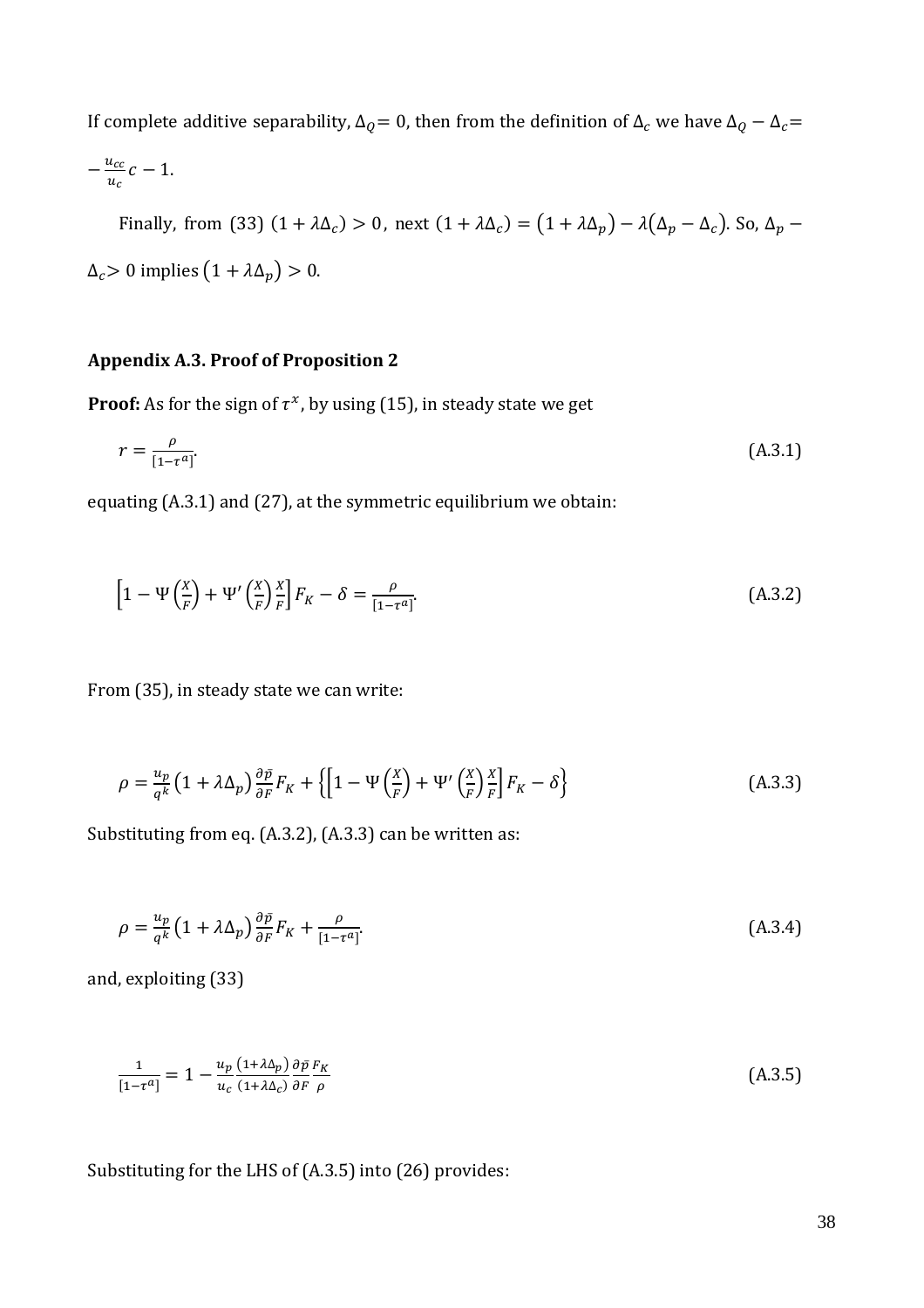If complete additive separability,  $\Delta_{Q} = 0$ , then from the definition of  $\Delta_{c}$  we have  $\Delta_{Q} - \Delta_{c} =$ 

$$
-\frac{u_{cc}}{u_c}c-1.
$$

Finally, from (33) (1 +  $\lambda\Delta_c$ ) > 0, next (1 +  $\lambda\Delta_c$ ) = (1 +  $\lambda\Delta_p$ ) –  $\lambda(\Delta_p - \Delta_c)$ . So,  $\Delta_p$  –  $\Delta_c > 0$  implies  $(1 + \lambda \Delta_p) > 0$ .

### **Appendix A.3. Proof of Proposition 2**

**Proof:** As for the sign of  $\tau^x$ , by using (15), in steady state we get

$$
r = \frac{\rho}{\left[1 - \tau^a\right]}.\tag{A.3.1}
$$

equating (A.3.1) and (27), at the symmetric equilibrium we obtain:

$$
\left[1 - \Psi\left(\frac{x}{F}\right) + \Psi'\left(\frac{x}{F}\right)\frac{x}{F}\right]F_K - \delta = \frac{\rho}{\left[1 - \tau^a\right]}.
$$
\n(A.3.2)

From (35), in steady state we can write:

$$
\rho = \frac{u_p}{q^k} \left( 1 + \lambda \Delta_p \right) \frac{\partial \bar{p}}{\partial F} F_K + \left\{ \left[ 1 - \Psi \left( \frac{X}{F} \right) + \Psi' \left( \frac{X}{F} \right) \frac{X}{F} \right] F_K - \delta \right\} \tag{A.3.3}
$$

Substituting from eq. (A.3.2), (A.3.3) can be written as:

$$
\rho = \frac{u_p}{q^k} \left( 1 + \lambda \Delta_p \right) \frac{\partial \bar{p}}{\partial F} F_K + \frac{\rho}{[1 - \tau^a]}.
$$
\n(A.3.4)

and, exploiting (33)

$$
\frac{1}{\left[1-\tau^{a}\right]} = 1 - \frac{u_{p}\left(1+\lambda\Delta_{p}\right)}{u_{c}\left(1+\lambda\Delta_{c}\right)} \frac{\partial\bar{p}}{\partial F} \frac{F_{K}}{\rho}
$$
\n(A.3.5)

Substituting for the LHS of (A.3.5) into (26) provides: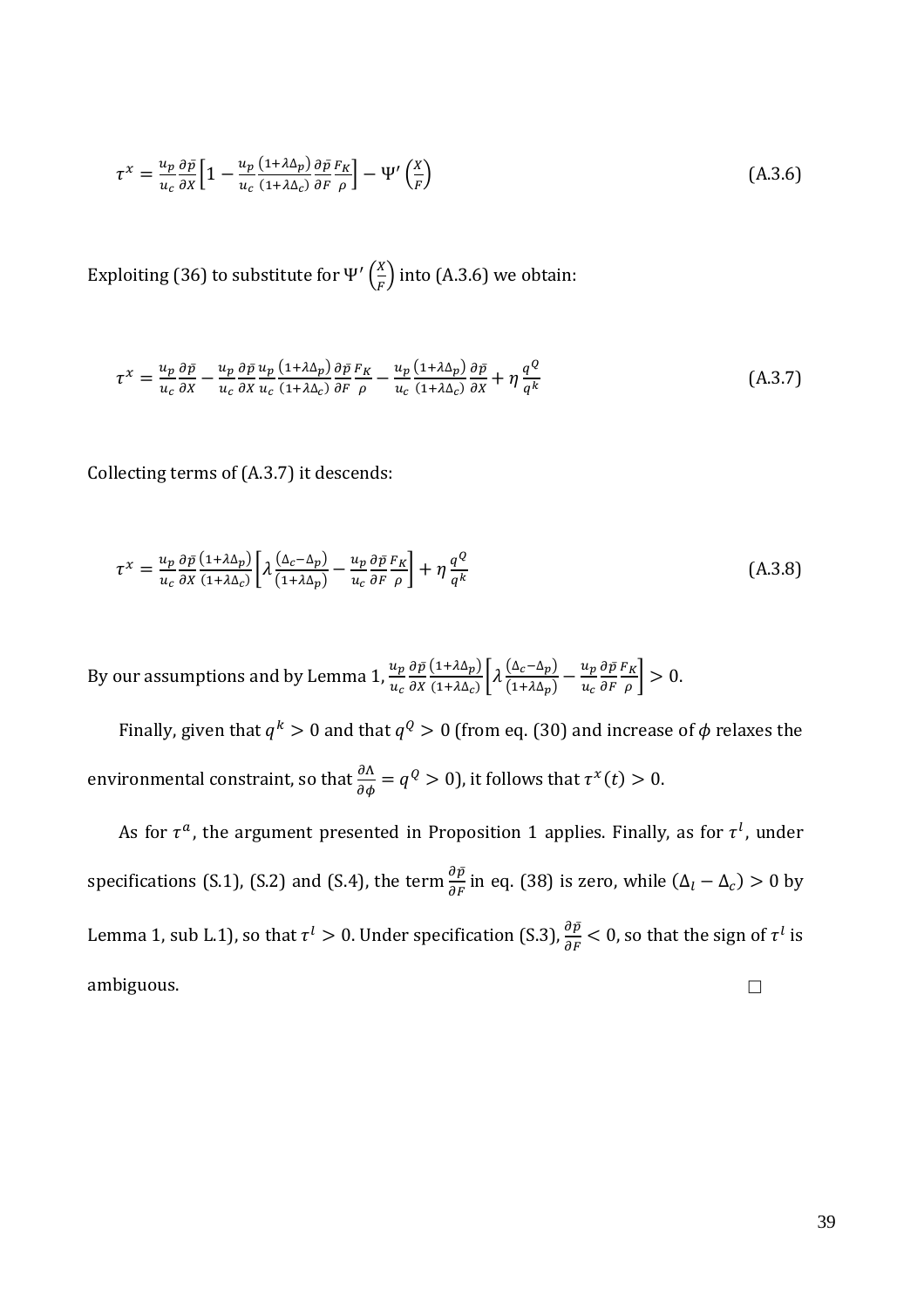$$
\tau^x = \frac{u_p}{u_c} \frac{\partial \bar{p}}{\partial x} \Big[ 1 - \frac{u_p}{u_c} \frac{(1 + \lambda \Delta_p)}{(1 + \lambda \Delta_c)} \frac{\partial \bar{p}}{\partial F} \frac{F_K}{\rho} \Big] - \Psi' \left( \frac{X}{F} \right) \tag{A.3.6}
$$

Exploiting (36) to substitute for Ψ′  $(\frac{X}{F})$  $\frac{1}{F}$ ) into (A.3.6) we obtain:

$$
\tau^{x} = \frac{u_{p}}{u_{c}} \frac{\partial \bar{p}}{\partial x} - \frac{u_{p}}{u_{c}} \frac{\partial \bar{p}}{\partial x} \frac{u_{p}}{u_{c}} \frac{(1 + \lambda \Delta_{p})}{(1 + \lambda \Delta_{c})} \frac{\partial \bar{p}}{\partial F} \frac{F_{K}}{\rho} - \frac{u_{p}}{u_{c}} \frac{(1 + \lambda \Delta_{p})}{(1 + \lambda \Delta_{c})} \frac{\partial \bar{p}}{\partial x} + \eta \frac{q^{Q}}{q^{k}}
$$
(A.3.7)

Collecting terms of (A.3.7) it descends:

$$
\tau^x = \frac{u_p}{u_c} \frac{\partial \bar{p}}{\partial x} \frac{(1 + \lambda \Delta_p)}{(1 + \lambda \Delta_c)} \left[ \lambda \frac{(\Delta_c - \Delta_p)}{(1 + \lambda \Delta_p)} - \frac{u_p}{u_c} \frac{\partial \bar{p}}{\partial F} \frac{F_K}{\rho} \right] + \eta \frac{q^Q}{q^k}
$$
(A.3.8)

By our assumptions and by Lemma 1,  $\frac{u_p}{u_c}$  $\partial \bar p$  $\partial X$  $(1+\lambda\Delta_p)$  $\frac{(1+\lambda\Delta_p)}{(1+\lambda\Delta_c)}\bigg[\lambda\frac{(\Delta_c-\Delta_p)}{(1+\lambda\Delta_p)}\bigg]$  $\frac{(\Delta_c - \Delta_p)}{(1 + \lambda \Delta_p)} - \frac{u_p}{u_c}$  $u_c$  $\partial \bar p$  .  $\partial F$  $F_K$  $\left[\frac{\kappa}{\rho}\right] > 0.$ 

Finally, given that  $q^k > 0$  and that  $q^Q > 0$  (from eq. (30) and increase of  $\phi$  relaxes the environmental constraint, so that  $\frac{\partial \Lambda}{\partial \phi} = q^Q > 0$ ), it follows that  $\tau^x(t) > 0$ .

As for  $\tau^a$ , the argument presented in Proposition 1 applies. Finally, as for  $\tau^l$ , under specifications (S.1), (S.2) and (S.4), the term  $\frac{\partial \bar{p}}{\partial F}$  in eq. (38) is zero, while ( $\Delta_l - \Delta_c$ ) > 0 by Lemma 1, sub L.1), so that  $\tau^l > 0$ . Under specification (S.3),  $\frac{\partial \bar{p}}{\partial F} < 0$ , so that the sign of  $\tau^l$  is ambiguous.  $\square$